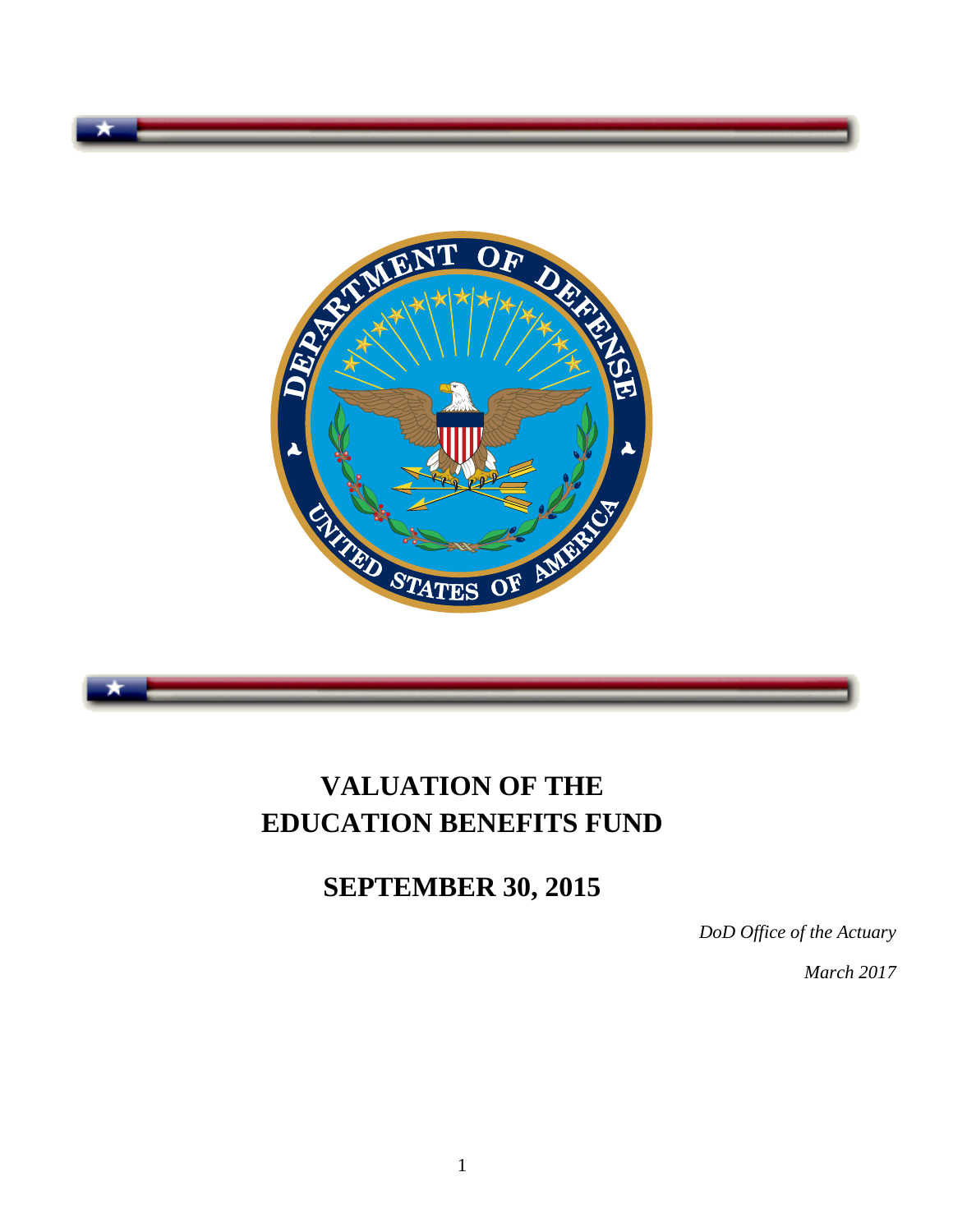

# **VALUATION OF THE EDUCATION BENEFITS FUND**

**SEPTEMBER 30, 2015**

*DoD Office of the Actuary* 

*March 2017*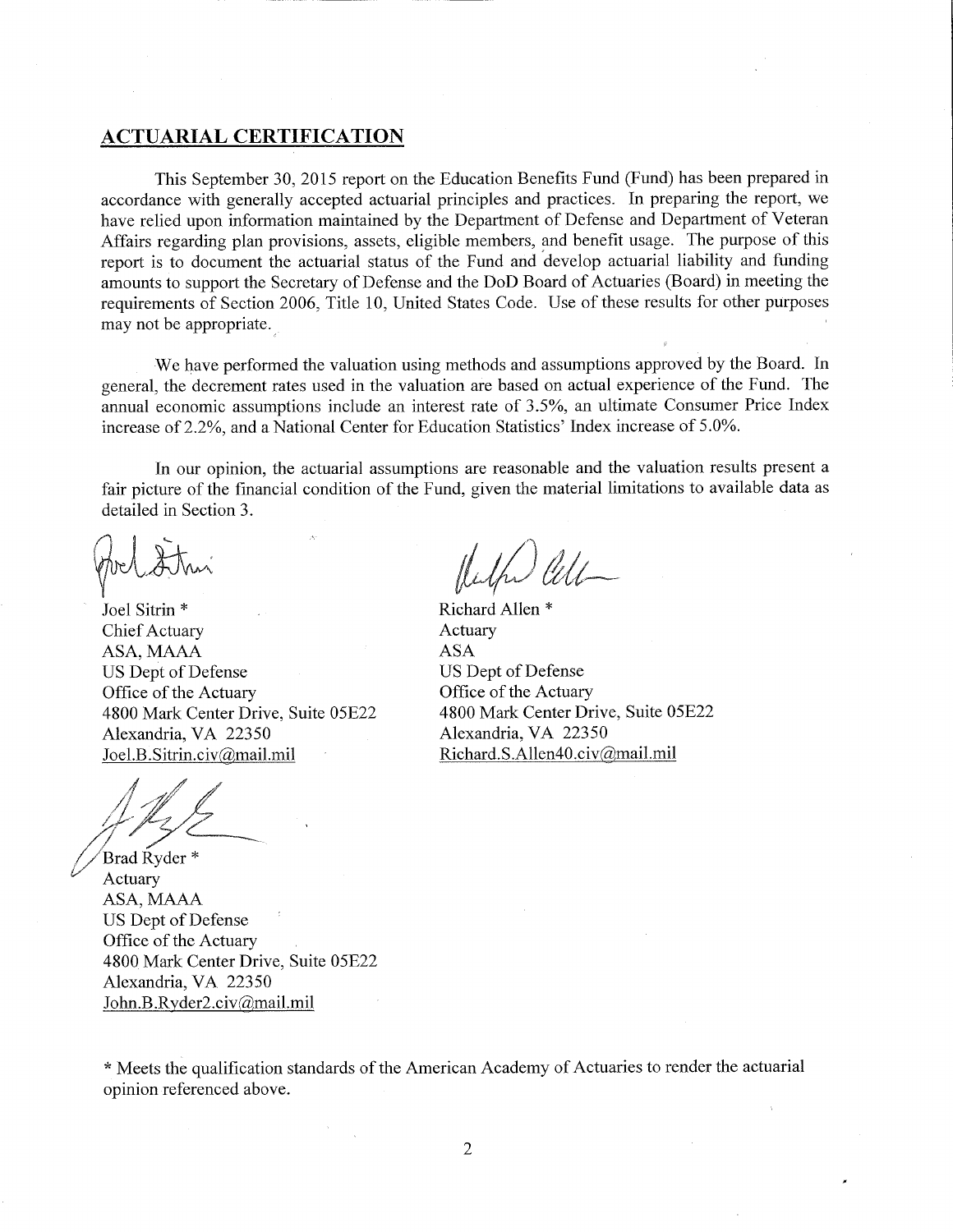#### **ACTUARIAL CERTIFICATION**

This September 30, 2015 report on the Education Benefits Fund (Fund) has been prepared in accordance with generally accepted actuarial principles and practices. In preparing the report, we have relied upon information maintained by the Department of Defense and Department of Veteran Affairs regarding plan provisions, assets, eligible members, and benefit usage. The purpose of this report is to document the actuarial status of the Fund and develop actuarial liability and funding amounts to support the Secretary of Defense and the DoD Board of Actuaries (Board) in meeting the requirements of Section 2006, Title 10, United States Code. Use of these results for other purposes may not be appropriate.

We have performed the valuation using methods and assumptions approved by the Board. In general, the decrement rates used in the valuation are based on actual experience of the Fund. The annual economic assumptions include an interest rate of 3.5%, an ultimate Consumer Price Index increase of 2.2%, and a National Center for Education Statistics' Index increase of 5.0%.

In our opinion, the actuarial assumptions are reasonable and the valuation results present a fair picture of the financial condition of the Fund, given the material limitations to available data as detailed in Section 3.

Joel Sitrin \* Chief Actuary ASA, MAAA US Dept of Defense Office of the Actuary 4800 Mark Center Drive, Suite 05E22 Alexandria, VA 22350 Joel.B.Sitrin.civ@mail.mil

Brad Ryder<sup>\*</sup> Actuary ASA, MAAA US Dept of Defense Office of the Actuary 4800 Mark Center Drive, Suite 05E22 Alexandria, VA 22350 John.B.Ryder2.civ@mail.mil

Richard Allen<sup>\*</sup> Actuary **ASA** US Dept of Defense Office of the Actuary 4800 Mark Center Drive, Suite 05E22 Alexandria, VA 22350 Richard.S.Allen40.civ@mail.mil

\* Meets the qualification standards of the American Academy of Actuaries to render the actuarial opinion referenced above.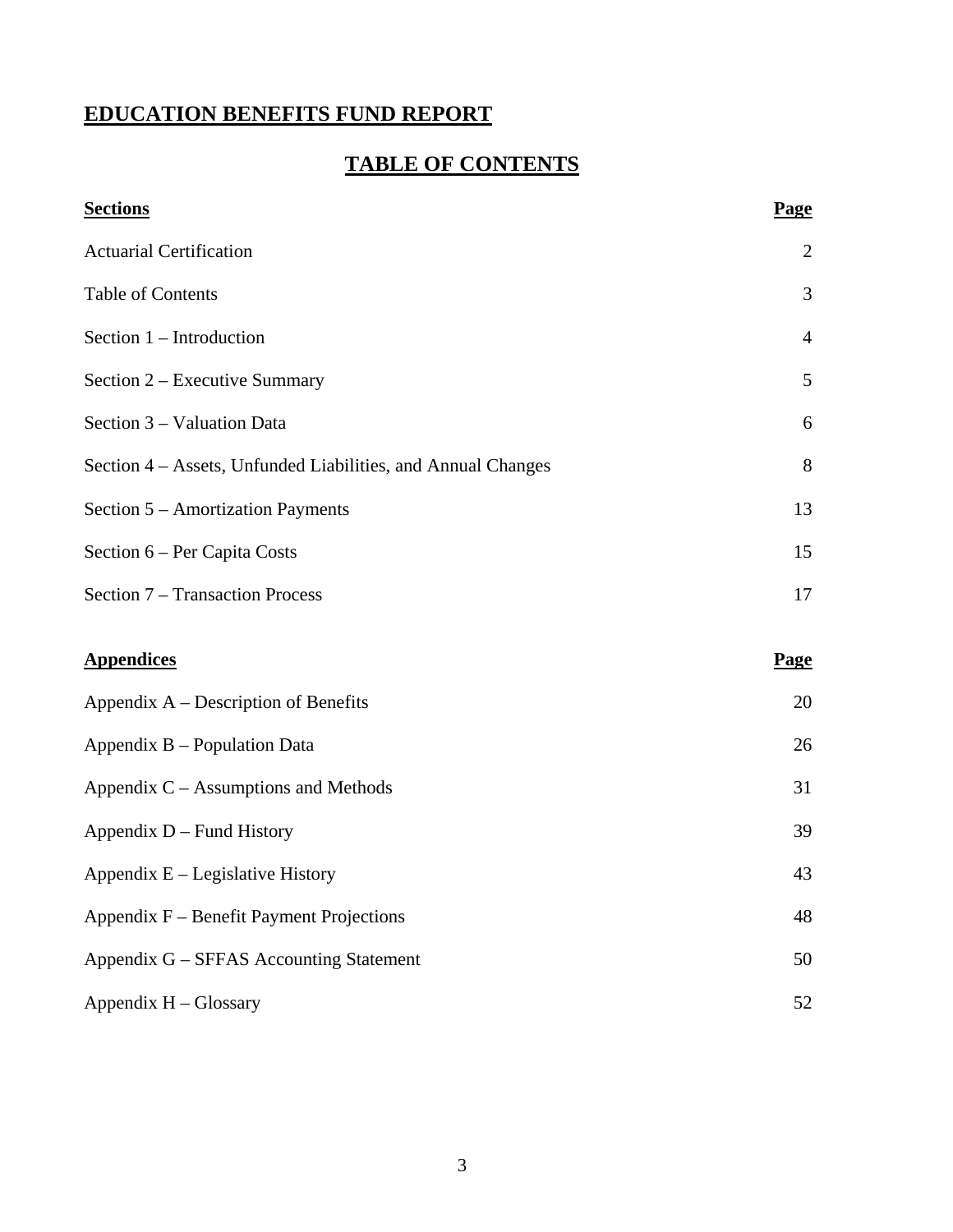## **EDUCATION BENEFITS FUND REPORT**

## **TABLE OF CONTENTS**

| <b>Sections</b>                                              | Page           |
|--------------------------------------------------------------|----------------|
| <b>Actuarial Certification</b>                               | $\overline{2}$ |
| <b>Table of Contents</b>                                     | 3              |
| Section 1 – Introduction                                     | $\overline{4}$ |
| Section 2 – Executive Summary                                | 5              |
| Section 3 – Valuation Data                                   | 6              |
| Section 4 – Assets, Unfunded Liabilities, and Annual Changes | 8              |
| Section 5 – Amortization Payments                            | 13             |
| Section 6 – Per Capita Costs                                 | 15             |
| Section 7 – Transaction Process                              | 17             |
| <b>Appendices</b>                                            | <b>Page</b>    |
|                                                              |                |
| Appendix A – Description of Benefits                         | 20             |
| Appendix B – Population Data                                 | 26             |
| Appendix $C -$ Assumptions and Methods                       | 31             |
| Appendix D – Fund History                                    | 39             |
| Appendix $E -$ Legislative History                           | 43             |
| Appendix F – Benefit Payment Projections                     | 48             |
| Appendix G - SFFAS Accounting Statement                      | 50             |
| Appendix H - Glossary                                        | 52             |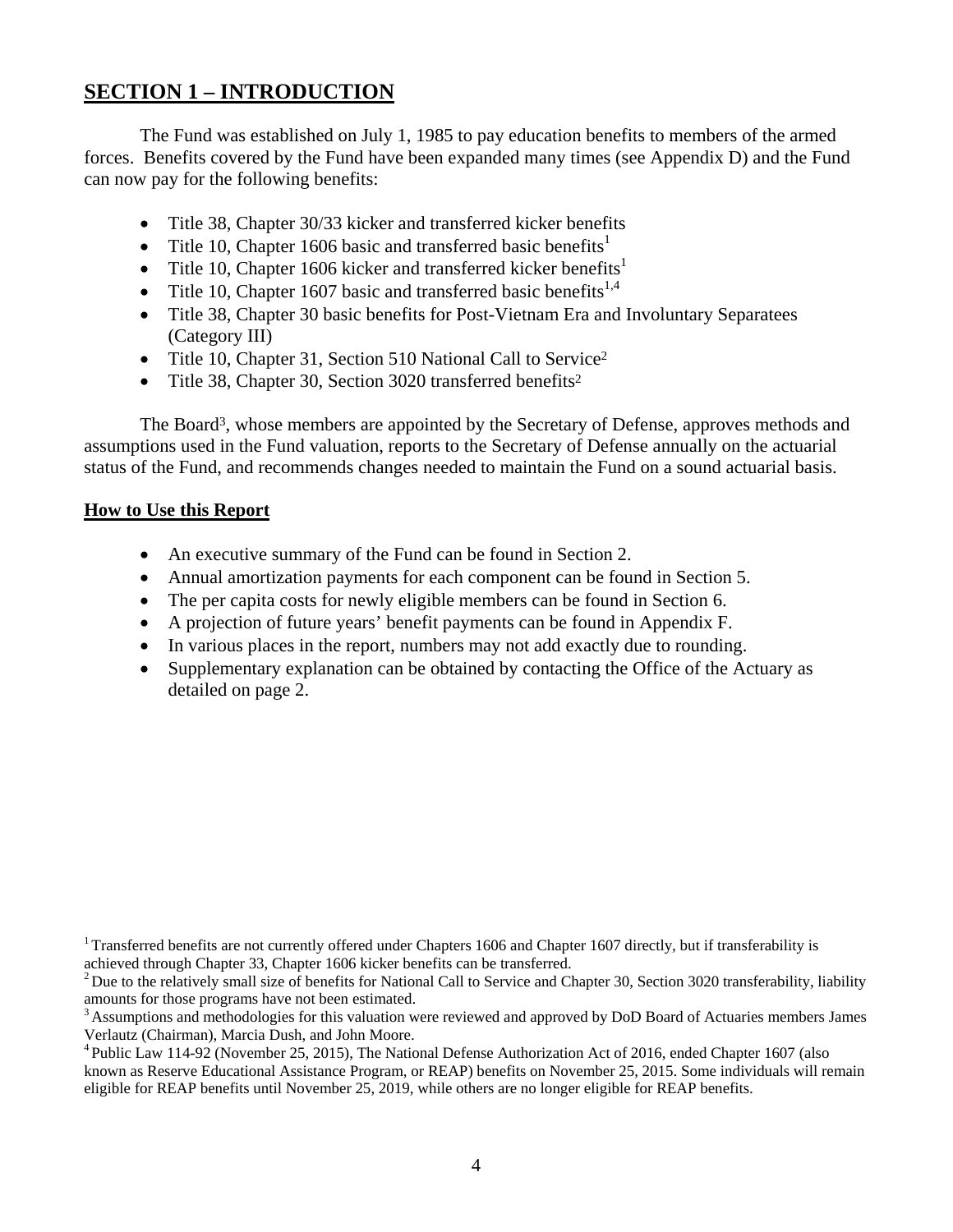## **SECTION 1 – INTRODUCTION**

 The Fund was established on July 1, 1985 to pay education benefits to members of the armed forces. Benefits covered by the Fund have been expanded many times (see Appendix D) and the Fund can now pay for the following benefits:

- Title 38, Chapter 30/33 kicker and transferred kicker benefits
- Title 10, Chapter 1606 basic and transferred basic benefits<sup>1</sup>
- Title 10, Chapter 1606 kicker and transferred kicker benefits<sup>1</sup>
- Title 10, Chapter 1607 basic and transferred basic benefits<sup>1,4</sup>
- Title 38, Chapter 30 basic benefits for Post-Vietnam Era and Involuntary Separatees (Category III)
- Title 10, Chapter 31, Section 510 National Call to Service<sup>2</sup>
- Title 38, Chapter 30, Section 3020 transferred benefits<sup>2</sup>

The Board<sup>3</sup>, whose members are appointed by the Secretary of Defense, approves methods and assumptions used in the Fund valuation, reports to the Secretary of Defense annually on the actuarial status of the Fund, and recommends changes needed to maintain the Fund on a sound actuarial basis.

## **How to Use this Report**

- An executive summary of the Fund can be found in Section 2.
- Annual amortization payments for each component can be found in Section 5.
- The per capita costs for newly eligible members can be found in Section 6.
- A projection of future years' benefit payments can be found in Appendix F.
- In various places in the report, numbers may not add exactly due to rounding.
- Supplementary explanation can be obtained by contacting the Office of the Actuary as detailed on page 2.

<sup>&</sup>lt;sup>1</sup> Transferred benefits are not currently offered under Chapters 1606 and Chapter 1607 directly, but if transferability is achieved through Chapter 33, Chapter 1606 kicker benefits can be transferred.

 $2^2$  Due to the relatively small size of benefits for National Call to Service and Chapter 30, Section 3020 transferability, liability amounts for those programs have not been estimated.

<sup>&</sup>lt;sup>3</sup> Assumptions and methodologies for this valuation were reviewed and approved by DoD Board of Actuaries members James Verlautz (Chairman), Marcia Dush, and John Moore.

<sup>&</sup>lt;sup>4</sup> Public Law 114-92 (November 25, 2015), The National Defense Authorization Act of 2016, ended Chapter 1607 (also known as Reserve Educational Assistance Program, or REAP) benefits on November 25, 2015. Some individuals will remain eligible for REAP benefits until November 25, 2019, while others are no longer eligible for REAP benefits.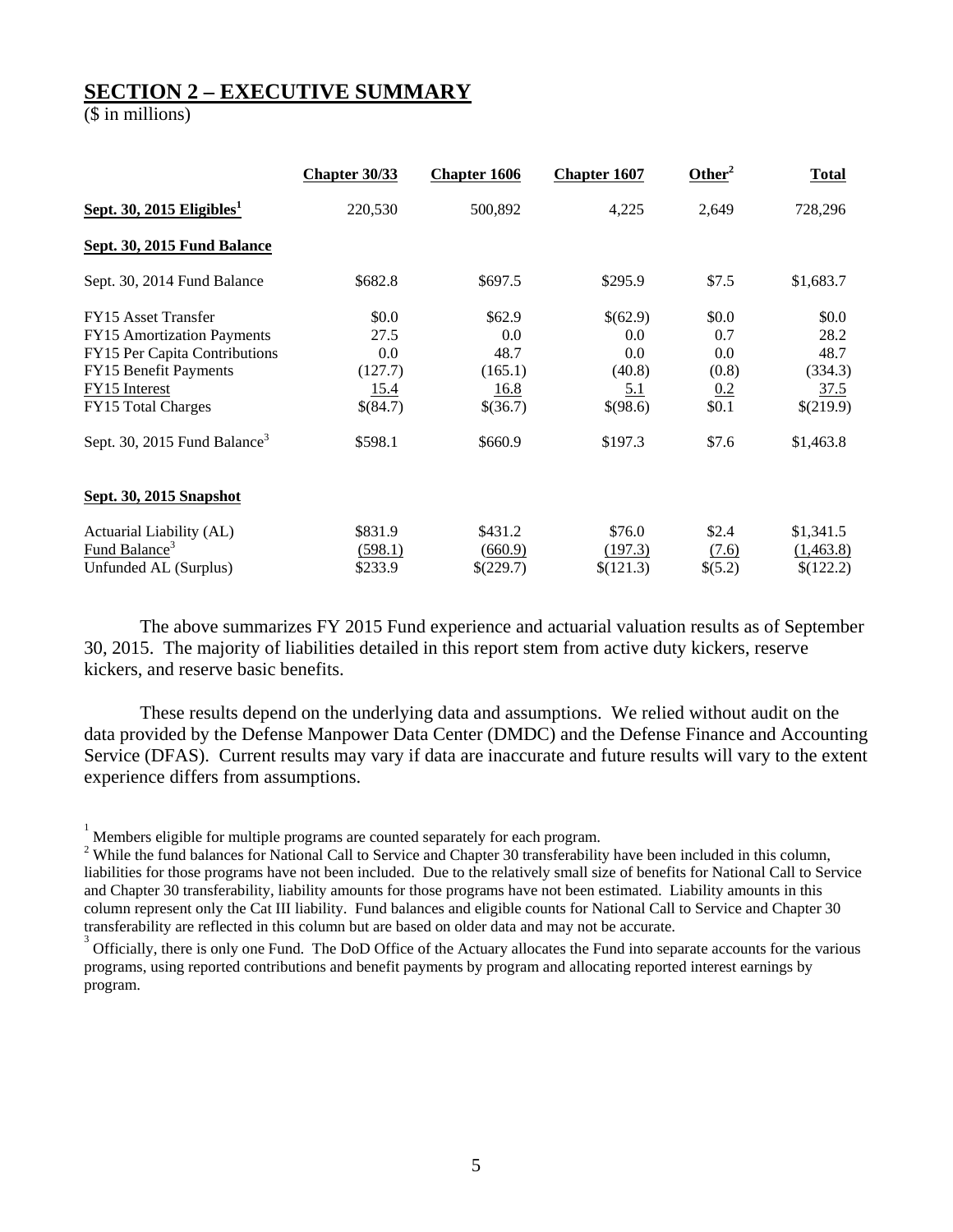## **SECTION 2 – EXECUTIVE SUMMARY**

(\$ in millions)

|                                          | <b>Chapter 30/33</b> | <b>Chapter 1606</b> | <b>Chapter 1607</b> | Other <sup>2</sup> | <b>Total</b> |
|------------------------------------------|----------------------|---------------------|---------------------|--------------------|--------------|
| Sept. 30, 2015 Eligibles <sup>1</sup>    | 220,530              | 500,892             | 4,225               | 2,649              | 728,296      |
| Sept. 30, 2015 Fund Balance              |                      |                     |                     |                    |              |
| Sept. 30, 2014 Fund Balance              | \$682.8              | \$697.5             | \$295.9             | \$7.5              | \$1,683.7    |
| FY15 Asset Transfer                      | \$0.0                | \$62.9              | \$(62.9)            | \$0.0              | \$0.0        |
| FY15 Amortization Payments               | 27.5                 | 0.0                 | 0.0                 | 0.7                | 28.2         |
| FY15 Per Capita Contributions            | 0.0                  | 48.7                | 0.0                 | 0.0                | 48.7         |
| FY15 Benefit Payments                    | (127.7)              | (165.1)             | (40.8)              | (0.8)              | (334.3)      |
| <b>FY15</b> Interest                     | <u>15.4</u>          | 16.8                | <u>5.1</u>          | 0.2                | 37.5         |
| <b>FY15</b> Total Charges                | \$(84.7)             | \$(36.7)            | \$(98.6)            | \$0.1              | \$(219.9)    |
| Sept. 30, 2015 Fund Balance <sup>3</sup> | \$598.1              | \$660.9             | \$197.3             | \$7.6              | \$1,463.8    |
| Sept. 30, 2015 Snapshot                  |                      |                     |                     |                    |              |
| Actuarial Liability (AL)                 | \$831.9              | \$431.2             | \$76.0              | \$2.4              | \$1,341.5    |
| Fund Balance <sup>3</sup>                | (598.1)              | (660.9)             | (197.3)             | (7.6)              | (1,463.8)    |
| Unfunded AL (Surplus)                    | \$233.9              | \$(229.7)           | \$(121.3)           | \$(5.2)            | \$(122.2)    |

 The above summarizes FY 2015 Fund experience and actuarial valuation results as of September 30, 2015. The majority of liabilities detailed in this report stem from active duty kickers, reserve kickers, and reserve basic benefits.

 These results depend on the underlying data and assumptions. We relied without audit on the data provided by the Defense Manpower Data Center (DMDC) and the Defense Finance and Accounting Service (DFAS). Current results may vary if data are inaccurate and future results will vary to the extent experience differs from assumptions.

<sup>1</sup> Members eligible for multiple programs are counted separately for each program.

<sup>&</sup>lt;sup>2</sup> While the fund balances for National Call to Service and Chapter 30 transferability have been included in this column, liabilities for those programs have not been included. Due to the relatively small size of benefits for National Call to Service and Chapter 30 transferability, liability amounts for those programs have not been estimated. Liability amounts in this column represent only the Cat III liability. Fund balances and eligible counts for National Call to Service and Chapter 30 transferability are reflected in this column but are based on older data and may not be accurate. 3

Officially, there is only one Fund. The DoD Office of the Actuary allocates the Fund into separate accounts for the various programs, using reported contributions and benefit payments by program and allocating reported interest earnings by program.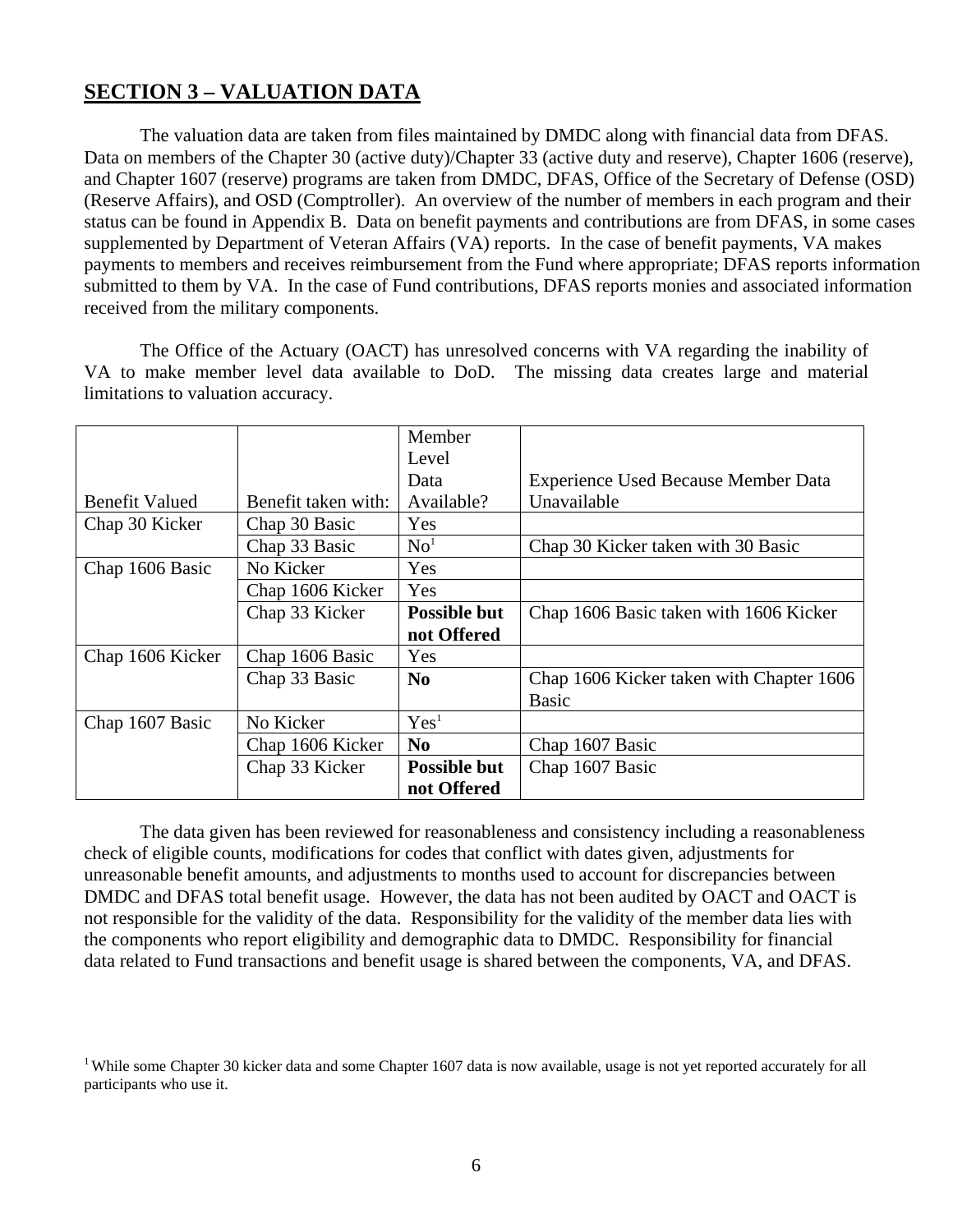## **SECTION 3 – VALUATION DATA**

 The valuation data are taken from files maintained by DMDC along with financial data from DFAS. Data on members of the Chapter 30 (active duty)/Chapter 33 (active duty and reserve), Chapter 1606 (reserve), and Chapter 1607 (reserve) programs are taken from DMDC, DFAS, Office of the Secretary of Defense (OSD) (Reserve Affairs), and OSD (Comptroller). An overview of the number of members in each program and their status can be found in Appendix B. Data on benefit payments and contributions are from DFAS, in some cases supplemented by Department of Veteran Affairs (VA) reports. In the case of benefit payments, VA makes payments to members and receives reimbursement from the Fund where appropriate; DFAS reports information submitted to them by VA. In the case of Fund contributions, DFAS reports monies and associated information received from the military components.

 The Office of the Actuary (OACT) has unresolved concerns with VA regarding the inability of VA to make member level data available to DoD. The missing data creates large and material limitations to valuation accuracy.

|                       |                     | Member              |                                            |
|-----------------------|---------------------|---------------------|--------------------------------------------|
|                       |                     | Level               |                                            |
|                       |                     | Data                | <b>Experience Used Because Member Data</b> |
| <b>Benefit Valued</b> | Benefit taken with: | Available?          | Unavailable                                |
| Chap 30 Kicker        | Chap 30 Basic       | Yes                 |                                            |
|                       | Chap 33 Basic       | No <sup>1</sup>     | Chap 30 Kicker taken with 30 Basic         |
| Chap 1606 Basic       | No Kicker           | Yes                 |                                            |
|                       | Chap 1606 Kicker    | Yes                 |                                            |
|                       | Chap 33 Kicker      | <b>Possible but</b> | Chap 1606 Basic taken with 1606 Kicker     |
|                       |                     | not Offered         |                                            |
| Chap 1606 Kicker      | Chap 1606 Basic     | Yes                 |                                            |
|                       | Chap 33 Basic       | N <sub>0</sub>      | Chap 1606 Kicker taken with Chapter 1606   |
|                       |                     |                     | <b>Basic</b>                               |
| Chap 1607 Basic       | No Kicker           | Yes <sup>1</sup>    |                                            |
|                       | Chap 1606 Kicker    | $\bf No$            | Chap 1607 Basic                            |
|                       | Chap 33 Kicker      | <b>Possible but</b> | Chap 1607 Basic                            |
|                       |                     | not Offered         |                                            |

 The data given has been reviewed for reasonableness and consistency including a reasonableness check of eligible counts, modifications for codes that conflict with dates given, adjustments for unreasonable benefit amounts, and adjustments to months used to account for discrepancies between DMDC and DFAS total benefit usage. However, the data has not been audited by OACT and OACT is not responsible for the validity of the data. Responsibility for the validity of the member data lies with the components who report eligibility and demographic data to DMDC. Responsibility for financial data related to Fund transactions and benefit usage is shared between the components, VA, and DFAS.

<sup>&</sup>lt;sup>1</sup> While some Chapter 30 kicker data and some Chapter 1607 data is now available, usage is not yet reported accurately for all participants who use it.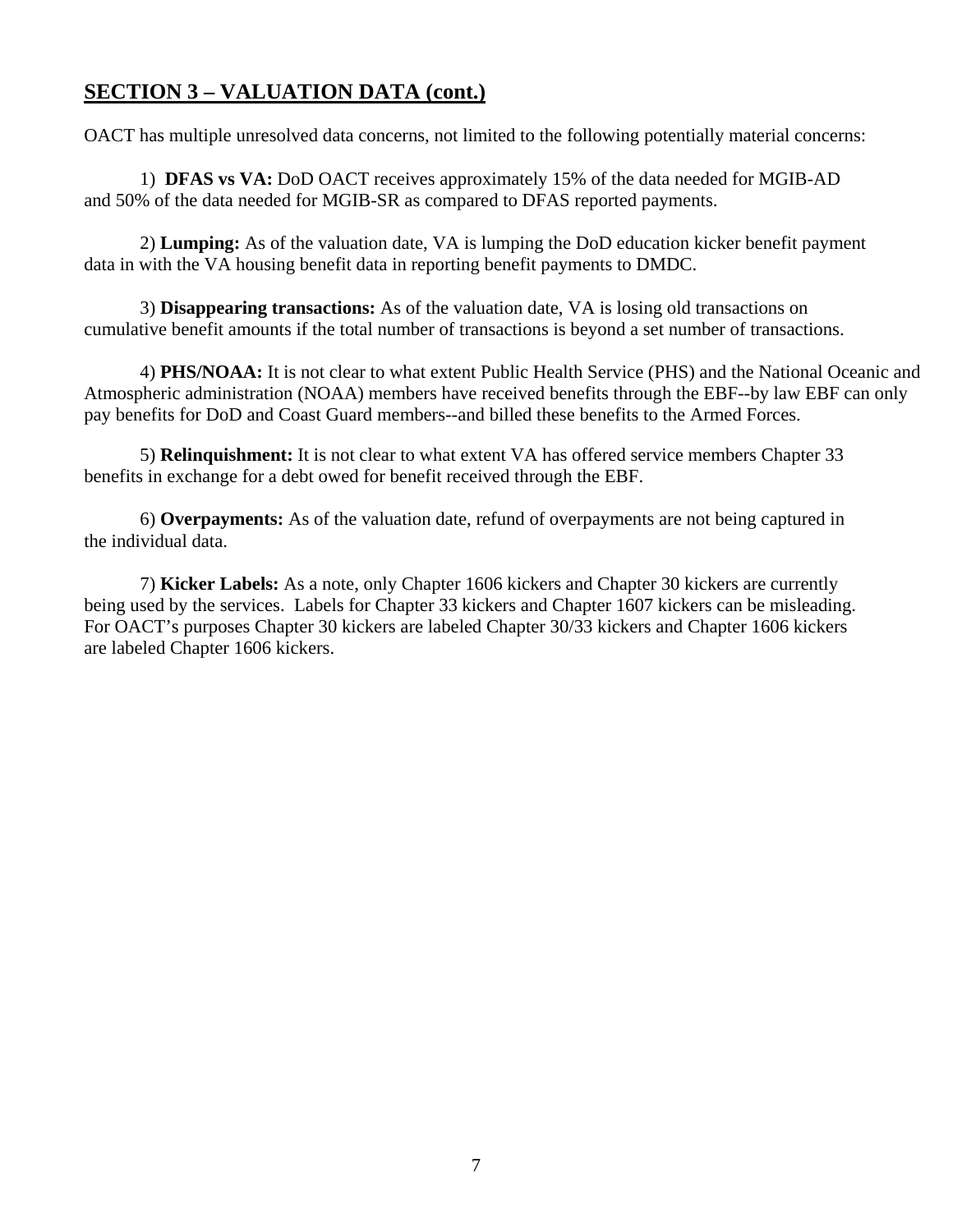## **SECTION 3 – VALUATION DATA (cont.)**

OACT has multiple unresolved data concerns, not limited to the following potentially material concerns:

1) **DFAS vs VA:** DoD OACT receives approximately 15% of the data needed for MGIB-AD and 50% of the data needed for MGIB-SR as compared to DFAS reported payments.

2) **Lumping:** As of the valuation date, VA is lumping the DoD education kicker benefit payment data in with the VA housing benefit data in reporting benefit payments to DMDC.

3) **Disappearing transactions:** As of the valuation date, VA is losing old transactions on cumulative benefit amounts if the total number of transactions is beyond a set number of transactions.

 4) **PHS/NOAA:** It is not clear to what extent Public Health Service (PHS) and the National Oceanic and Atmospheric administration (NOAA) members have received benefits through the EBF--by law EBF can only pay benefits for DoD and Coast Guard members--and billed these benefits to the Armed Forces.

5) **Relinquishment:** It is not clear to what extent VA has offered service members Chapter 33 benefits in exchange for a debt owed for benefit received through the EBF.

6) **Overpayments:** As of the valuation date, refund of overpayments are not being captured in the individual data.

7) **Kicker Labels:** As a note, only Chapter 1606 kickers and Chapter 30 kickers are currently being used by the services. Labels for Chapter 33 kickers and Chapter 1607 kickers can be misleading. For OACT's purposes Chapter 30 kickers are labeled Chapter 30/33 kickers and Chapter 1606 kickers are labeled Chapter 1606 kickers.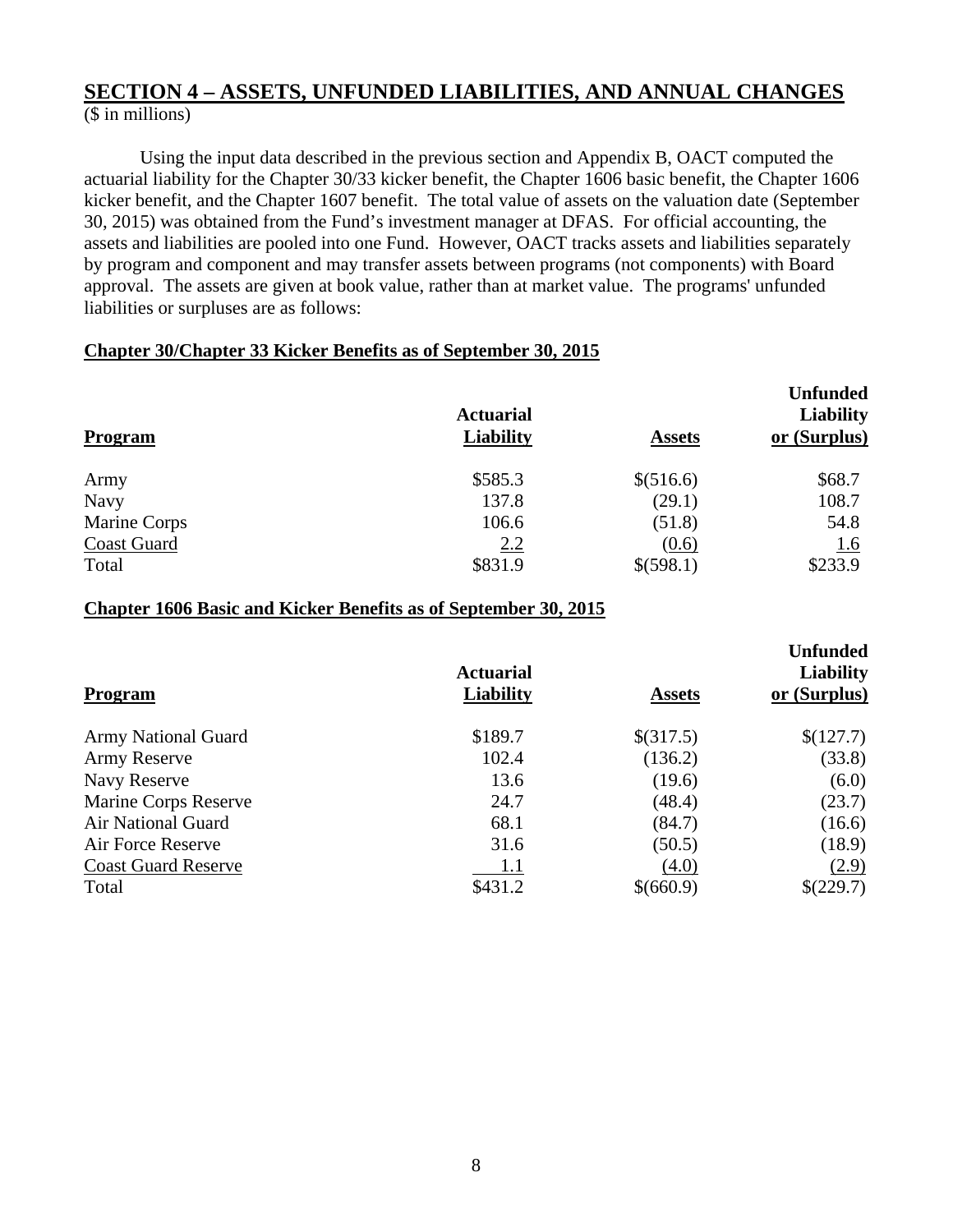Using the input data described in the previous section and Appendix B, OACT computed the actuarial liability for the Chapter 30/33 kicker benefit, the Chapter 1606 basic benefit, the Chapter 1606 kicker benefit, and the Chapter 1607 benefit. The total value of assets on the valuation date (September 30, 2015) was obtained from the Fund's investment manager at DFAS. For official accounting, the assets and liabilities are pooled into one Fund. However, OACT tracks assets and liabilities separately by program and component and may transfer assets between programs (not components) with Board approval. The assets are given at book value, rather than at market value. The programs' unfunded liabilities or surpluses are as follows:

## **Chapter 30/Chapter 33 Kicker Benefits as of September 30, 2015**

|                    |                                      |               | <b>Unfunded</b>                  |
|--------------------|--------------------------------------|---------------|----------------------------------|
| Program            | <b>Actuarial</b><br><b>Liability</b> | <b>Assets</b> | <b>Liability</b><br>or (Surplus) |
| Army               | \$585.3                              | \$(516.6)     | \$68.7                           |
| <b>Navy</b>        | 137.8                                | (29.1)        | 108.7                            |
| Marine Corps       | 106.6                                | (51.8)        | 54.8                             |
| <b>Coast Guard</b> | <u>2.2</u>                           | (0.6)         | <u>1.6</u>                       |
| Total              | \$831.9                              | \$(598.1)     | \$233.9                          |

#### **Chapter 1606 Basic and Kicker Benefits as of September 30, 2015**

|                            |                  |               | <b>Unfunded</b>  |
|----------------------------|------------------|---------------|------------------|
|                            | <b>Actuarial</b> |               | <b>Liability</b> |
| <b>Program</b>             | <b>Liability</b> | <b>Assets</b> | or (Surplus)     |
| <b>Army National Guard</b> | \$189.7          | \$(317.5)     | \$(127.7)        |
| <b>Army Reserve</b>        | 102.4            | (136.2)       | (33.8)           |
| Navy Reserve               | 13.6             | (19.6)        | (6.0)            |
| Marine Corps Reserve       | 24.7             | (48.4)        | (23.7)           |
| <b>Air National Guard</b>  | 68.1             | (84.7)        | (16.6)           |
| Air Force Reserve          | 31.6             | (50.5)        | (18.9)           |
| <b>Coast Guard Reserve</b> | 1.1              | (4.0)         | (2.9)            |
| Total                      | \$431.2          | \$(660.9)     | \$(229.7)        |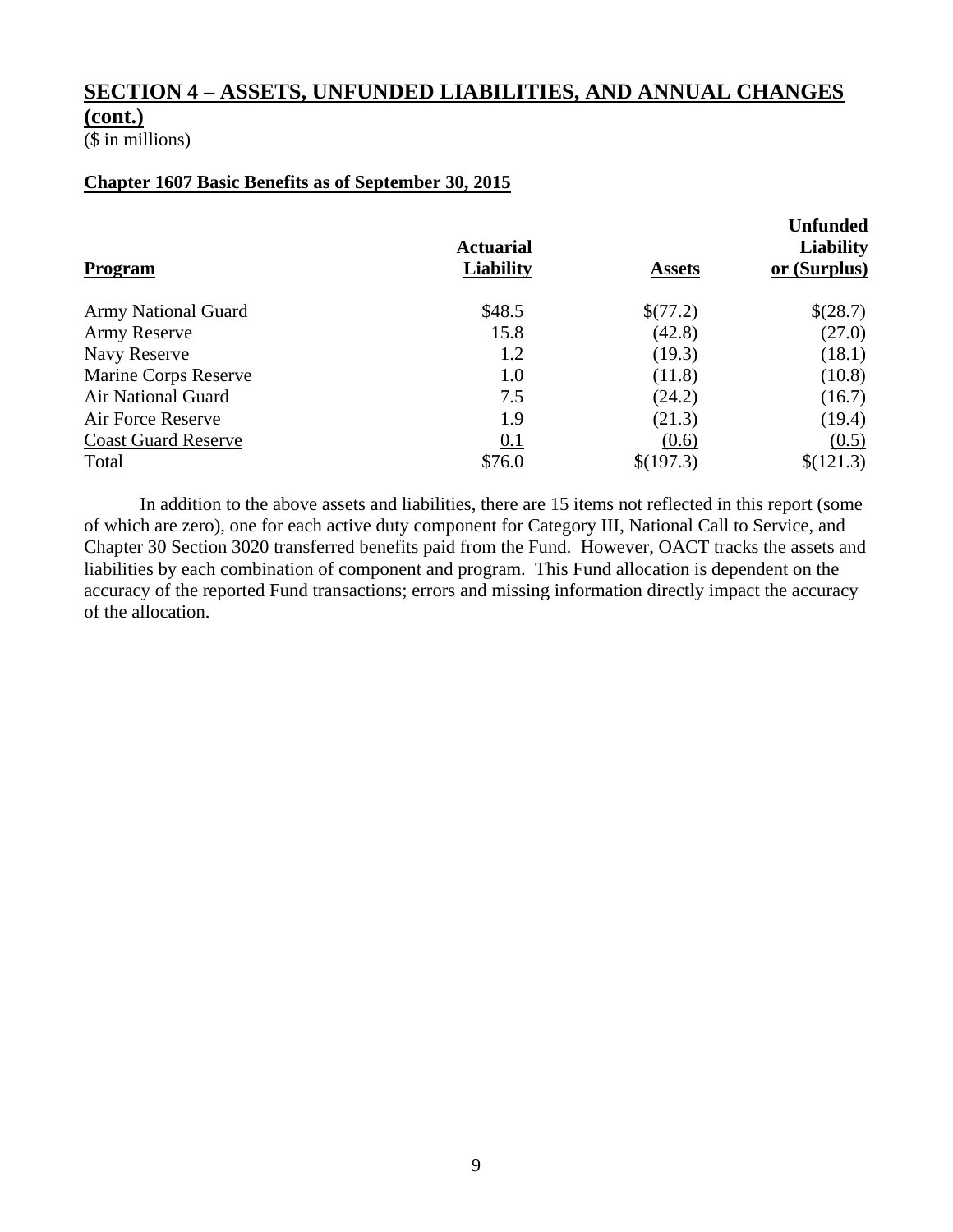(\$ in millions)

## **Chapter 1607 Basic Benefits as of September 30, 2015**

| <b>Program</b>             | <b>Actuarial</b><br><b>Liability</b> | <b>Assets</b> | <b>Unfunded</b><br><b>Liability</b><br>or (Surplus) |
|----------------------------|--------------------------------------|---------------|-----------------------------------------------------|
| <b>Army National Guard</b> | \$48.5                               | \$(77.2)      | \$(28.7)                                            |
| Army Reserve               | 15.8                                 | (42.8)        | (27.0)                                              |
| Navy Reserve               | 1.2                                  | (19.3)        | (18.1)                                              |
| Marine Corps Reserve       | 1.0                                  | (11.8)        | (10.8)                                              |
| Air National Guard         | 7.5                                  | (24.2)        | (16.7)                                              |
| Air Force Reserve          | 1.9                                  | (21.3)        | (19.4)                                              |
| <b>Coast Guard Reserve</b> | 0.1                                  | (0.6)         | (0.5)                                               |
| Total                      | \$76.0                               | \$(197.3)     | \$(121.3)                                           |

 In addition to the above assets and liabilities, there are 15 items not reflected in this report (some of which are zero), one for each active duty component for Category III, National Call to Service, and Chapter 30 Section 3020 transferred benefits paid from the Fund. However, OACT tracks the assets and liabilities by each combination of component and program. This Fund allocation is dependent on the accuracy of the reported Fund transactions; errors and missing information directly impact the accuracy of the allocation.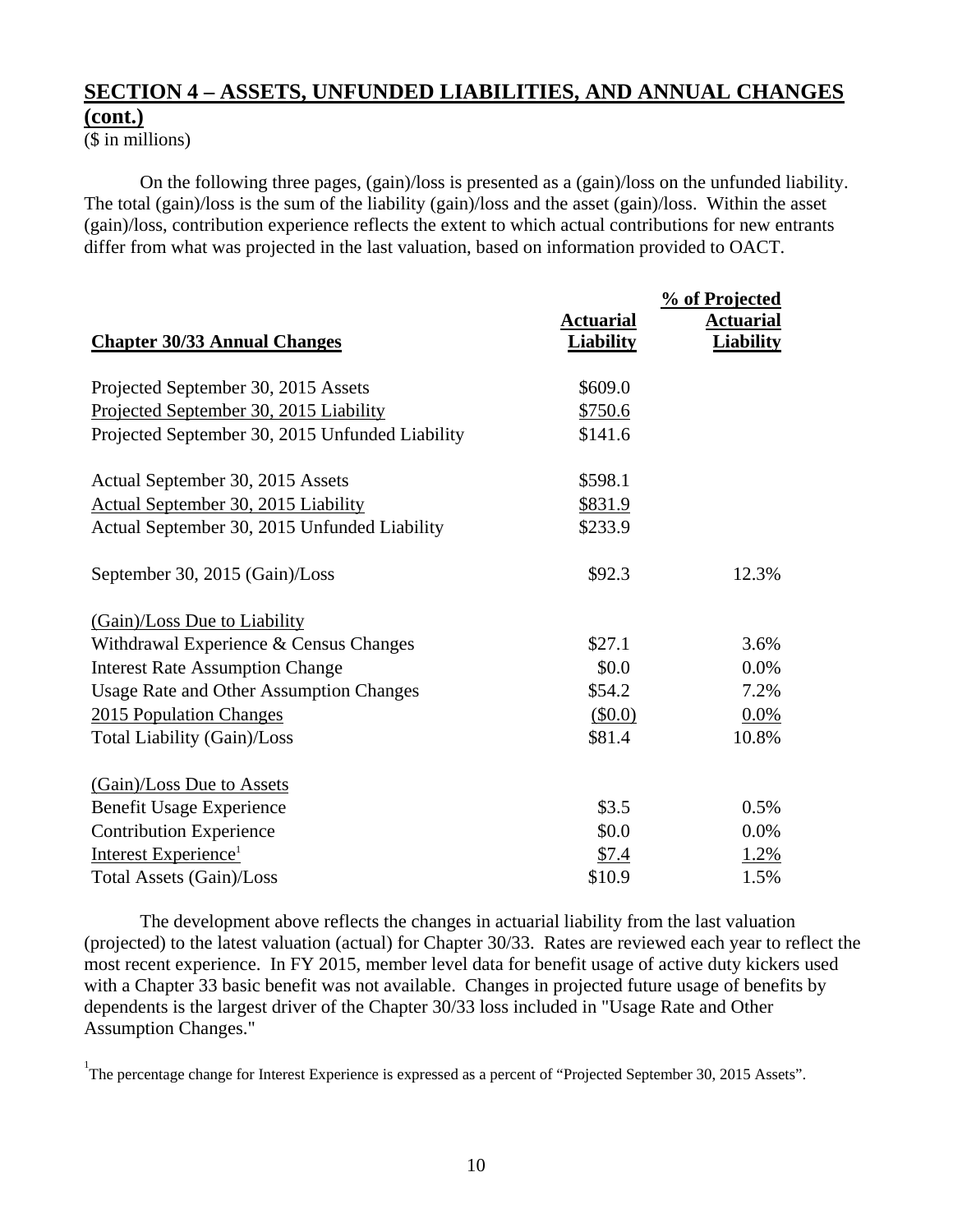(\$ in millions)

On the following three pages, (gain)/loss is presented as a (gain)/loss on the unfunded liability. The total (gain)/loss is the sum of the liability (gain)/loss and the asset (gain)/loss. Within the asset (gain)/loss, contribution experience reflects the extent to which actual contributions for new entrants differ from what was projected in the last valuation, based on information provided to OACT.

| <b>Chapter 30/33 Annual Changes</b>             | <b>Actuarial</b><br><b>Liability</b> | % of Projected<br><b>Actuarial</b><br><b>Liability</b> |
|-------------------------------------------------|--------------------------------------|--------------------------------------------------------|
| Projected September 30, 2015 Assets             | \$609.0                              |                                                        |
| Projected September 30, 2015 Liability          | \$750.6                              |                                                        |
| Projected September 30, 2015 Unfunded Liability | \$141.6                              |                                                        |
| Actual September 30, 2015 Assets                | \$598.1                              |                                                        |
| Actual September 30, 2015 Liability             | \$831.9                              |                                                        |
| Actual September 30, 2015 Unfunded Liability    | \$233.9                              |                                                        |
| September 30, 2015 (Gain)/Loss                  | \$92.3                               | 12.3%                                                  |
| (Gain)/Loss Due to Liability                    |                                      |                                                        |
| Withdrawal Experience & Census Changes          | \$27.1                               | 3.6%                                                   |
| <b>Interest Rate Assumption Change</b>          | \$0.0                                | 0.0%                                                   |
| <b>Usage Rate and Other Assumption Changes</b>  | \$54.2                               | 7.2%                                                   |
| 2015 Population Changes                         | (\$0.0)                              | 0.0%                                                   |
| <b>Total Liability (Gain)/Loss</b>              | \$81.4                               | 10.8%                                                  |
| (Gain)/Loss Due to Assets                       |                                      |                                                        |
| <b>Benefit Usage Experience</b>                 | \$3.5                                | 0.5%                                                   |
| <b>Contribution Experience</b>                  | \$0.0                                | 0.0%                                                   |
| Interest Experience <sup>1</sup>                | \$7.4                                | 1.2%                                                   |
| Total Assets (Gain)/Loss                        | \$10.9                               | 1.5%                                                   |

 The development above reflects the changes in actuarial liability from the last valuation (projected) to the latest valuation (actual) for Chapter 30/33. Rates are reviewed each year to reflect the most recent experience. In FY 2015, member level data for benefit usage of active duty kickers used with a Chapter 33 basic benefit was not available. Changes in projected future usage of benefits by dependents is the largest driver of the Chapter 30/33 loss included in "Usage Rate and Other Assumption Changes."

<sup>1</sup>The percentage change for Interest Experience is expressed as a percent of "Projected September 30, 2015 Assets".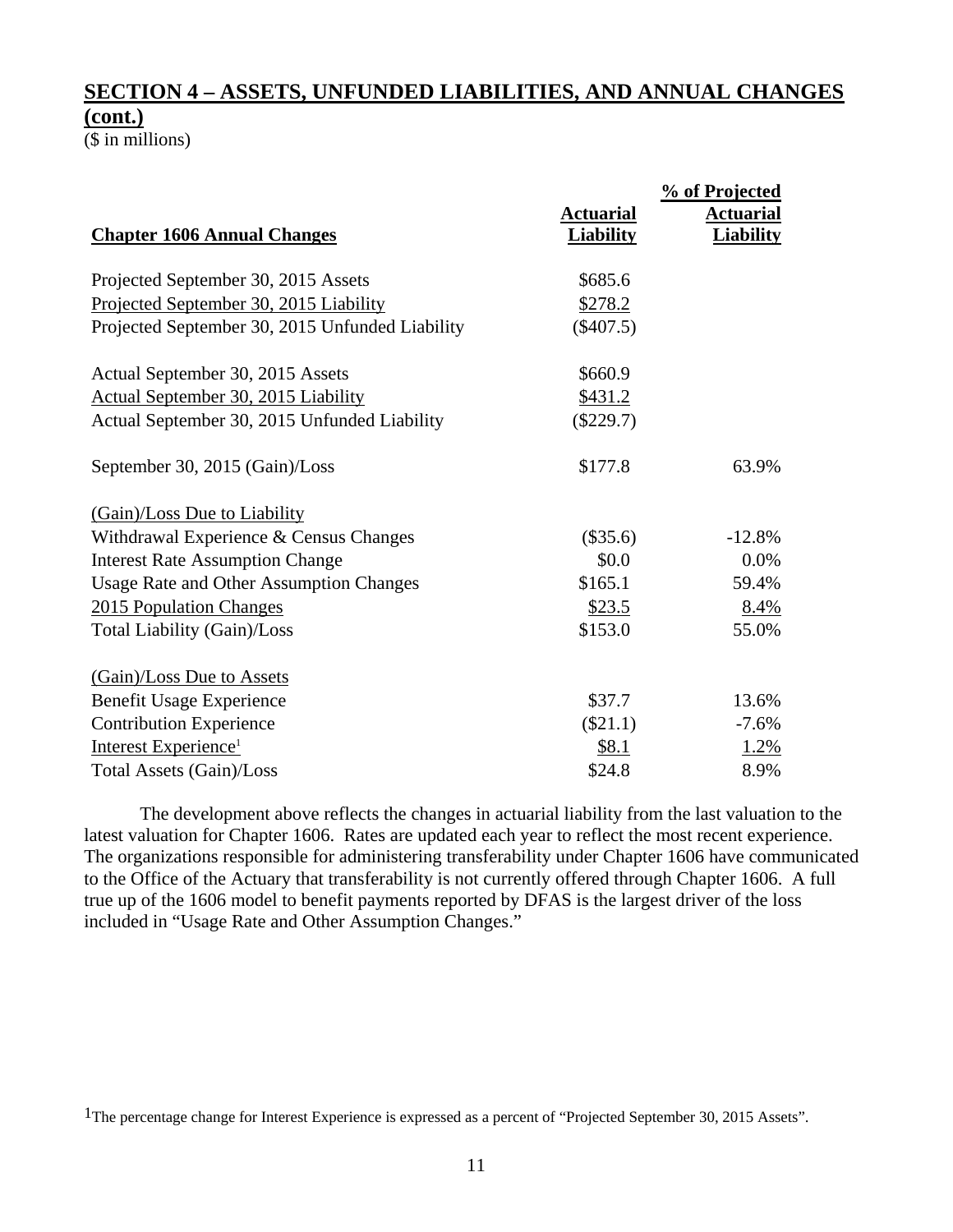(\$ in millions)

|                                                 |                  | % of Projected   |
|-------------------------------------------------|------------------|------------------|
|                                                 | <b>Actuarial</b> | <b>Actuarial</b> |
| <b>Chapter 1606 Annual Changes</b>              | <b>Liability</b> | <b>Liability</b> |
| Projected September 30, 2015 Assets             | \$685.6          |                  |
| Projected September 30, 2015 Liability          | \$278.2          |                  |
| Projected September 30, 2015 Unfunded Liability | $(\$407.5)$      |                  |
| Actual September 30, 2015 Assets                | \$660.9          |                  |
| <b>Actual September 30, 2015 Liability</b>      | \$431.2          |                  |
| Actual September 30, 2015 Unfunded Liability    | $(\$229.7)$      |                  |
| September 30, 2015 (Gain)/Loss                  | \$177.8          | 63.9%            |
| (Gain)/Loss Due to Liability                    |                  |                  |
| Withdrawal Experience & Census Changes          | $(\$35.6)$       | $-12.8%$         |
| <b>Interest Rate Assumption Change</b>          | \$0.0            | 0.0%             |
| <b>Usage Rate and Other Assumption Changes</b>  | \$165.1          | 59.4%            |
| 2015 Population Changes                         | \$23.5           | 8.4%             |
| <b>Total Liability (Gain)/Loss</b>              | \$153.0          | 55.0%            |
| (Gain)/Loss Due to Assets                       |                  |                  |
| <b>Benefit Usage Experience</b>                 | \$37.7           | 13.6%            |
| <b>Contribution Experience</b>                  | $(\$21.1)$       | $-7.6%$          |
| Interest Experience <sup>1</sup>                | \$8.1            | 1.2%             |
| Total Assets (Gain)/Loss                        | \$24.8           | 8.9%             |

 The development above reflects the changes in actuarial liability from the last valuation to the latest valuation for Chapter 1606. Rates are updated each year to reflect the most recent experience. The organizations responsible for administering transferability under Chapter 1606 have communicated to the Office of the Actuary that transferability is not currently offered through Chapter 1606. A full true up of the 1606 model to benefit payments reported by DFAS is the largest driver of the loss included in "Usage Rate and Other Assumption Changes."

<sup>1</sup>The percentage change for Interest Experience is expressed as a percent of "Projected September 30, 2015 Assets".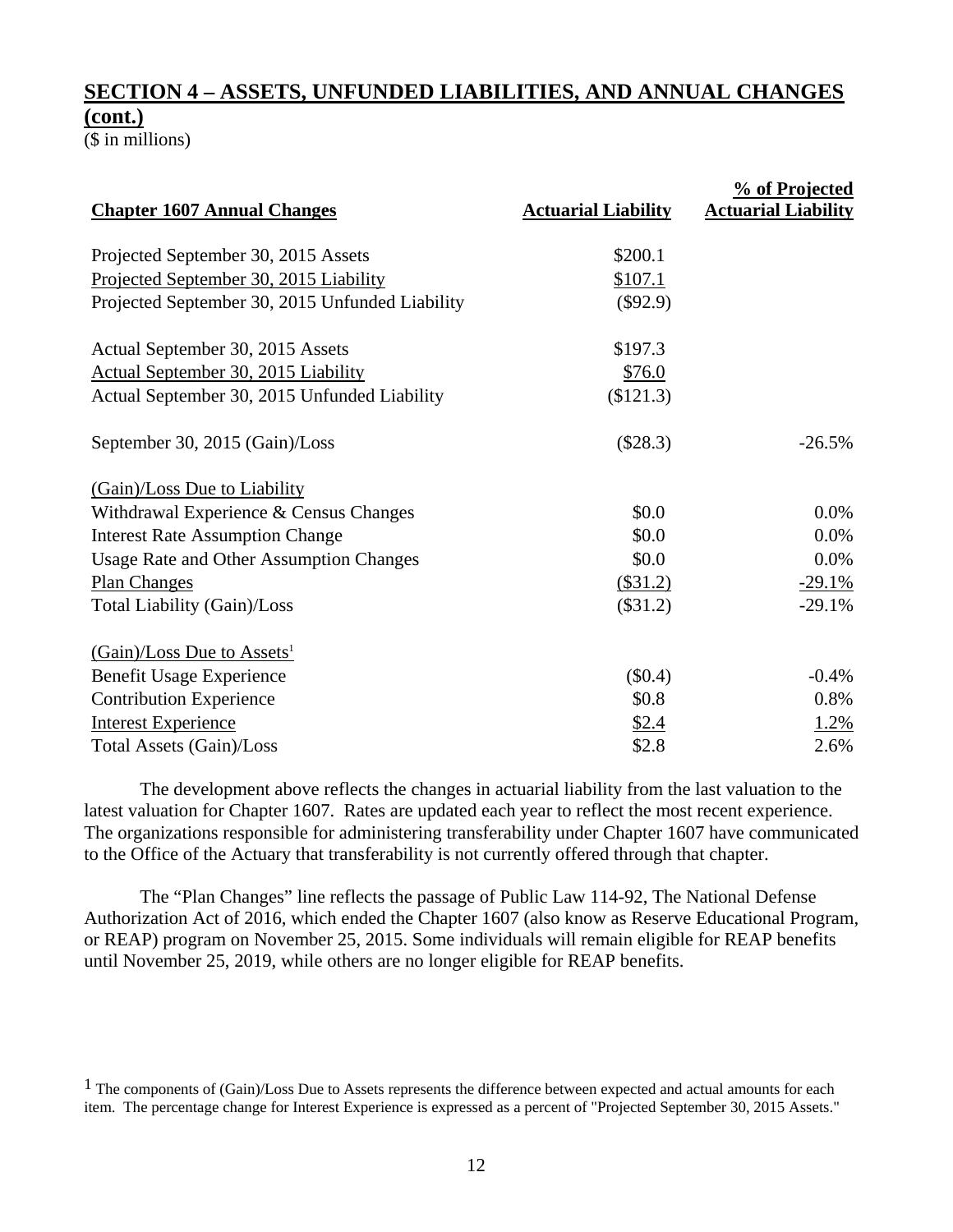(\$ in millions)

| <b>Chapter 1607 Annual Changes</b>              | <b>Actuarial Liability</b> | <b>% of Projected</b><br><b>Actuarial Liability</b> |
|-------------------------------------------------|----------------------------|-----------------------------------------------------|
|                                                 |                            |                                                     |
| Projected September 30, 2015 Assets             | \$200.1                    |                                                     |
| Projected September 30, 2015 Liability          | \$107.1                    |                                                     |
| Projected September 30, 2015 Unfunded Liability | $(\$92.9)$                 |                                                     |
| Actual September 30, 2015 Assets                | \$197.3                    |                                                     |
| Actual September 30, 2015 Liability             | \$76.0                     |                                                     |
| Actual September 30, 2015 Unfunded Liability    | (\$121.3)                  |                                                     |
| September 30, 2015 (Gain)/Loss                  | (\$28.3)                   | $-26.5%$                                            |
| (Gain)/Loss Due to Liability                    |                            |                                                     |
| Withdrawal Experience & Census Changes          | \$0.0                      | $0.0\%$                                             |
| <b>Interest Rate Assumption Change</b>          | \$0.0                      | 0.0%                                                |
| <b>Usage Rate and Other Assumption Changes</b>  | \$0.0                      | 0.0%                                                |
| <b>Plan Changes</b>                             | (\$31.2)                   | $-29.1%$                                            |
| Total Liability (Gain)/Loss                     | (\$31.2)                   | $-29.1%$                                            |
| $(Gain)/Loss$ Due to Assets <sup>1</sup>        |                            |                                                     |
| <b>Benefit Usage Experience</b>                 | $(\$0.4)$                  | $-0.4%$                                             |
| <b>Contribution Experience</b>                  | \$0.8                      | 0.8%                                                |
| <b>Interest Experience</b>                      | \$2.4                      | 1.2%                                                |
| Total Assets (Gain)/Loss                        | \$2.8                      | 2.6%                                                |

 The development above reflects the changes in actuarial liability from the last valuation to the latest valuation for Chapter 1607. Rates are updated each year to reflect the most recent experience. The organizations responsible for administering transferability under Chapter 1607 have communicated to the Office of the Actuary that transferability is not currently offered through that chapter.

 The "Plan Changes" line reflects the passage of Public Law 114-92, The National Defense Authorization Act of 2016, which ended the Chapter 1607 (also know as Reserve Educational Program, or REAP) program on November 25, 2015. Some individuals will remain eligible for REAP benefits until November 25, 2019, while others are no longer eligible for REAP benefits.

<sup>1</sup> The components of (Gain)/Loss Due to Assets represents the difference between expected and actual amounts for each item. The percentage change for Interest Experience is expressed as a percent of "Projected September 30, 2015 Assets."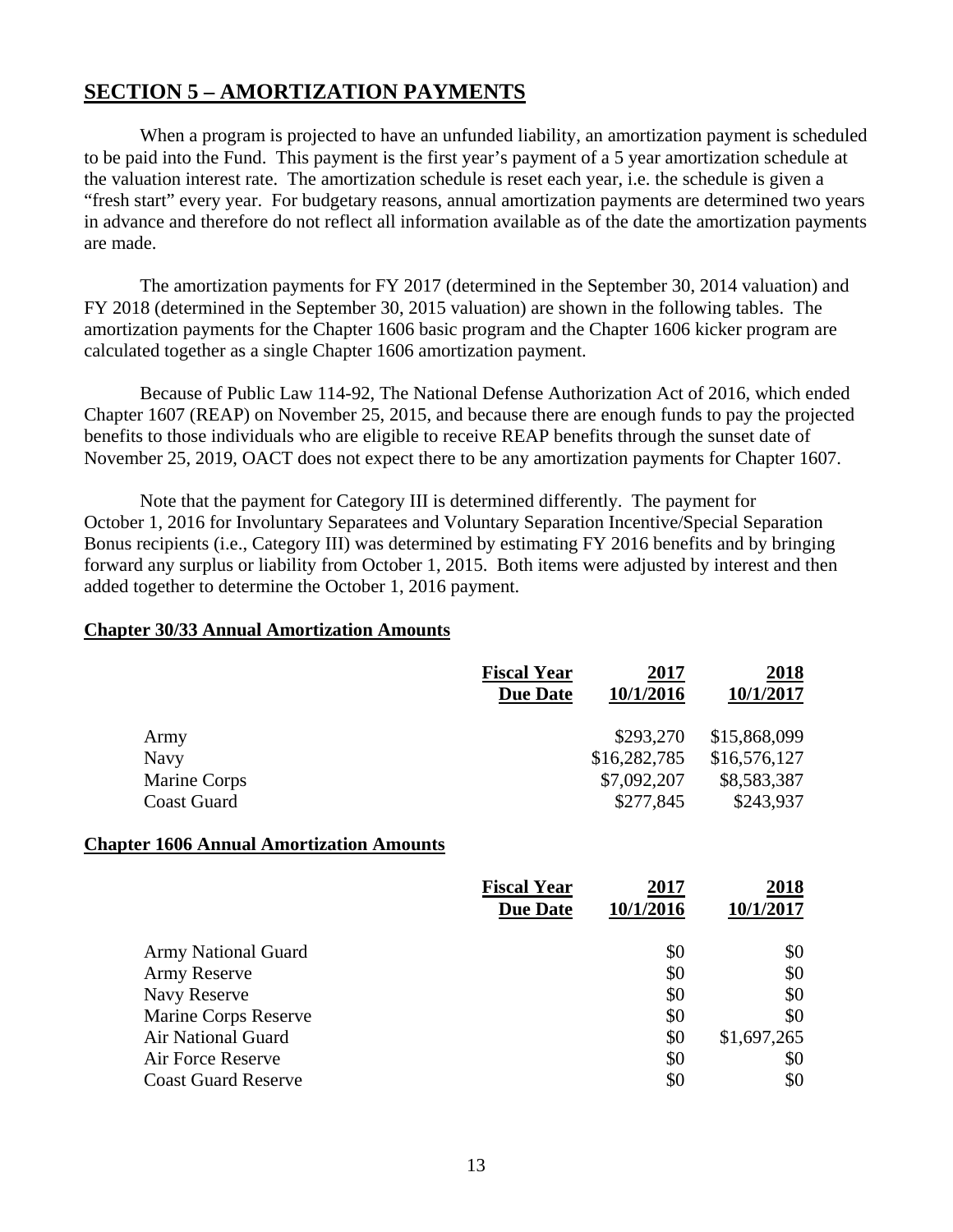## **SECTION 5 – AMORTIZATION PAYMENTS**

 When a program is projected to have an unfunded liability, an amortization payment is scheduled to be paid into the Fund. This payment is the first year's payment of a 5 year amortization schedule at the valuation interest rate. The amortization schedule is reset each year, i.e. the schedule is given a "fresh start" every year. For budgetary reasons, annual amortization payments are determined two years in advance and therefore do not reflect all information available as of the date the amortization payments are made.

 The amortization payments for FY 2017 (determined in the September 30, 2014 valuation) and FY 2018 (determined in the September 30, 2015 valuation) are shown in the following tables. The amortization payments for the Chapter 1606 basic program and the Chapter 1606 kicker program are calculated together as a single Chapter 1606 amortization payment.

 Because of Public Law 114-92, The National Defense Authorization Act of 2016, which ended Chapter 1607 (REAP) on November 25, 2015, and because there are enough funds to pay the projected benefits to those individuals who are eligible to receive REAP benefits through the sunset date of November 25, 2019, OACT does not expect there to be any amortization payments for Chapter 1607.

 Note that the payment for Category III is determined differently. The payment for October 1, 2016 for Involuntary Separatees and Voluntary Separation Incentive/Special Separation Bonus recipients (i.e., Category III) was determined by estimating FY 2016 benefits and by bringing forward any surplus or liability from October 1, 2015. Both items were adjusted by interest and then added together to determine the October 1, 2016 payment.

#### **Chapter 30/33 Annual Amortization Amounts**

|                    | <b>Fiscal Year</b> | 2017         | 2018         |
|--------------------|--------------------|--------------|--------------|
|                    | <b>Due Date</b>    | 10/1/2016    | 10/1/2017    |
| Army               |                    | \$293,270    | \$15,868,099 |
| Navy               |                    | \$16,282,785 | \$16,576,127 |
| Marine Corps       |                    | \$7,092,207  | \$8,583,387  |
| <b>Coast Guard</b> |                    | \$277,845    | \$243,937    |

#### **Chapter 1606 Annual Amortization Amounts**

|                            | <b>Fiscal Year</b><br><b>Due Date</b> | 2017<br>10/1/2016 | 2018<br>10/1/2017 |
|----------------------------|---------------------------------------|-------------------|-------------------|
| <b>Army National Guard</b> |                                       | \$0               | \$0               |
| Army Reserve               |                                       | \$0               | \$0               |
| Navy Reserve               |                                       | \$0               | \$0               |
| Marine Corps Reserve       |                                       | \$0               | \$0               |
| <b>Air National Guard</b>  |                                       | \$0               | \$1,697,265       |
| Air Force Reserve          |                                       | \$0               | \$0               |
| <b>Coast Guard Reserve</b> |                                       | \$0               | \$0               |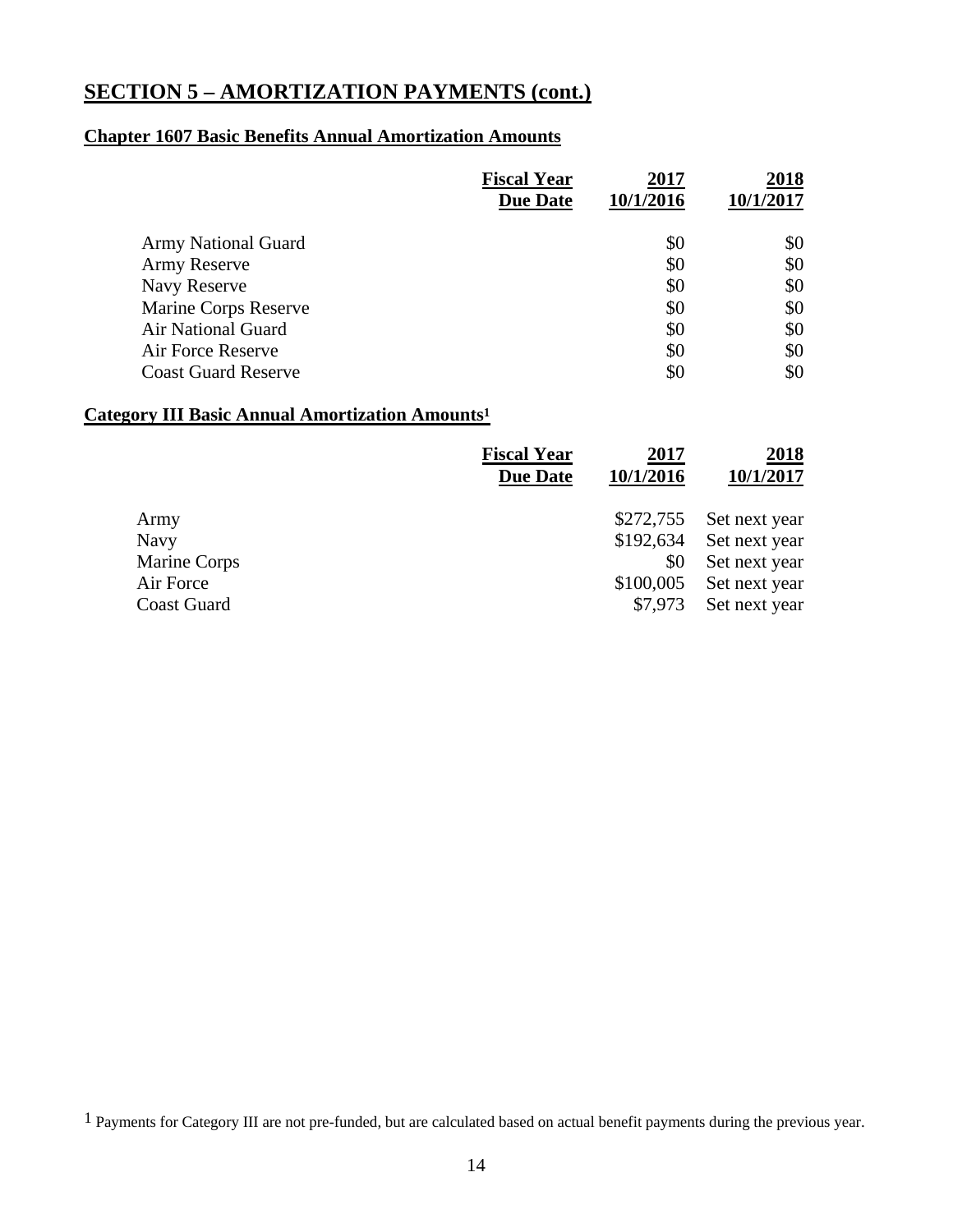## **SECTION 5 – AMORTIZATION PAYMENTS (cont.)**

## **Chapter 1607 Basic Benefits Annual Amortization Amounts**

|                            | <b>Fiscal Year</b> | 2017      | 2018      |
|----------------------------|--------------------|-----------|-----------|
|                            | <b>Due Date</b>    | 10/1/2016 | 10/1/2017 |
| <b>Army National Guard</b> |                    | \$0       | \$0       |
| <b>Army Reserve</b>        |                    | \$0       | \$0       |
| Navy Reserve               |                    | \$0       | \$0       |
| Marine Corps Reserve       |                    | \$0       | \$0       |
| Air National Guard         |                    | \$0       | \$0       |
| Air Force Reserve          |                    | \$0       | \$0       |
| <b>Coast Guard Reserve</b> |                    | \$0       | \$0       |

## **Category III Basic Annual Amortization Amounts1**

|                    | <b>Fiscal Year</b><br><b>Due Date</b> | 2017<br>10/1/2016 | 2018<br>10/1/2017 |
|--------------------|---------------------------------------|-------------------|-------------------|
| Army               |                                       | \$272,755         | Set next year     |
| <b>Navy</b>        |                                       | \$192,634         | Set next year     |
| Marine Corps       |                                       | \$0               | Set next year     |
| Air Force          |                                       | \$100,005         | Set next year     |
| <b>Coast Guard</b> |                                       | \$7,973           | Set next year     |

1 Payments for Category III are not pre-funded, but are calculated based on actual benefit payments during the previous year.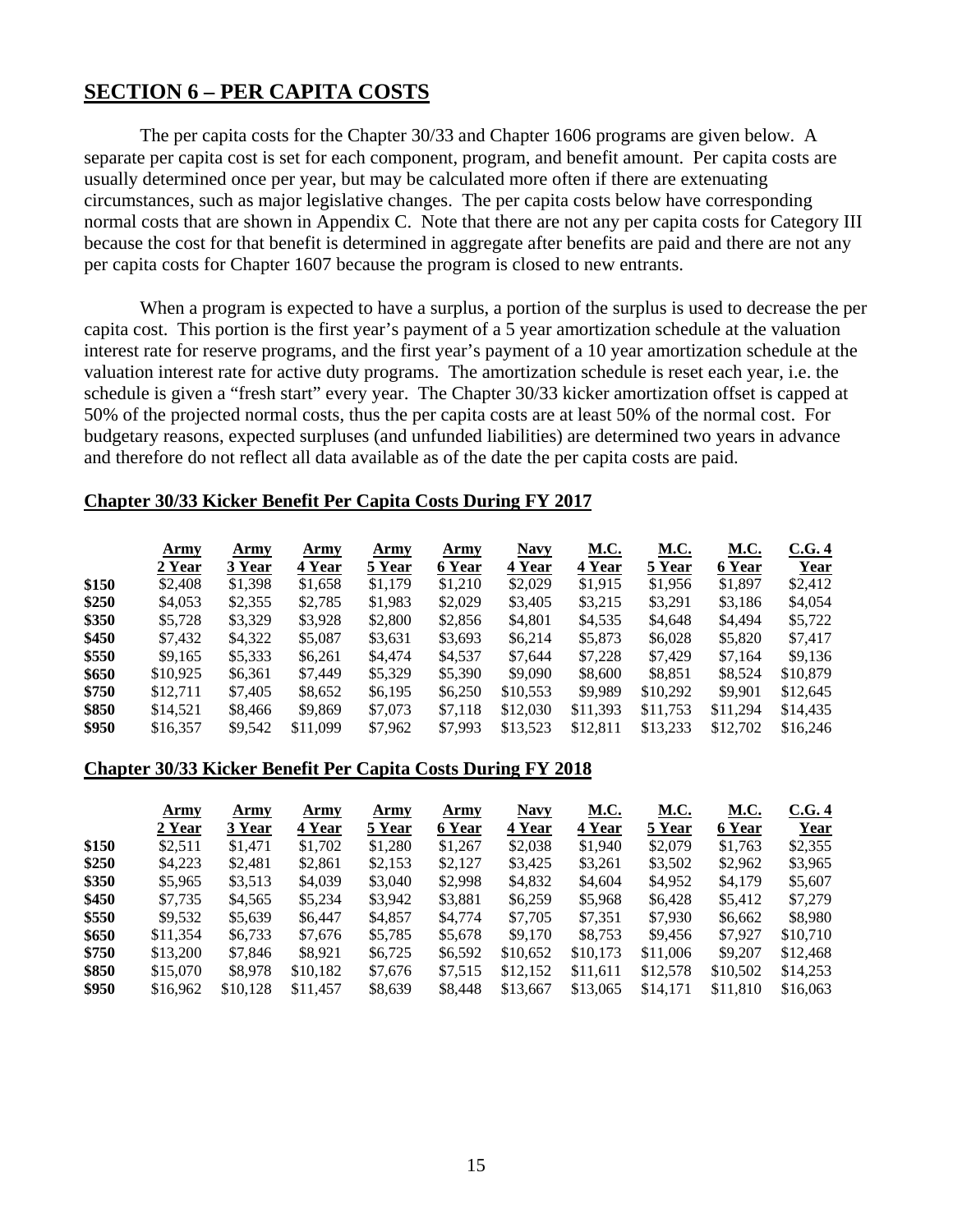## **SECTION 6 – PER CAPITA COSTS**

 The per capita costs for the Chapter 30/33 and Chapter 1606 programs are given below. A separate per capita cost is set for each component, program, and benefit amount. Per capita costs are usually determined once per year, but may be calculated more often if there are extenuating circumstances, such as major legislative changes. The per capita costs below have corresponding normal costs that are shown in Appendix C. Note that there are not any per capita costs for Category III because the cost for that benefit is determined in aggregate after benefits are paid and there are not any per capita costs for Chapter 1607 because the program is closed to new entrants.

 When a program is expected to have a surplus, a portion of the surplus is used to decrease the per capita cost. This portion is the first year's payment of a 5 year amortization schedule at the valuation interest rate for reserve programs, and the first year's payment of a 10 year amortization schedule at the valuation interest rate for active duty programs. The amortization schedule is reset each year, i.e. the schedule is given a "fresh start" every year. The Chapter 30/33 kicker amortization offset is capped at 50% of the projected normal costs, thus the per capita costs are at least 50% of the normal cost. For budgetary reasons, expected surpluses (and unfunded liabilities) are determined two years in advance and therefore do not reflect all data available as of the date the per capita costs are paid.

#### **Chapter 30/33 Kicker Benefit Per Capita Costs During FY 2017**

|       | Army     | Army    | Army     | Army    | Army    | <b>Navy</b> | <u>M.C.</u> | <u>M.C.</u> | <u>M.C.</u> | C.G.4       |
|-------|----------|---------|----------|---------|---------|-------------|-------------|-------------|-------------|-------------|
|       | 2 Year   | 3 Year  | 4 Year   | 5 Year  | 6 Year  | 4 Year      | 4 Year      | 5 Year      | 6 Year      | <b>Year</b> |
| \$150 | \$2,408  | \$1,398 | \$1,658  | \$1,179 | \$1,210 | \$2,029     | \$1,915     | \$1,956     | \$1,897     | \$2,412     |
| \$250 | \$4,053  | \$2,355 | \$2,785  | \$1,983 | \$2,029 | \$3,405     | \$3,215     | \$3,291     | \$3,186     | \$4,054     |
| \$350 | \$5,728  | \$3,329 | \$3,928  | \$2,800 | \$2,856 | \$4,801     | \$4,535     | \$4,648     | \$4,494     | \$5,722     |
| \$450 | \$7,432  | \$4,322 | \$5,087  | \$3,631 | \$3,693 | \$6,214     | \$5,873     | \$6,028     | \$5,820     | \$7,417     |
| \$550 | \$9,165  | \$5,333 | \$6,261  | \$4,474 | \$4,537 | \$7,644     | \$7,228     | \$7,429     | \$7.164     | \$9.136     |
| \$650 | \$10.925 | \$6,361 | \$7,449  | \$5,329 | \$5,390 | \$9,090     | \$8,600     | \$8,851     | \$8,524     | \$10,879    |
| \$750 | \$12.711 | \$7,405 | \$8,652  | \$6,195 | \$6,250 | \$10,553    | \$9,989     | \$10,292    | \$9,901     | \$12,645    |
| \$850 | \$14,521 | \$8,466 | \$9,869  | \$7,073 | \$7,118 | \$12,030    | \$11,393    | \$11,753    | \$11.294    | \$14,435    |
| \$950 | \$16,357 | \$9,542 | \$11,099 | \$7,962 | \$7,993 | \$13,523    | \$12,811    | \$13,233    | \$12,702    | \$16,246    |

#### **Chapter 30/33 Kicker Benefit Per Capita Costs During FY 2018**

|       | Army     | Army     | Army     | Army    | Army    | <b>Navy</b> | <u>M.C.</u> | <u>M.C.</u> | <u>M.C.</u> | C.G.4    |
|-------|----------|----------|----------|---------|---------|-------------|-------------|-------------|-------------|----------|
|       | 2 Year   | 3 Year   | 4 Year   | 5 Year  | 6 Year  | 4 Year      | 4 Year      | 5 Year      | 6 Year      | Year     |
| \$150 | \$2,511  | \$1.471  | \$1,702  | \$1,280 | \$1,267 | \$2,038     | \$1,940     | \$2,079     | \$1,763     | \$2,355  |
| \$250 | \$4,223  | \$2,481  | \$2,861  | \$2,153 | \$2,127 | \$3,425     | \$3,261     | \$3,502     | \$2,962     | \$3,965  |
| \$350 | \$5,965  | \$3,513  | \$4,039  | \$3,040 | \$2,998 | \$4,832     | \$4,604     | \$4,952     | \$4,179     | \$5,607  |
| \$450 | \$7.735  | \$4.565  | \$5,234  | \$3,942 | \$3,881 | \$6,259     | \$5,968     | \$6.428     | \$5,412     | \$7,279  |
| \$550 | \$9,532  | \$5,639  | \$6,447  | \$4,857 | \$4,774 | \$7,705     | \$7,351     | \$7,930     | \$6,662     | \$8,980  |
| \$650 | \$11,354 | \$6,733  | \$7,676  | \$5,785 | \$5,678 | \$9,170     | \$8.753     | \$9.456     | \$7.927     | \$10,710 |
| \$750 | \$13,200 | \$7,846  | \$8,921  | \$6,725 | \$6,592 | \$10,652    | \$10,173    | \$11,006    | \$9,207     | \$12,468 |
| \$850 | \$15,070 | \$8,978  | \$10,182 | \$7,676 | \$7,515 | \$12,152    | \$11,611    | \$12,578    | \$10,502    | \$14,253 |
| \$950 | \$16,962 | \$10,128 | \$11.457 | \$8,639 | \$8,448 | \$13,667    | \$13,065    | \$14,171    | \$11,810    | \$16,063 |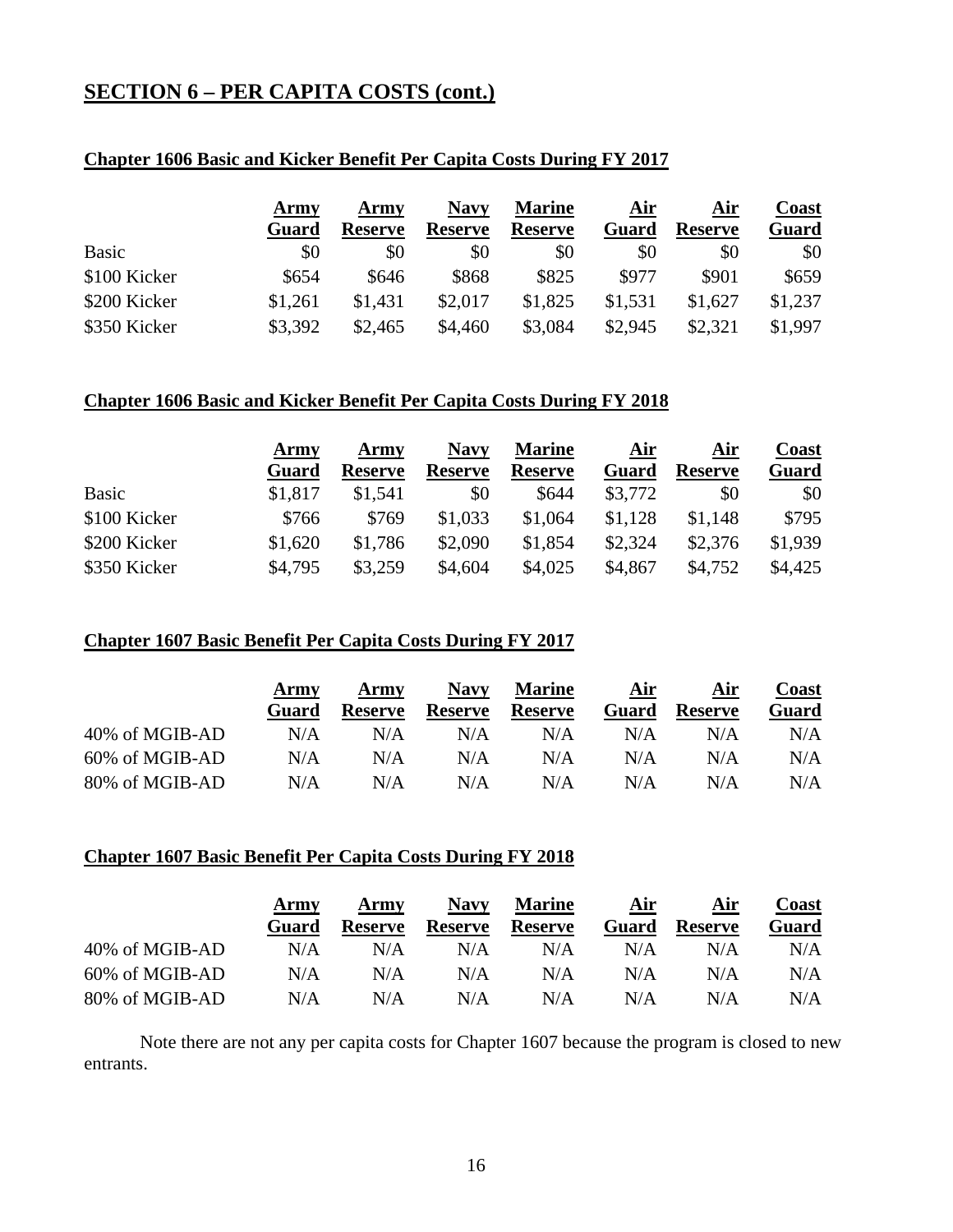## **SECTION 6 – PER CAPITA COSTS (cont.)**

## **Chapter 1606 Basic and Kicker Benefit Per Capita Costs During FY 2017**

|              | Army    | Army           | Navy           | <b>Marine</b>  | <u>Air</u> | Air            | Coast   |
|--------------|---------|----------------|----------------|----------------|------------|----------------|---------|
|              | Guard   | <b>Reserve</b> | <b>Reserve</b> | <b>Reserve</b> | Guard      | <b>Reserve</b> | Guard   |
| Basic        | \$0     | \$0            | \$0            | \$0            | \$0        | \$0            | \$0     |
| \$100 Kicker | \$654   | \$646          | \$868          | \$825          | \$977      | \$901          | \$659   |
| \$200 Kicker | \$1,261 | \$1,431        | \$2,017        | \$1,825        | \$1,531    | \$1,627        | \$1,237 |
| \$350 Kicker | \$3,392 | \$2,465        | \$4,460        | \$3,084        | \$2,945    | \$2,321        | \$1,997 |

## **Chapter 1606 Basic and Kicker Benefit Per Capita Costs During FY 2018**

|              | Army    | Army           | <b>Navy</b>    | <b>Marine</b>  | Air     | Air            | Coast   |
|--------------|---------|----------------|----------------|----------------|---------|----------------|---------|
|              | Guard   | <b>Reserve</b> | <b>Reserve</b> | <b>Reserve</b> | Guard   | <b>Reserve</b> | Guard   |
| <b>Basic</b> | \$1,817 | \$1,541        | \$0            | \$644          | \$3,772 | \$0            | \$0     |
| \$100 Kicker | \$766   | \$769          | \$1,033        | \$1,064        | \$1,128 | \$1,148        | \$795   |
| \$200 Kicker | \$1,620 | \$1,786        | \$2,090        | \$1,854        | \$2,324 | \$2,376        | \$1,939 |
| \$350 Kicker | \$4,795 | \$3,259        | \$4,604        | \$4,025        | \$4,867 | \$4,752        | \$4,425 |

## **Chapter 1607 Basic Benefit Per Capita Costs During FY 2017**

|                | Army  | Army           | <b>Navy</b>    | <b>Marine</b>  | Air   | Air            | Coast |
|----------------|-------|----------------|----------------|----------------|-------|----------------|-------|
|                | Guard | <b>Reserve</b> | <b>Reserve</b> | <b>Reserve</b> | Guard | <b>Reserve</b> | Guard |
| 40% of MGIB-AD | N/A   | N/A            | N/A            | N/A            | N/A   | N/A            | N/A   |
| 60% of MGIB-AD | N/A   | N/A            | N/A            | N/A            | N/A   | N/A            | N/A   |
| 80% of MGIB-AD | N/A   | N/A            | N/A            | N/A            | N/A   | N/A            | N/A   |

## **Chapter 1607 Basic Benefit Per Capita Costs During FY 2018**

|                | Army  | Army           | <b>Navy</b>    | <b>Marine</b>  | Air   | Air            | Coast |
|----------------|-------|----------------|----------------|----------------|-------|----------------|-------|
|                | Guard | <b>Reserve</b> | <b>Reserve</b> | <b>Reserve</b> | Guard | <b>Reserve</b> | Guard |
| 40% of MGIB-AD | N/A   | N/A            | N/A            | N/A            | N/A   | N/A            | N/A   |
| 60% of MGIB-AD | N/A   | N/A            | N/A            | N/A            | N/A   | N/A            | N/A   |
| 80% of MGIB-AD | N/A   | N/A            | N/A            | N/A            | N/A   | N/A            | N/A   |

 Note there are not any per capita costs for Chapter 1607 because the program is closed to new entrants.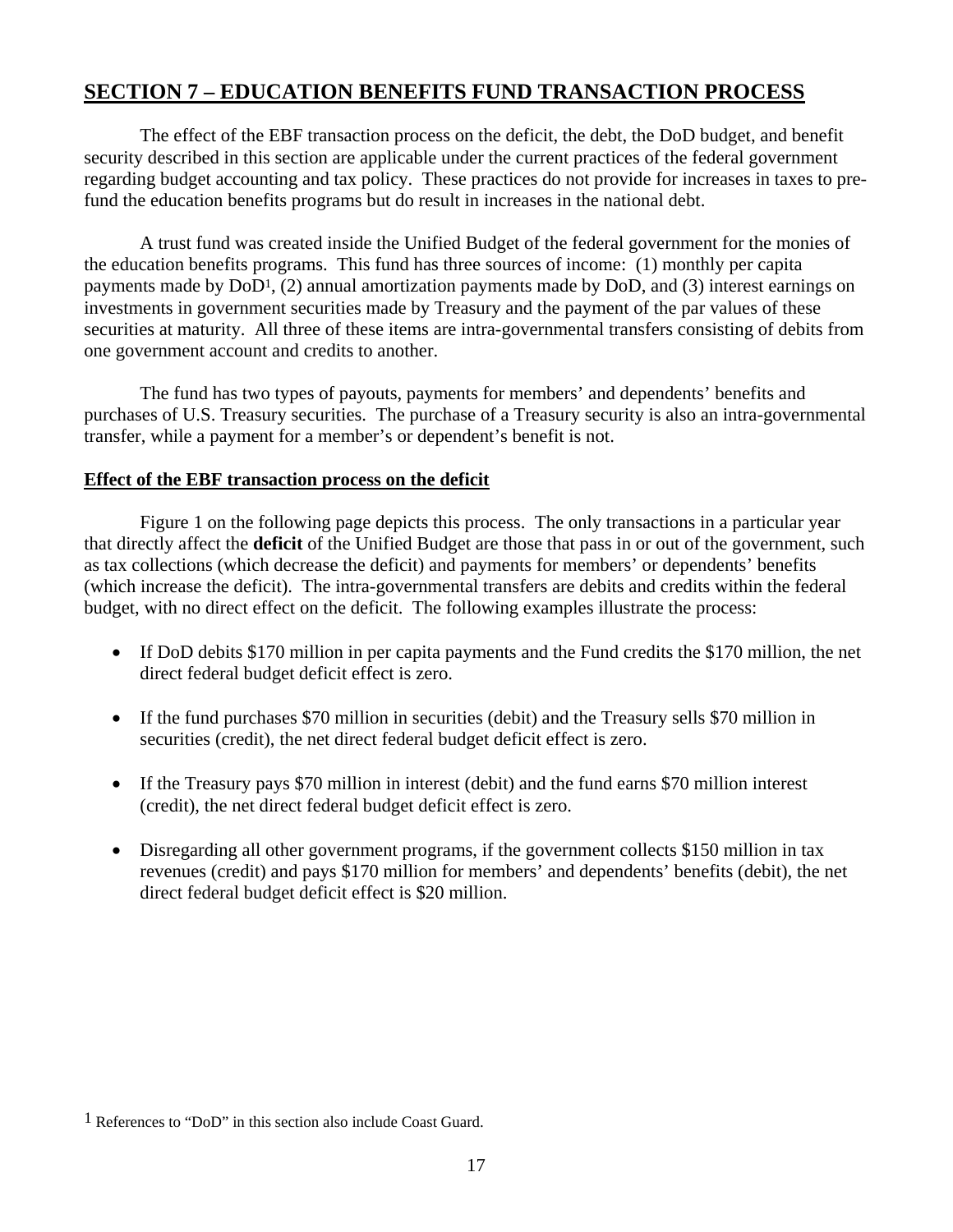## **SECTION 7 – EDUCATION BENEFITS FUND TRANSACTION PROCESS**

 The effect of the EBF transaction process on the deficit, the debt, the DoD budget, and benefit security described in this section are applicable under the current practices of the federal government regarding budget accounting and tax policy. These practices do not provide for increases in taxes to prefund the education benefits programs but do result in increases in the national debt.

 A trust fund was created inside the Unified Budget of the federal government for the monies of the education benefits programs. This fund has three sources of income: (1) monthly per capita payments made by DoD1, (2) annual amortization payments made by DoD, and (3) interest earnings on investments in government securities made by Treasury and the payment of the par values of these securities at maturity. All three of these items are intra-governmental transfers consisting of debits from one government account and credits to another.

 The fund has two types of payouts, payments for members' and dependents' benefits and purchases of U.S. Treasury securities. The purchase of a Treasury security is also an intra-governmental transfer, while a payment for a member's or dependent's benefit is not.

## **Effect of the EBF transaction process on the deficit**

 Figure 1 on the following page depicts this process. The only transactions in a particular year that directly affect the **deficit** of the Unified Budget are those that pass in or out of the government, such as tax collections (which decrease the deficit) and payments for members' or dependents' benefits (which increase the deficit). The intra-governmental transfers are debits and credits within the federal budget, with no direct effect on the deficit. The following examples illustrate the process:

- If DoD debits \$170 million in per capita payments and the Fund credits the \$170 million, the net direct federal budget deficit effect is zero.
- If the fund purchases \$70 million in securities (debit) and the Treasury sells \$70 million in securities (credit), the net direct federal budget deficit effect is zero.
- If the Treasury pays \$70 million in interest (debit) and the fund earns \$70 million interest (credit), the net direct federal budget deficit effect is zero.
- Disregarding all other government programs, if the government collects \$150 million in tax revenues (credit) and pays \$170 million for members' and dependents' benefits (debit), the net direct federal budget deficit effect is \$20 million.

 $1$  References to "DoD" in this section also include Coast Guard.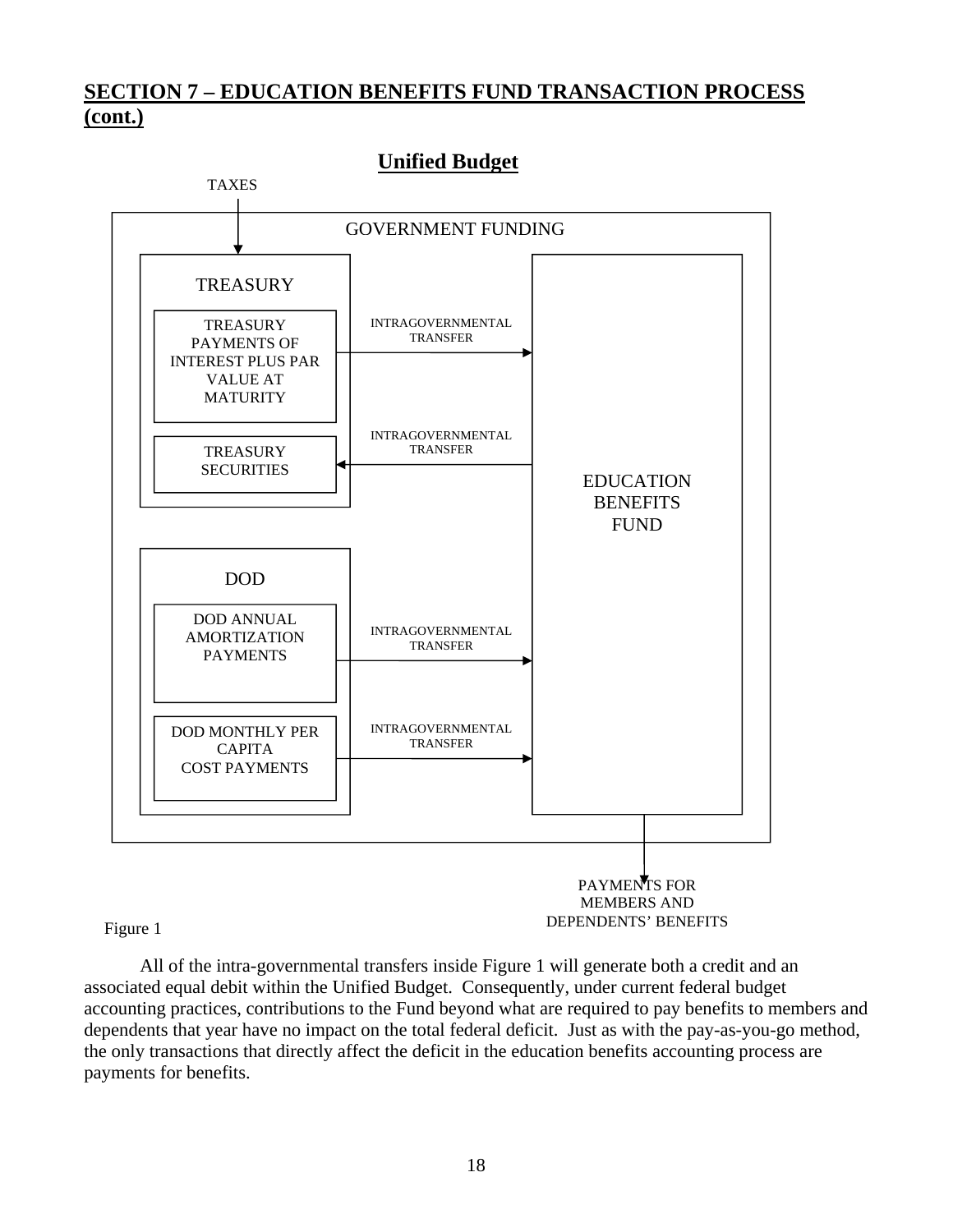## **SECTION 7 – EDUCATION BENEFITS FUND TRANSACTION PROCESS (cont.)**



 All of the intra-governmental transfers inside Figure 1 will generate both a credit and an associated equal debit within the Unified Budget. Consequently, under current federal budget accounting practices, contributions to the Fund beyond what are required to pay benefits to members and dependents that year have no impact on the total federal deficit. Just as with the pay-as-you-go method, the only transactions that directly affect the deficit in the education benefits accounting process are payments for benefits.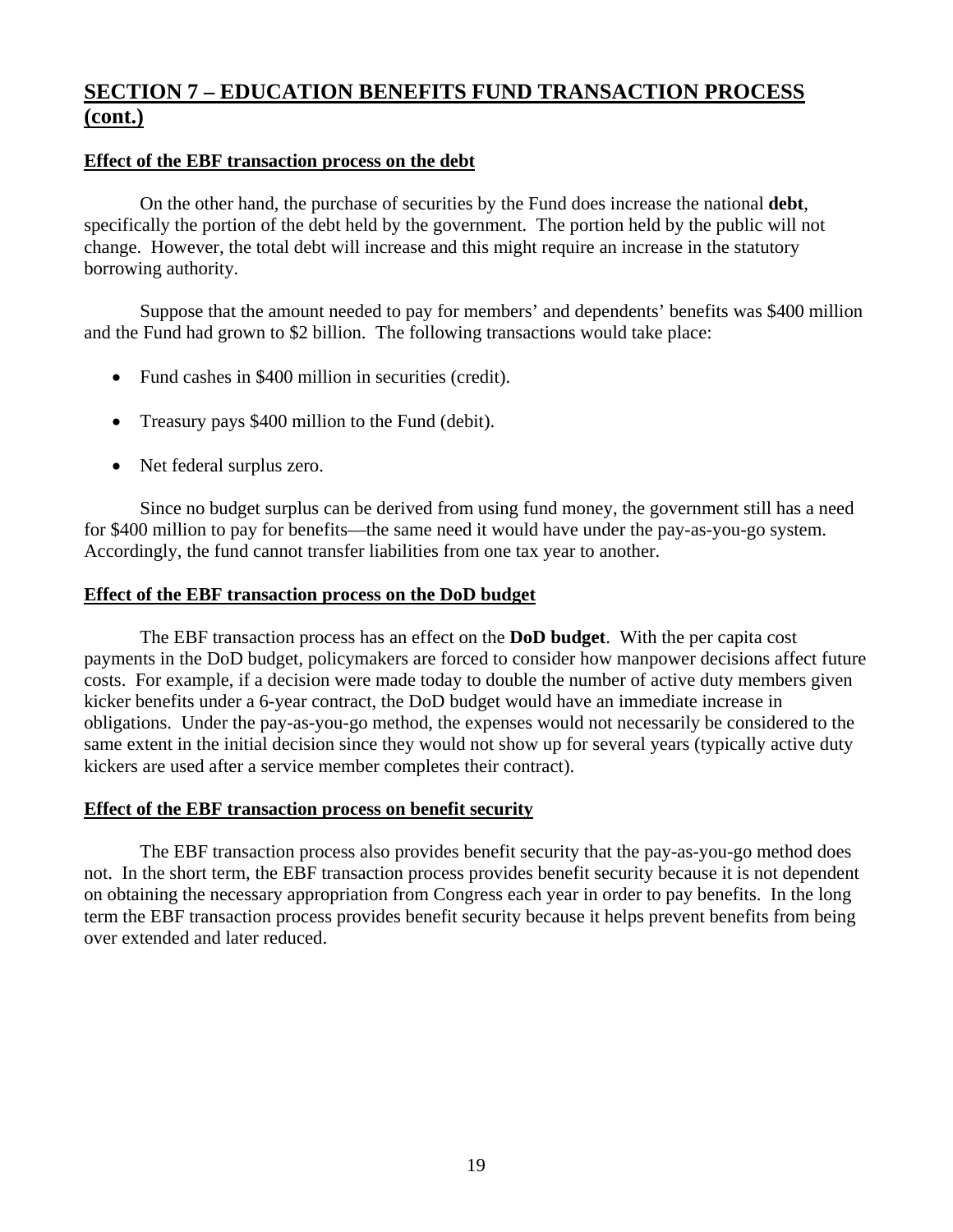## **SECTION 7 – EDUCATION BENEFITS FUND TRANSACTION PROCESS (cont.)**

## **Effect of the EBF transaction process on the debt**

 On the other hand, the purchase of securities by the Fund does increase the national **debt**, specifically the portion of the debt held by the government. The portion held by the public will not change. However, the total debt will increase and this might require an increase in the statutory borrowing authority.

 Suppose that the amount needed to pay for members' and dependents' benefits was \$400 million and the Fund had grown to \$2 billion. The following transactions would take place:

- Fund cashes in \$400 million in securities (credit).
- Treasury pays \$400 million to the Fund (debit).
- Net federal surplus zero.

 Since no budget surplus can be derived from using fund money, the government still has a need for \$400 million to pay for benefits—the same need it would have under the pay-as-you-go system. Accordingly, the fund cannot transfer liabilities from one tax year to another.

## **Effect of the EBF transaction process on the DoD budget**

 The EBF transaction process has an effect on the **DoD budget**. With the per capita cost payments in the DoD budget, policymakers are forced to consider how manpower decisions affect future costs. For example, if a decision were made today to double the number of active duty members given kicker benefits under a 6-year contract, the DoD budget would have an immediate increase in obligations. Under the pay-as-you-go method, the expenses would not necessarily be considered to the same extent in the initial decision since they would not show up for several years (typically active duty kickers are used after a service member completes their contract).

## **Effect of the EBF transaction process on benefit security**

 The EBF transaction process also provides benefit security that the pay-as-you-go method does not. In the short term, the EBF transaction process provides benefit security because it is not dependent on obtaining the necessary appropriation from Congress each year in order to pay benefits. In the long term the EBF transaction process provides benefit security because it helps prevent benefits from being over extended and later reduced.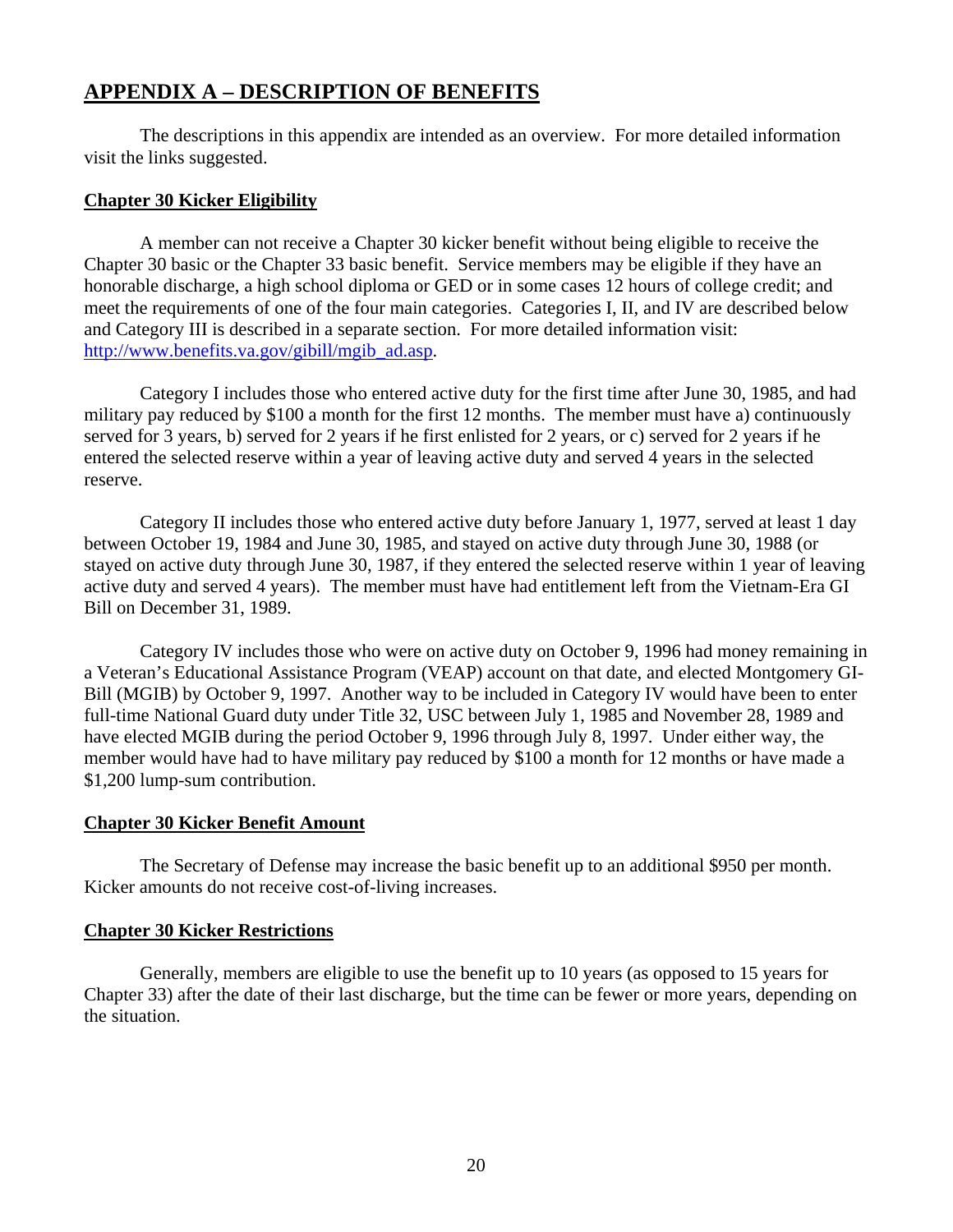## **APPENDIX A – DESCRIPTION OF BENEFITS**

 The descriptions in this appendix are intended as an overview. For more detailed information visit the links suggested.

## **Chapter 30 Kicker Eligibility**

 A member can not receive a Chapter 30 kicker benefit without being eligible to receive the Chapter 30 basic or the Chapter 33 basic benefit. Service members may be eligible if they have an honorable discharge, a high school diploma or GED or in some cases 12 hours of college credit; and meet the requirements of one of the four main categories. Categories I, II, and IV are described below and Category III is described in a separate section. For more detailed information visit: http://www.benefits.va.gov/gibill/mgib\_ad.asp.

 Category I includes those who entered active duty for the first time after June 30, 1985, and had military pay reduced by \$100 a month for the first 12 months. The member must have a) continuously served for 3 years, b) served for 2 years if he first enlisted for 2 years, or c) served for 2 years if he entered the selected reserve within a year of leaving active duty and served 4 years in the selected reserve.

 Category II includes those who entered active duty before January 1, 1977, served at least 1 day between October 19, 1984 and June 30, 1985, and stayed on active duty through June 30, 1988 (or stayed on active duty through June 30, 1987, if they entered the selected reserve within 1 year of leaving active duty and served 4 years). The member must have had entitlement left from the Vietnam-Era GI Bill on December 31, 1989.

 Category IV includes those who were on active duty on October 9, 1996 had money remaining in a Veteran's Educational Assistance Program (VEAP) account on that date, and elected Montgomery GI-Bill (MGIB) by October 9, 1997. Another way to be included in Category IV would have been to enter full-time National Guard duty under Title 32, USC between July 1, 1985 and November 28, 1989 and have elected MGIB during the period October 9, 1996 through July 8, 1997. Under either way, the member would have had to have military pay reduced by \$100 a month for 12 months or have made a \$1,200 lump-sum contribution.

## **Chapter 30 Kicker Benefit Amount**

 The Secretary of Defense may increase the basic benefit up to an additional \$950 per month. Kicker amounts do not receive cost-of-living increases.

## **Chapter 30 Kicker Restrictions**

 Generally, members are eligible to use the benefit up to 10 years (as opposed to 15 years for Chapter 33) after the date of their last discharge, but the time can be fewer or more years, depending on the situation.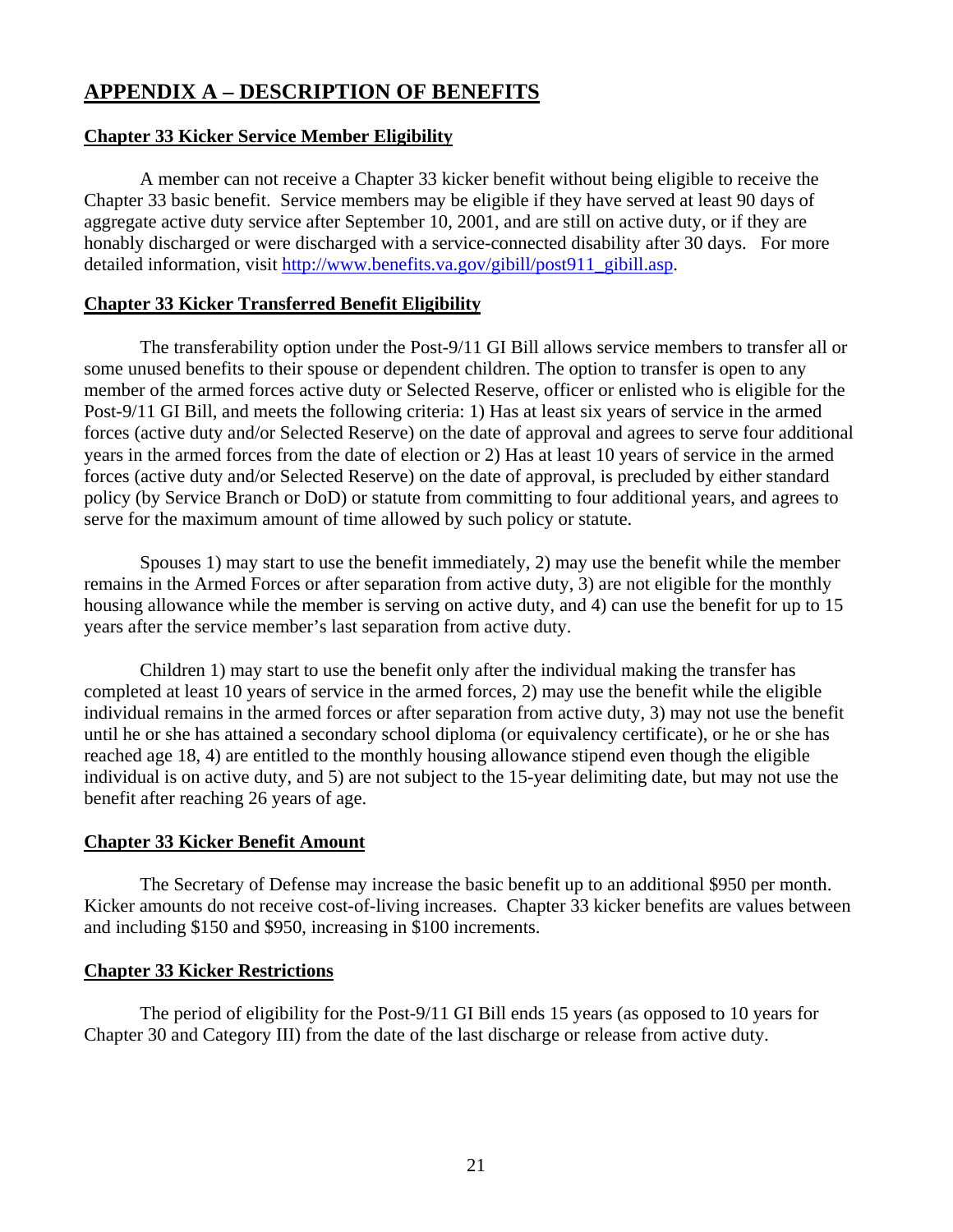## **APPENDIX A – DESCRIPTION OF BENEFITS**

## **Chapter 33 Kicker Service Member Eligibility**

 A member can not receive a Chapter 33 kicker benefit without being eligible to receive the Chapter 33 basic benefit. Service members may be eligible if they have served at least 90 days of aggregate active duty service after September 10, 2001, and are still on active duty, or if they are honably discharged or were discharged with a service-connected disability after 30 days. For more detailed information, visit http://www.benefits.va.gov/gibill/post911\_gibill.asp.

## **Chapter 33 Kicker Transferred Benefit Eligibility**

 The transferability option under the Post-9/11 GI Bill allows service members to transfer all or some unused benefits to their spouse or dependent children. The option to transfer is open to any member of the armed forces active duty or Selected Reserve, officer or enlisted who is eligible for the Post-9/11 GI Bill, and meets the following criteria: 1) Has at least six years of service in the armed forces (active duty and/or Selected Reserve) on the date of approval and agrees to serve four additional years in the armed forces from the date of election or 2) Has at least 10 years of service in the armed forces (active duty and/or Selected Reserve) on the date of approval, is precluded by either standard policy (by Service Branch or DoD) or statute from committing to four additional years, and agrees to serve for the maximum amount of time allowed by such policy or statute.

 Spouses 1) may start to use the benefit immediately, 2) may use the benefit while the member remains in the Armed Forces or after separation from active duty, 3) are not eligible for the monthly housing allowance while the member is serving on active duty, and 4) can use the benefit for up to 15 years after the service member's last separation from active duty.

 Children 1) may start to use the benefit only after the individual making the transfer has completed at least 10 years of service in the armed forces, 2) may use the benefit while the eligible individual remains in the armed forces or after separation from active duty, 3) may not use the benefit until he or she has attained a secondary school diploma (or equivalency certificate), or he or she has reached age 18, 4) are entitled to the monthly housing allowance stipend even though the eligible individual is on active duty, and 5) are not subject to the 15-year delimiting date, but may not use the benefit after reaching 26 years of age.

## **Chapter 33 Kicker Benefit Amount**

 The Secretary of Defense may increase the basic benefit up to an additional \$950 per month. Kicker amounts do not receive cost-of-living increases. Chapter 33 kicker benefits are values between and including \$150 and \$950, increasing in \$100 increments.

## **Chapter 33 Kicker Restrictions**

 The period of eligibility for the Post-9/11 GI Bill ends 15 years (as opposed to 10 years for Chapter 30 and Category III) from the date of the last discharge or release from active duty.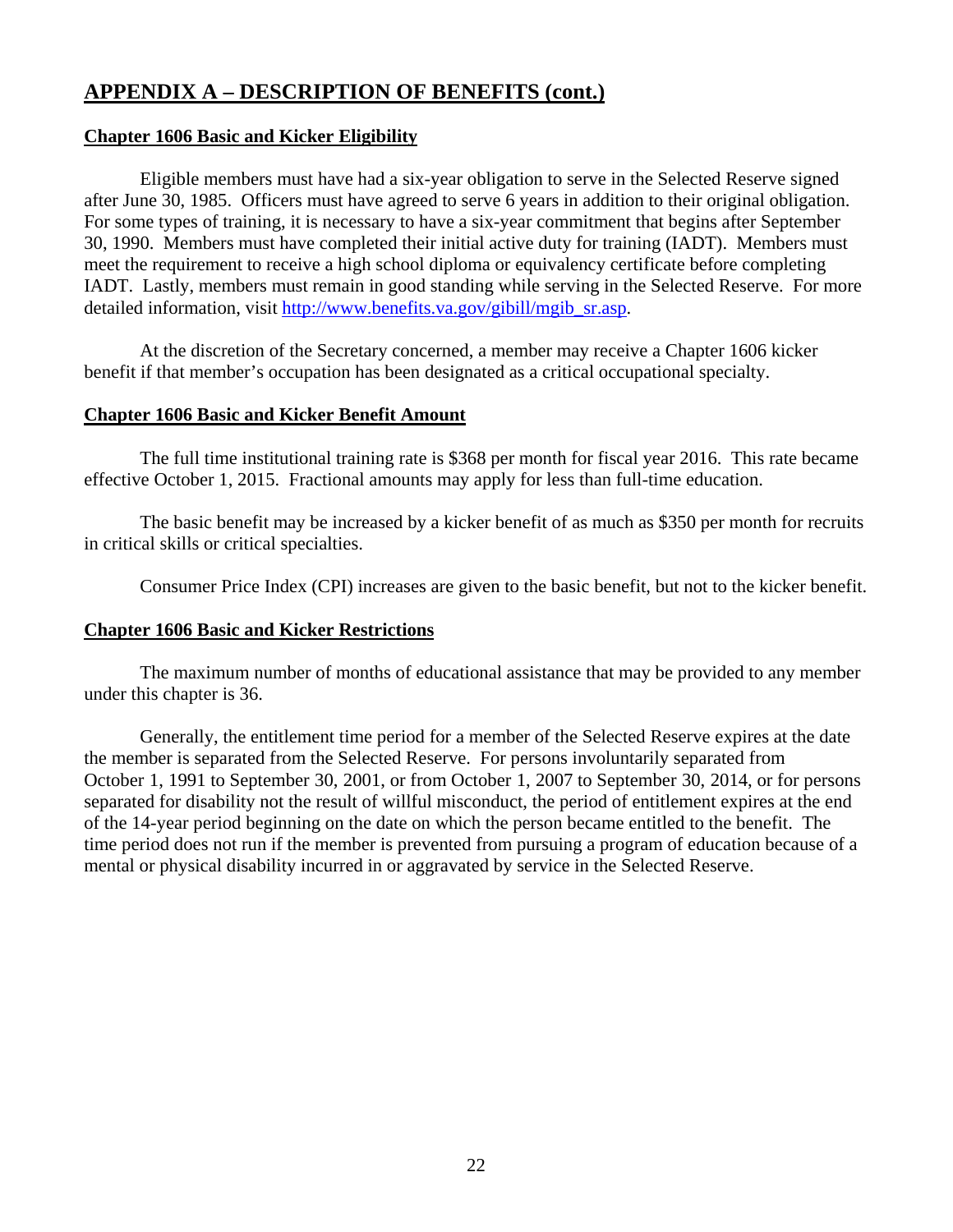## **Chapter 1606 Basic and Kicker Eligibility**

 Eligible members must have had a six-year obligation to serve in the Selected Reserve signed after June 30, 1985. Officers must have agreed to serve 6 years in addition to their original obligation. For some types of training, it is necessary to have a six-year commitment that begins after September 30, 1990. Members must have completed their initial active duty for training (IADT). Members must meet the requirement to receive a high school diploma or equivalency certificate before completing IADT. Lastly, members must remain in good standing while serving in the Selected Reserve. For more detailed information, visit http://www.benefits.va.gov/gibill/mgib\_sr.asp.

 At the discretion of the Secretary concerned, a member may receive a Chapter 1606 kicker benefit if that member's occupation has been designated as a critical occupational specialty.

## **Chapter 1606 Basic and Kicker Benefit Amount**

 The full time institutional training rate is \$368 per month for fiscal year 2016. This rate became effective October 1, 2015. Fractional amounts may apply for less than full-time education.

 The basic benefit may be increased by a kicker benefit of as much as \$350 per month for recruits in critical skills or critical specialties.

Consumer Price Index (CPI) increases are given to the basic benefit, but not to the kicker benefit.

## **Chapter 1606 Basic and Kicker Restrictions**

 The maximum number of months of educational assistance that may be provided to any member under this chapter is 36.

 Generally, the entitlement time period for a member of the Selected Reserve expires at the date the member is separated from the Selected Reserve. For persons involuntarily separated from October 1, 1991 to September 30, 2001, or from October 1, 2007 to September 30, 2014, or for persons separated for disability not the result of willful misconduct, the period of entitlement expires at the end of the 14-year period beginning on the date on which the person became entitled to the benefit. The time period does not run if the member is prevented from pursuing a program of education because of a mental or physical disability incurred in or aggravated by service in the Selected Reserve.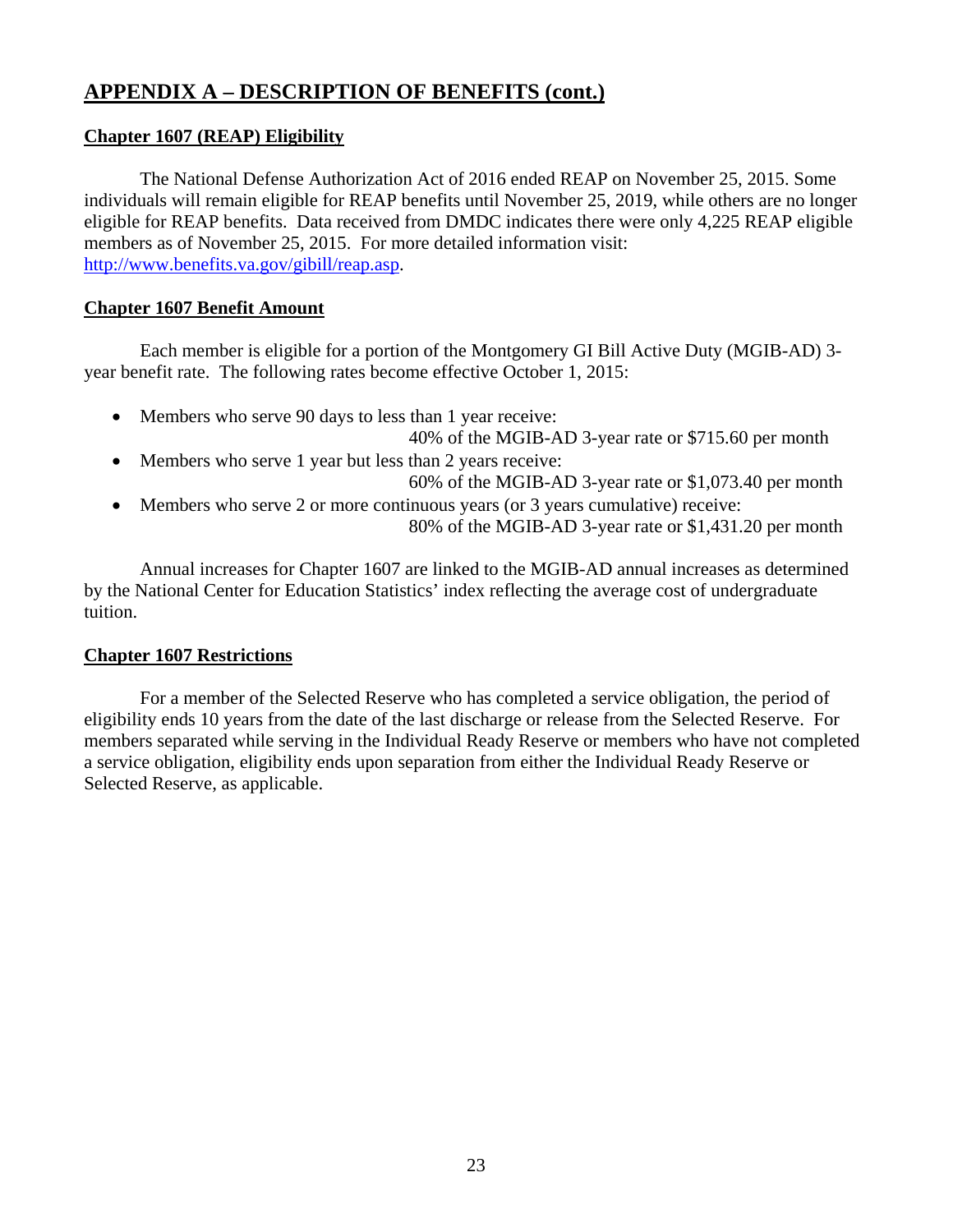## **Chapter 1607 (REAP) Eligibility**

 The National Defense Authorization Act of 2016 ended REAP on November 25, 2015. Some individuals will remain eligible for REAP benefits until November 25, 2019, while others are no longer eligible for REAP benefits. Data received from DMDC indicates there were only 4,225 REAP eligible members as of November 25, 2015. For more detailed information visit: http://www.benefits.va.gov/gibill/reap.asp.

## **Chapter 1607 Benefit Amount**

 Each member is eligible for a portion of the Montgomery GI Bill Active Duty (MGIB-AD) 3 year benefit rate. The following rates become effective October 1, 2015:

- Members who serve 90 days to less than 1 year receive:
	- 40% of the MGIB-AD 3-year rate or \$715.60 per month
- Members who serve 1 year but less than 2 years receive: 60% of the MGIB-AD 3-year rate or \$1,073.40 per month
- Members who serve 2 or more continuous years (or 3 years cumulative) receive: 80% of the MGIB-AD 3-year rate or \$1,431.20 per month

 Annual increases for Chapter 1607 are linked to the MGIB-AD annual increases as determined by the National Center for Education Statistics' index reflecting the average cost of undergraduate tuition.

## **Chapter 1607 Restrictions**

 For a member of the Selected Reserve who has completed a service obligation, the period of eligibility ends 10 years from the date of the last discharge or release from the Selected Reserve. For members separated while serving in the Individual Ready Reserve or members who have not completed a service obligation, eligibility ends upon separation from either the Individual Ready Reserve or Selected Reserve, as applicable.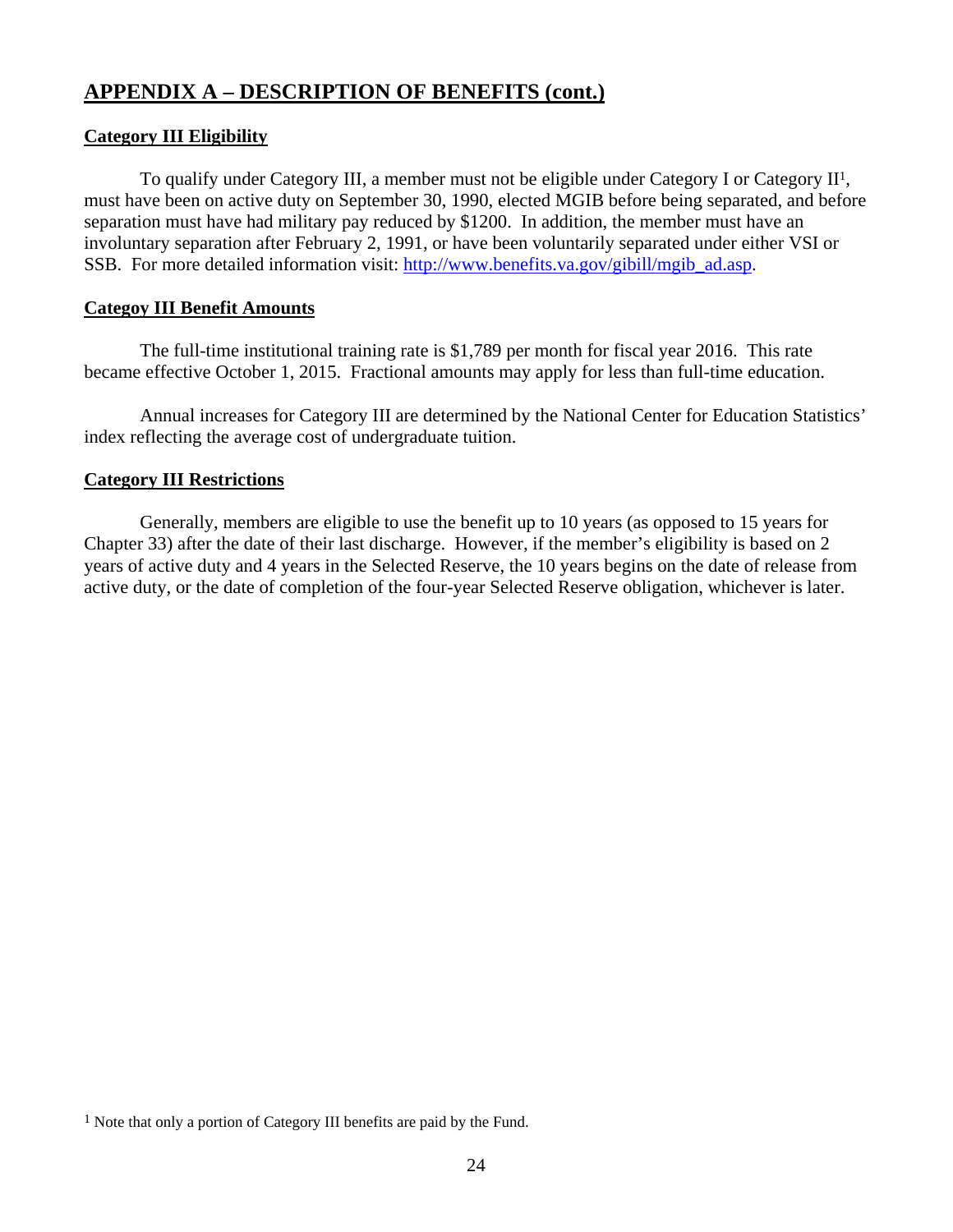## **Category III Eligibility**

 To qualify under Category III, a member must not be eligible under Category I or Category II1, must have been on active duty on September 30, 1990, elected MGIB before being separated, and before separation must have had military pay reduced by \$1200. In addition, the member must have an involuntary separation after February 2, 1991, or have been voluntarily separated under either VSI or SSB. For more detailed information visit: http://www.benefits.va.gov/gibill/mgib\_ad.asp.

## **Categoy III Benefit Amounts**

 The full-time institutional training rate is \$1,789 per month for fiscal year 2016. This rate became effective October 1, 2015. Fractional amounts may apply for less than full-time education.

 Annual increases for Category III are determined by the National Center for Education Statistics' index reflecting the average cost of undergraduate tuition.

## **Category III Restrictions**

 Generally, members are eligible to use the benefit up to 10 years (as opposed to 15 years for Chapter 33) after the date of their last discharge. However, if the member's eligibility is based on 2 years of active duty and 4 years in the Selected Reserve, the 10 years begins on the date of release from active duty, or the date of completion of the four-year Selected Reserve obligation, whichever is later.

<sup>1</sup> Note that only a portion of Category III benefits are paid by the Fund.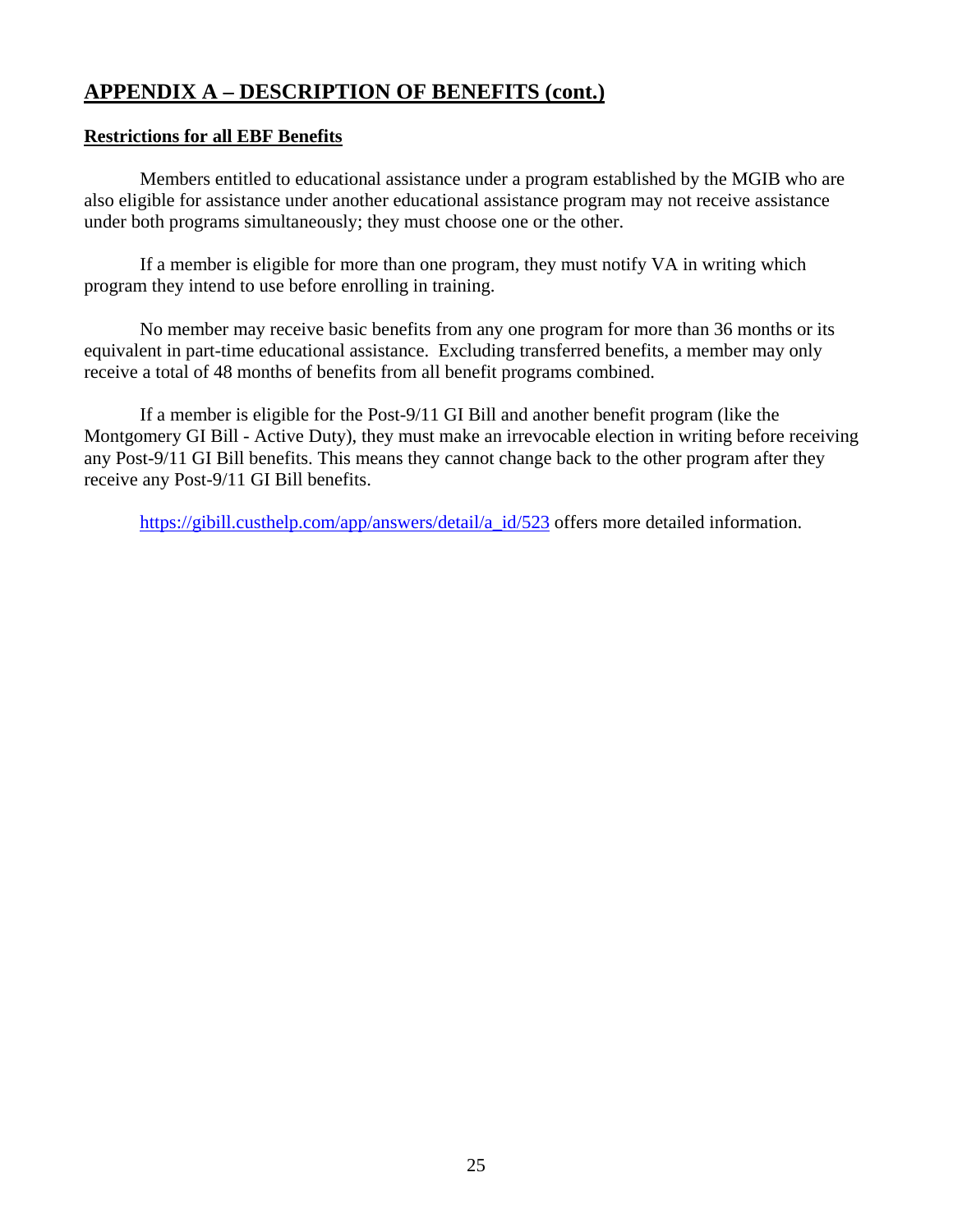## **Restrictions for all EBF Benefits**

 Members entitled to educational assistance under a program established by the MGIB who are also eligible for assistance under another educational assistance program may not receive assistance under both programs simultaneously; they must choose one or the other.

 If a member is eligible for more than one program, they must notify VA in writing which program they intend to use before enrolling in training.

 No member may receive basic benefits from any one program for more than 36 months or its equivalent in part-time educational assistance. Excluding transferred benefits, a member may only receive a total of 48 months of benefits from all benefit programs combined.

 If a member is eligible for the Post-9/11 GI Bill and another benefit program (like the Montgomery GI Bill - Active Duty), they must make an irrevocable election in writing before receiving any Post-9/11 GI Bill benefits. This means they cannot change back to the other program after they receive any Post-9/11 GI Bill benefits.

https://gibill.custhelp.com/app/answers/detail/a\_id/523 offers more detailed information.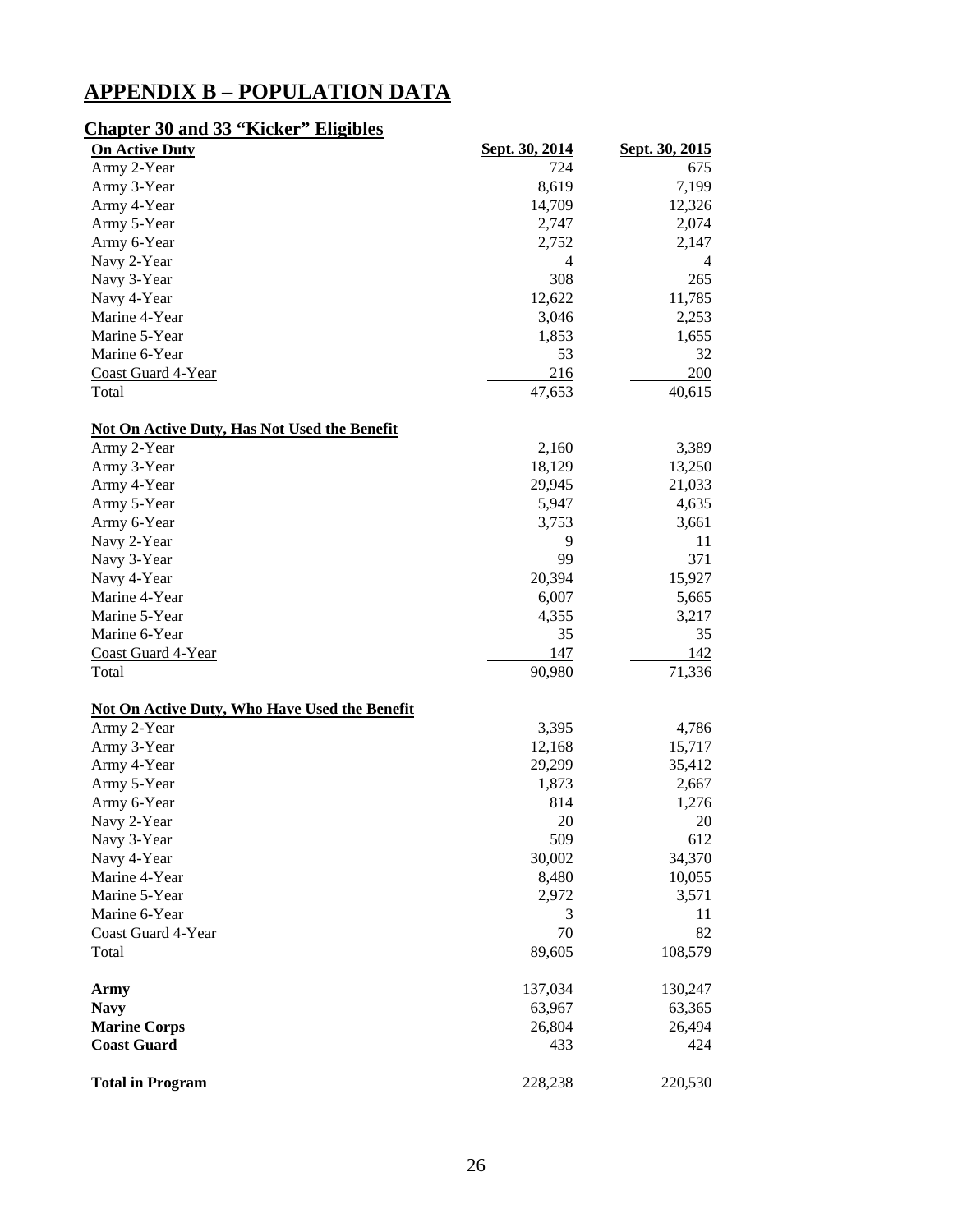## **APPENDIX B – POPULATION DATA**

## **Chapter 30 and 33 "Kicker" Eligibles**

| <b>On Active Duty</b>                                | Sept. 30, 2014 | Sept. 30, 2015 |
|------------------------------------------------------|----------------|----------------|
| Army 2-Year                                          | 724            | 675            |
| Army 3-Year                                          | 8,619          | 7,199          |
| Army 4-Year                                          | 14,709         | 12,326         |
| Army 5-Year                                          | 2,747          | 2,074          |
| Army 6-Year                                          | 2,752          | 2,147          |
| Navy 2-Year                                          | 4              | 4              |
| Navy 3-Year                                          | 308            | 265            |
| Navy 4-Year                                          | 12,622         | 11,785         |
| Marine 4-Year                                        | 3,046          | 2,253          |
| Marine 5-Year                                        | 1,853          | 1,655          |
| Marine 6-Year                                        | 53             | 32             |
| Coast Guard 4-Year                                   | 216            | 200            |
| Total                                                | 47,653         | 40,615         |
| <b>Not On Active Duty, Has Not Used the Benefit</b>  |                |                |
| Army 2-Year                                          | 2,160          | 3,389          |
| Army 3-Year                                          | 18,129         | 13,250         |
| Army 4-Year                                          | 29,945         | 21,033         |
| Army 5-Year                                          | 5,947          | 4,635          |
| Army 6-Year                                          | 3,753          | 3,661          |
| Navy 2-Year                                          | 9              | 11             |
| Navy 3-Year                                          | 99             | 371            |
| Navy 4-Year                                          | 20,394         | 15,927         |
| Marine 4-Year                                        | 6,007          | 5,665          |
| Marine 5-Year                                        | 4,355          | 3,217          |
| Marine 6-Year                                        | 35             | 35             |
| Coast Guard 4-Year                                   | 147            | 142            |
| Total                                                | 90,980         | 71,336         |
| <b>Not On Active Duty, Who Have Used the Benefit</b> |                |                |
| Army 2-Year                                          | 3,395          | 4,786          |
| Army 3-Year                                          | 12,168         | 15,717         |
| Army 4-Year                                          | 29,299         | 35,412         |
| Army 5-Year                                          | 1,873          | 2,667          |
| Army 6-Year                                          | 814            | 1,276          |
| Navy 2-Year                                          | 20             | 20             |
| Navy 3-Year                                          | 509            | 612            |
| Navy 4-Year                                          | 30,002         | 34,370         |
| Marine 4-Year                                        | 8,480          | 10,055         |
| Marine 5-Year                                        | 2,972          | 3,571          |
| Marine 6-Year                                        | 3              | 11             |
| Coast Guard 4-Year                                   | 70             | 82             |
| Total                                                | 89,605         | 108,579        |
| <b>Army</b>                                          | 137,034        | 130,247        |
| <b>Navy</b>                                          | 63,967         | 63,365         |
| <b>Marine Corps</b>                                  | 26,804         | 26,494         |
| <b>Coast Guard</b>                                   | 433            | 424            |
| <b>Total in Program</b>                              | 228,238        | 220,530        |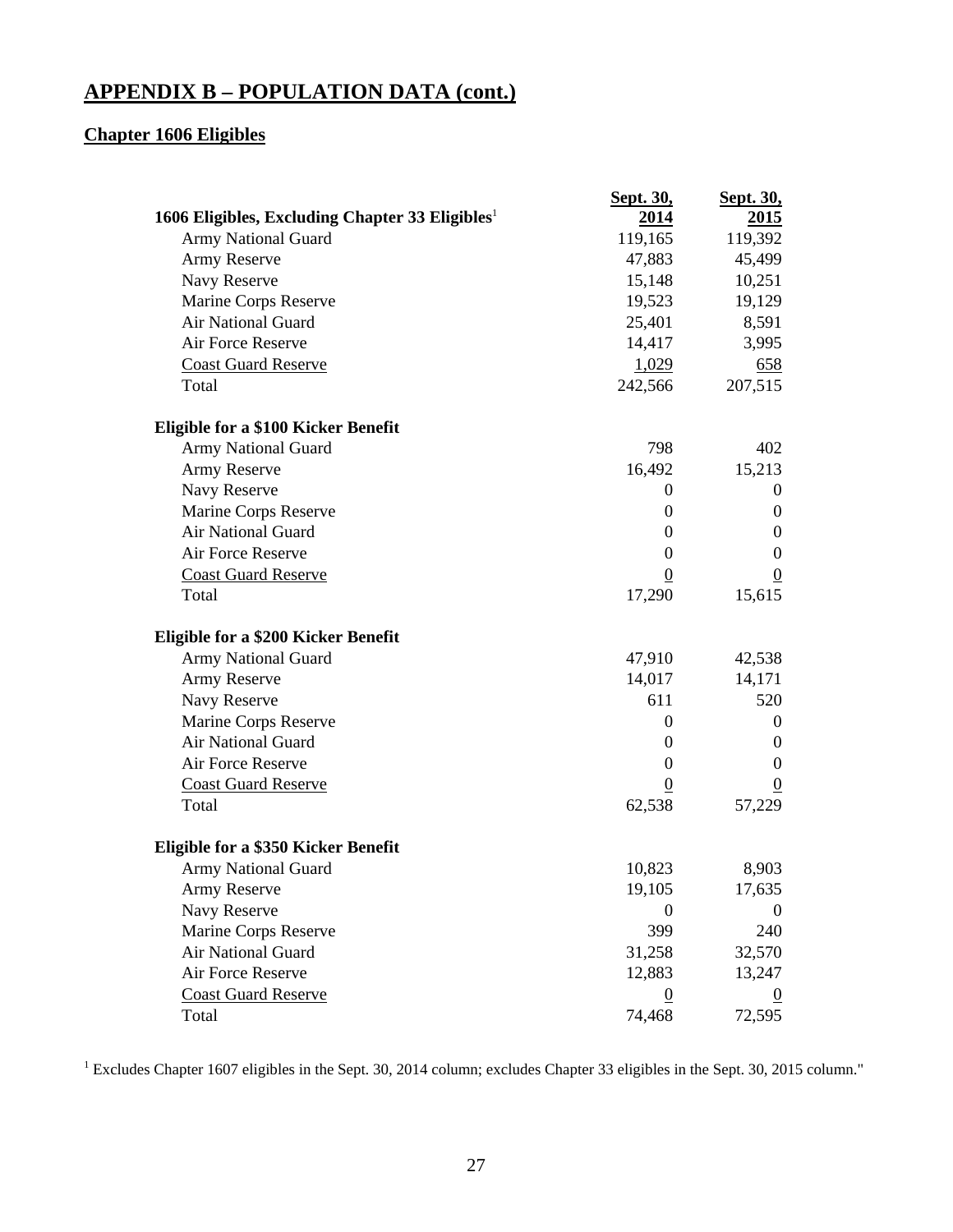## **Chapter 1606 Eligibles**

|                                                    | Sept. 30,        | <b>Sept. 30,</b> |
|----------------------------------------------------|------------------|------------------|
| 1606 Eligibles, Excluding Chapter 33 Eligibles $1$ | <u>2014</u>      | <u>2015</u>      |
| <b>Army National Guard</b>                         | 119,165          | 119,392          |
| Army Reserve                                       | 47,883           | 45,499           |
| Navy Reserve                                       | 15,148           | 10,251           |
| Marine Corps Reserve                               | 19,523           | 19,129           |
| Air National Guard                                 | 25,401           | 8,591            |
| Air Force Reserve                                  | 14,417           | 3,995            |
| <b>Coast Guard Reserve</b>                         | 1,029            | 658              |
| Total                                              | 242,566          | 207,515          |
| Eligible for a \$100 Kicker Benefit                |                  |                  |
| <b>Army National Guard</b>                         | 798              | 402              |
| Army Reserve                                       | 16,492           | 15,213           |
| Navy Reserve                                       | $\boldsymbol{0}$ | $\overline{0}$   |
| Marine Corps Reserve                               | $\boldsymbol{0}$ | $\overline{0}$   |
| Air National Guard                                 | $\boldsymbol{0}$ | $\mathbf{0}$     |
| <b>Air Force Reserve</b>                           | $\boldsymbol{0}$ | $\mathbf{0}$     |
| <b>Coast Guard Reserve</b>                         | $\theta$         | $\overline{0}$   |
| Total                                              | 17,290           | 15,615           |
| Eligible for a \$200 Kicker Benefit                |                  |                  |
| Army National Guard                                | 47,910           | 42,538           |
| Army Reserve                                       | 14,017           | 14,171           |
| Navy Reserve                                       | 611              | 520              |
| Marine Corps Reserve                               | $\boldsymbol{0}$ | $\overline{0}$   |
| Air National Guard                                 | $\boldsymbol{0}$ | $\overline{0}$   |
| Air Force Reserve                                  | $\boldsymbol{0}$ | $\overline{0}$   |
| <b>Coast Guard Reserve</b>                         | $\boldsymbol{0}$ | $\boldsymbol{0}$ |
| Total                                              | 62,538           | 57,229           |
| Eligible for a \$350 Kicker Benefit                |                  |                  |
| <b>Army National Guard</b>                         | 10,823           | 8,903            |
| Army Reserve                                       | 19,105           | 17,635           |
| Navy Reserve                                       | $\theta$         | $\theta$         |
| Marine Corps Reserve                               | 399              | 240              |
| Air National Guard                                 | 31,258           | 32,570           |
| Air Force Reserve                                  | 12,883           | 13,247           |
| <b>Coast Guard Reserve</b>                         | $\boldsymbol{0}$ |                  |
| Total                                              | 74,468           | 72,595           |

<sup>1</sup> Excludes Chapter 1607 eligibles in the Sept. 30, 2014 column; excludes Chapter 33 eligibles in the Sept. 30, 2015 column."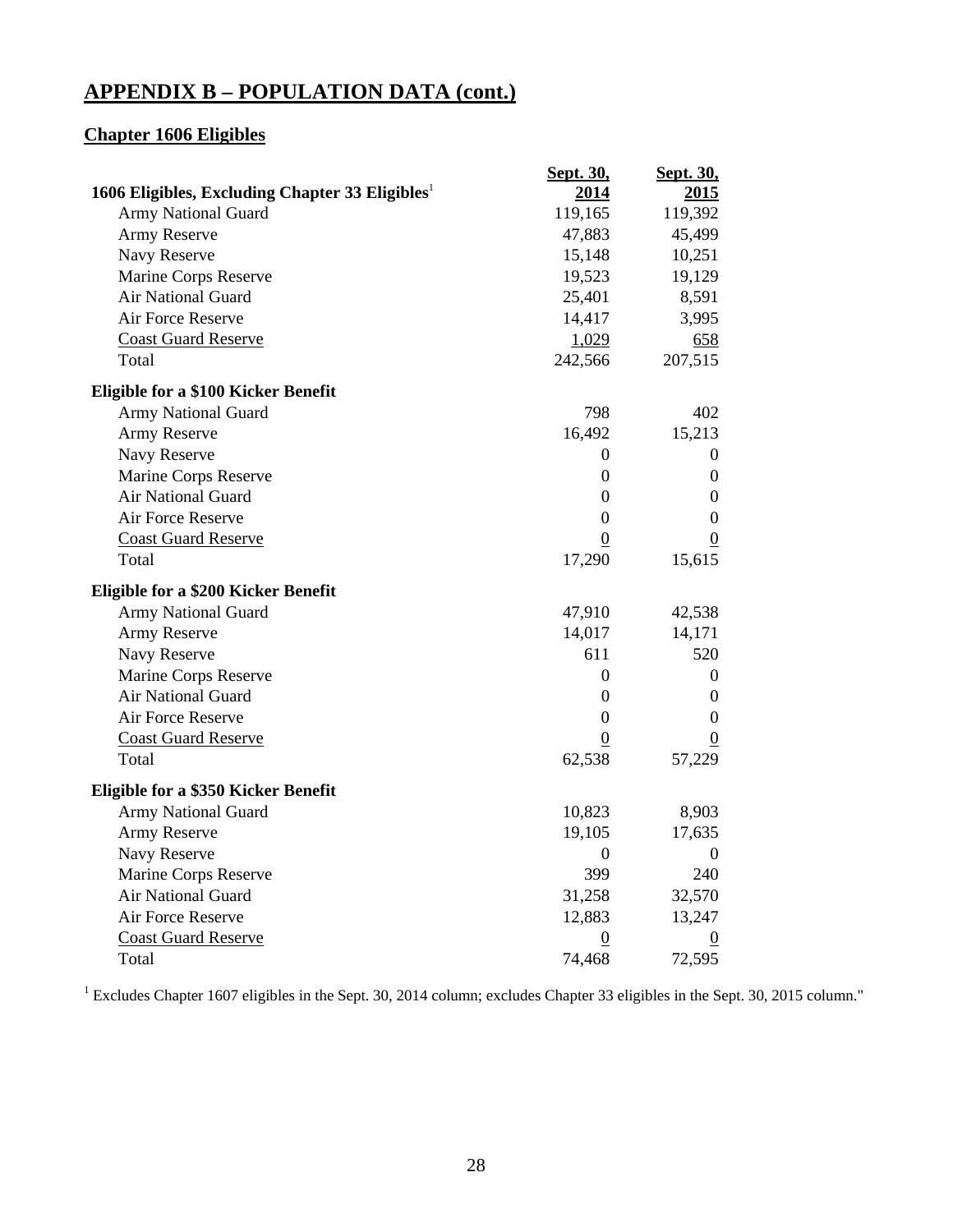## **Chapter 1606 Eligibles**

|                                                             | <b>Sept. 30,</b> | Sept. 30,        |
|-------------------------------------------------------------|------------------|------------------|
| 1606 Eligibles, Excluding Chapter 33 Eligibles <sup>1</sup> | 2014             | 2015             |
| Army National Guard                                         | 119,165          | 119,392          |
| Army Reserve                                                | 47,883           | 45,499           |
| Navy Reserve                                                | 15,148           | 10,251           |
| Marine Corps Reserve                                        | 19,523           | 19,129           |
| Air National Guard                                          | 25,401           | 8,591            |
| Air Force Reserve                                           | 14,417           | 3,995            |
| <b>Coast Guard Reserve</b>                                  | 1,029            | 658              |
| Total                                                       | 242,566          | 207,515          |
| Eligible for a \$100 Kicker Benefit                         |                  |                  |
| Army National Guard                                         | 798              | 402              |
| Army Reserve                                                | 16,492           | 15,213           |
| Navy Reserve                                                | 0                | 0                |
| Marine Corps Reserve                                        | $\boldsymbol{0}$ | $\boldsymbol{0}$ |
| Air National Guard                                          | 0                | $\boldsymbol{0}$ |
| Air Force Reserve                                           | $\boldsymbol{0}$ | $\boldsymbol{0}$ |
| <b>Coast Guard Reserve</b>                                  | $\overline{0}$   | $\boldsymbol{0}$ |
| Total                                                       | 17,290           | 15,615           |
| Eligible for a \$200 Kicker Benefit                         |                  |                  |
| <b>Army National Guard</b>                                  | 47,910           | 42,538           |
| Army Reserve                                                | 14,017           | 14,171           |
| Navy Reserve                                                | 611              | 520              |
| Marine Corps Reserve                                        | $\boldsymbol{0}$ | $\boldsymbol{0}$ |
| Air National Guard                                          | $\boldsymbol{0}$ | $\boldsymbol{0}$ |
| Air Force Reserve                                           | $\boldsymbol{0}$ | $\boldsymbol{0}$ |
| <b>Coast Guard Reserve</b>                                  | $\boldsymbol{0}$ | $\boldsymbol{0}$ |
| Total                                                       | 62,538           | 57,229           |
| Eligible for a \$350 Kicker Benefit                         |                  |                  |
| <b>Army National Guard</b>                                  | 10,823           | 8,903            |
| Army Reserve                                                | 19,105           | 17,635           |
| Navy Reserve                                                | $\boldsymbol{0}$ | 0                |
| Marine Corps Reserve                                        | 399              | 240              |
| Air National Guard                                          | 31,258           | 32,570           |
| Air Force Reserve                                           | 12,883           | 13,247           |
| <b>Coast Guard Reserve</b>                                  | $\underline{0}$  | $\overline{0}$   |
| Total                                                       | 74,468           | 72,595           |

<sup>1</sup> Excludes Chapter 1607 eligibles in the Sept. 30, 2014 column; excludes Chapter 33 eligibles in the Sept. 30, 2015 column."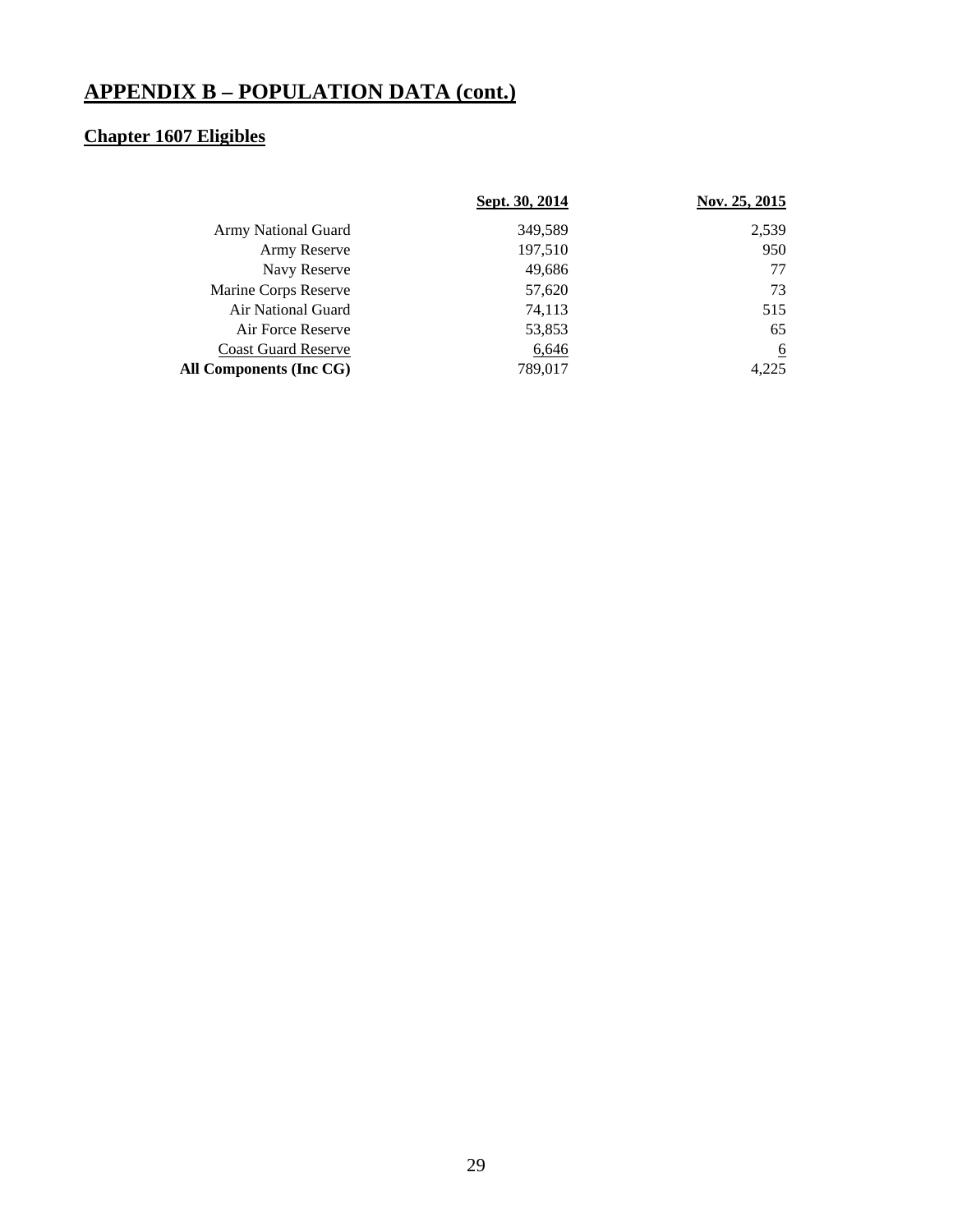## **Chapter 1607 Eligibles**

|                            | Sept. 30, 2014 | Nov. 25, 2015 |
|----------------------------|----------------|---------------|
| <b>Army National Guard</b> | 349.589        | 2,539         |
| Army Reserve               | 197,510        | 950           |
| Navy Reserve               | 49,686         | 77            |
| Marine Corps Reserve       | 57,620         | 73            |
| Air National Guard         | 74,113         | 515           |
| Air Force Reserve          | 53,853         | 65            |
| <b>Coast Guard Reserve</b> | 6,646          | <u>6</u>      |
| All Components (Inc CG)    | 789,017        | 4.225         |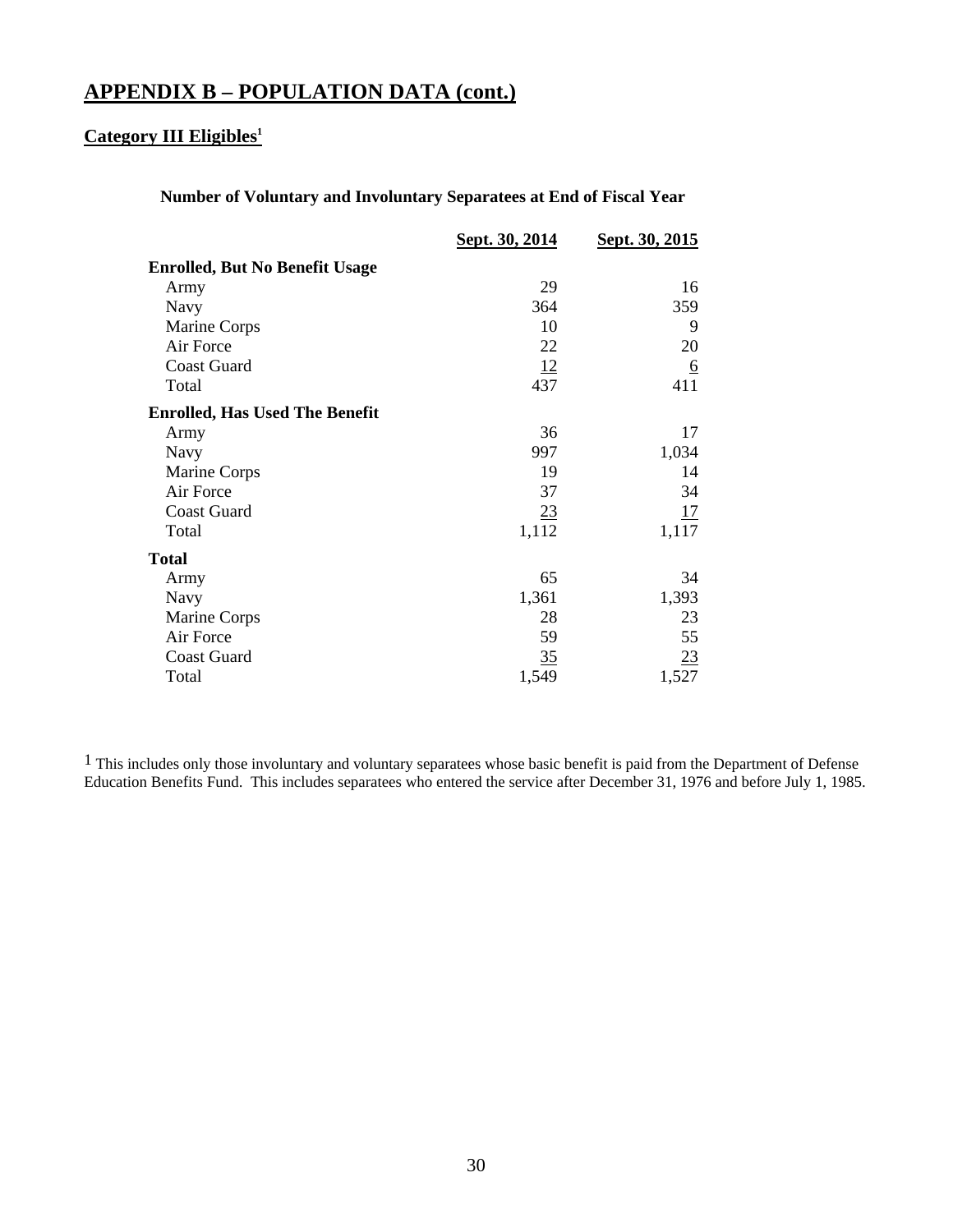## **Category III Eligibles<sup>1</sup>**

## **Number of Voluntary and Involuntary Separatees at End of Fiscal Year**

|                                       | Sept. 30, 2014 | Sept. 30, 2015 |
|---------------------------------------|----------------|----------------|
| <b>Enrolled, But No Benefit Usage</b> |                |                |
| Army                                  | 29             | 16             |
| Navy                                  | 364            | 359            |
| Marine Corps                          | 10             | 9              |
| Air Force                             | 22             | 20             |
| <b>Coast Guard</b>                    | <u>12</u>      | <u>6</u>       |
| Total                                 | 437            | 411            |
| <b>Enrolled, Has Used The Benefit</b> |                |                |
| Army                                  | 36             | 17             |
| Navy                                  | 997            | 1,034          |
| Marine Corps                          | 19             | 14             |
| Air Force                             | 37             | 34             |
| <b>Coast Guard</b>                    | 23             | 17             |
| Total                                 | 1,112          | 1,117          |
| <b>Total</b>                          |                |                |
| Army                                  | 65             | 34             |
| Navy                                  | 1,361          | 1,393          |
| Marine Corps                          | 28             | 23             |
| Air Force                             | 59             | 55             |
| <b>Coast Guard</b>                    | 35             | <u>23</u>      |
| Total                                 | 1,549          | 1,527          |

 $<sup>1</sup>$  This includes only those involuntary and voluntary separatees whose basic benefit is paid from the Department of Defense</sup> Education Benefits Fund. This includes separatees who entered the service after December 31, 1976 and before July 1, 1985.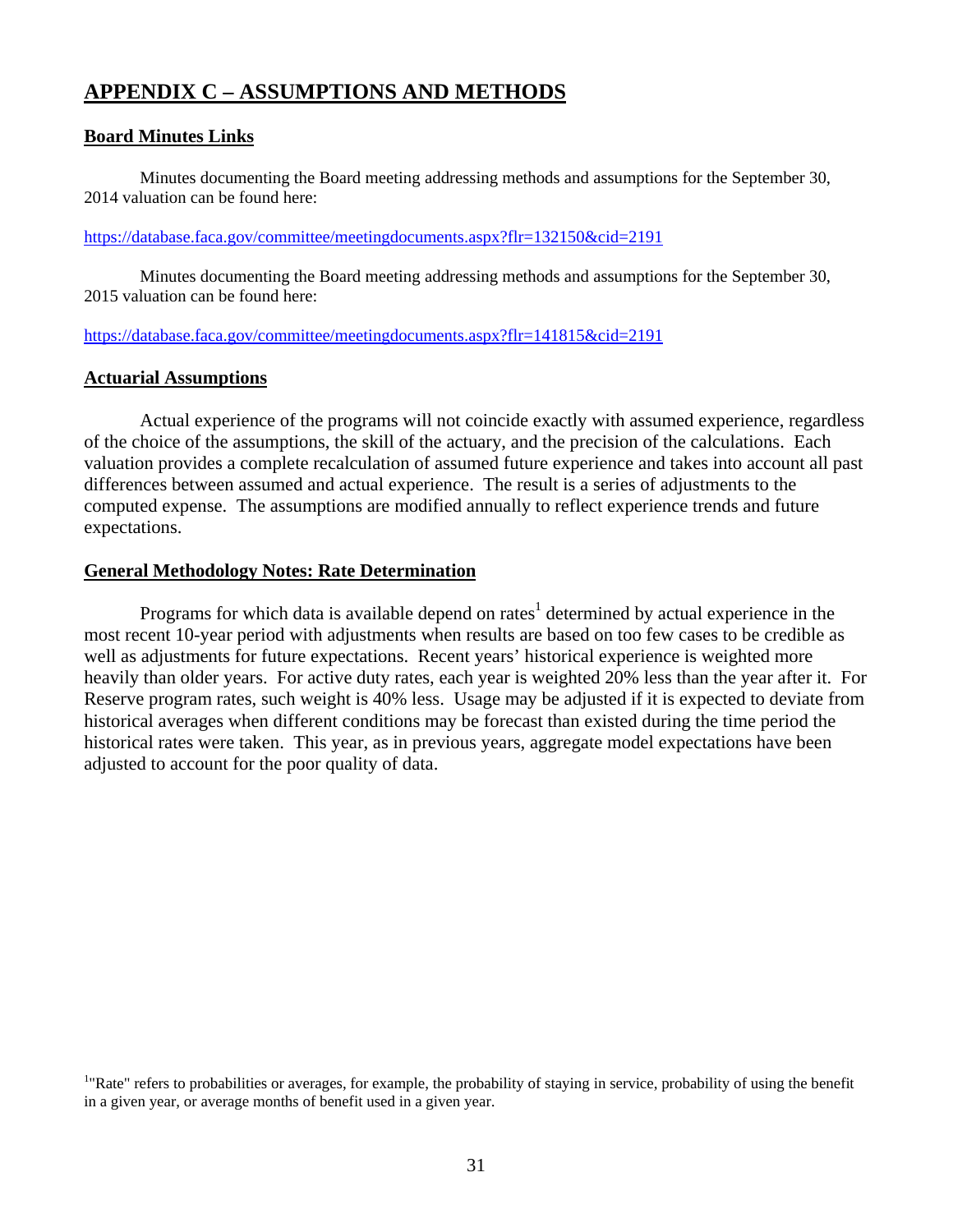## **APPENDIX C – ASSUMPTIONS AND METHODS**

## **Board Minutes Links**

Minutes documenting the Board meeting addressing methods and assumptions for the September 30, 2014 valuation can be found here:

#### https://database.faca.gov/committee/meetingdocuments.aspx?flr=132150&cid=2191

Minutes documenting the Board meeting addressing methods and assumptions for the September 30, 2015 valuation can be found here:

#### https://database.faca.gov/committee/meetingdocuments.aspx?flr=141815&cid=2191

#### **Actuarial Assumptions**

 Actual experience of the programs will not coincide exactly with assumed experience, regardless of the choice of the assumptions, the skill of the actuary, and the precision of the calculations. Each valuation provides a complete recalculation of assumed future experience and takes into account all past differences between assumed and actual experience. The result is a series of adjustments to the computed expense. The assumptions are modified annually to reflect experience trends and future expectations.

#### **General Methodology Notes: Rate Determination**

Programs for which data is available depend on rates<sup>1</sup> determined by actual experience in the most recent 10-year period with adjustments when results are based on too few cases to be credible as well as adjustments for future expectations. Recent years' historical experience is weighted more heavily than older years. For active duty rates, each year is weighted 20% less than the year after it. For Reserve program rates, such weight is 40% less. Usage may be adjusted if it is expected to deviate from historical averages when different conditions may be forecast than existed during the time period the historical rates were taken. This year, as in previous years, aggregate model expectations have been adjusted to account for the poor quality of data.

<sup>&</sup>lt;sup>1</sup>"Rate" refers to probabilities or averages, for example, the probability of staying in service, probability of using the benefit in a given year, or average months of benefit used in a given year.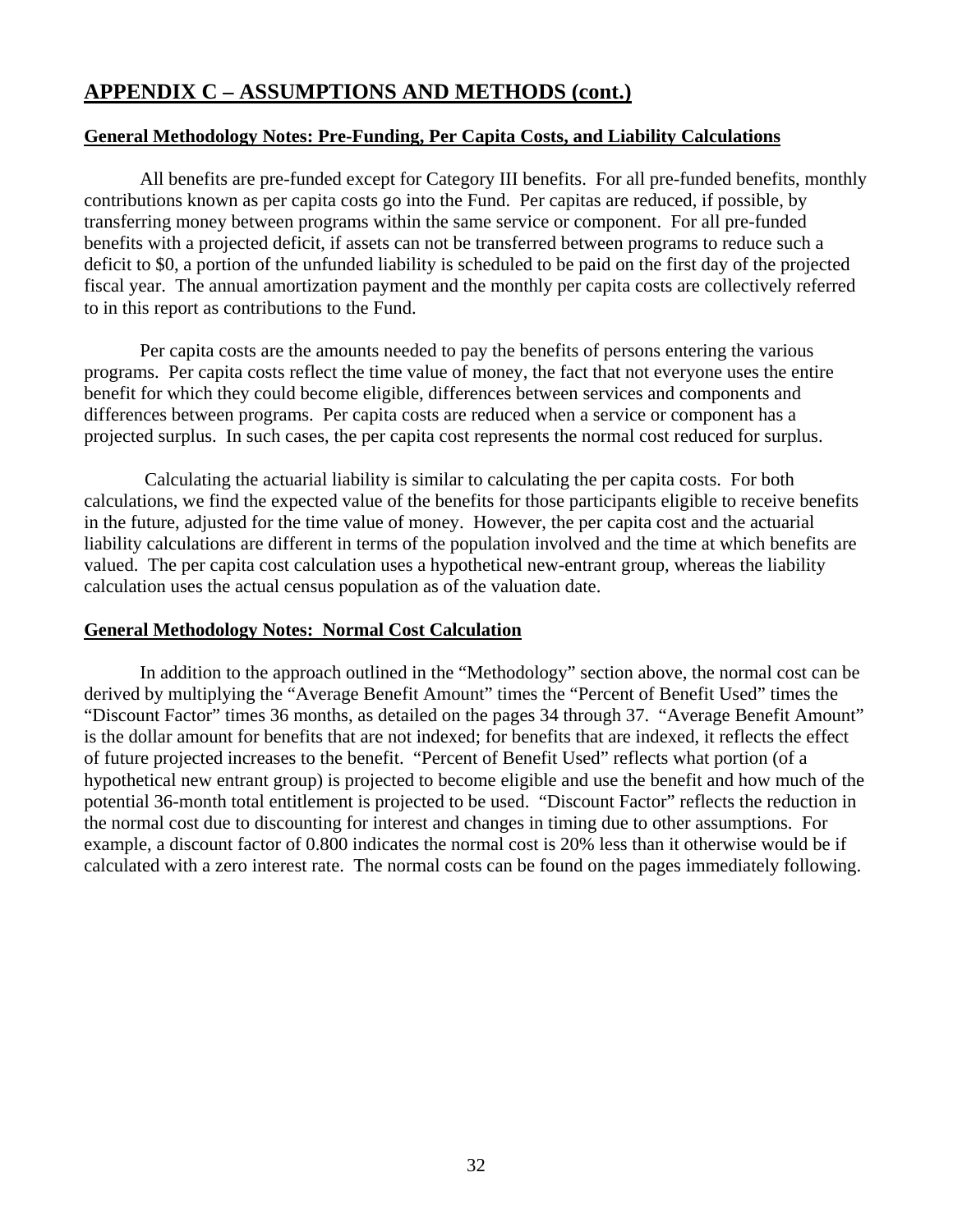## **General Methodology Notes: Pre-Funding, Per Capita Costs, and Liability Calculations**

 All benefits are pre-funded except for Category III benefits. For all pre-funded benefits, monthly contributions known as per capita costs go into the Fund. Per capitas are reduced, if possible, by transferring money between programs within the same service or component. For all pre-funded benefits with a projected deficit, if assets can not be transferred between programs to reduce such a deficit to \$0, a portion of the unfunded liability is scheduled to be paid on the first day of the projected fiscal year. The annual amortization payment and the monthly per capita costs are collectively referred to in this report as contributions to the Fund.

 Per capita costs are the amounts needed to pay the benefits of persons entering the various programs. Per capita costs reflect the time value of money, the fact that not everyone uses the entire benefit for which they could become eligible, differences between services and components and differences between programs. Per capita costs are reduced when a service or component has a projected surplus. In such cases, the per capita cost represents the normal cost reduced for surplus.

 Calculating the actuarial liability is similar to calculating the per capita costs. For both calculations, we find the expected value of the benefits for those participants eligible to receive benefits in the future, adjusted for the time value of money. However, the per capita cost and the actuarial liability calculations are different in terms of the population involved and the time at which benefits are valued. The per capita cost calculation uses a hypothetical new-entrant group, whereas the liability calculation uses the actual census population as of the valuation date.

## **General Methodology Notes: Normal Cost Calculation**

 In addition to the approach outlined in the "Methodology" section above, the normal cost can be derived by multiplying the "Average Benefit Amount" times the "Percent of Benefit Used" times the "Discount Factor" times 36 months, as detailed on the pages 34 through 37. "Average Benefit Amount" is the dollar amount for benefits that are not indexed; for benefits that are indexed, it reflects the effect of future projected increases to the benefit. "Percent of Benefit Used" reflects what portion (of a hypothetical new entrant group) is projected to become eligible and use the benefit and how much of the potential 36-month total entitlement is projected to be used. "Discount Factor" reflects the reduction in the normal cost due to discounting for interest and changes in timing due to other assumptions. For example, a discount factor of 0.800 indicates the normal cost is 20% less than it otherwise would be if calculated with a zero interest rate. The normal costs can be found on the pages immediately following.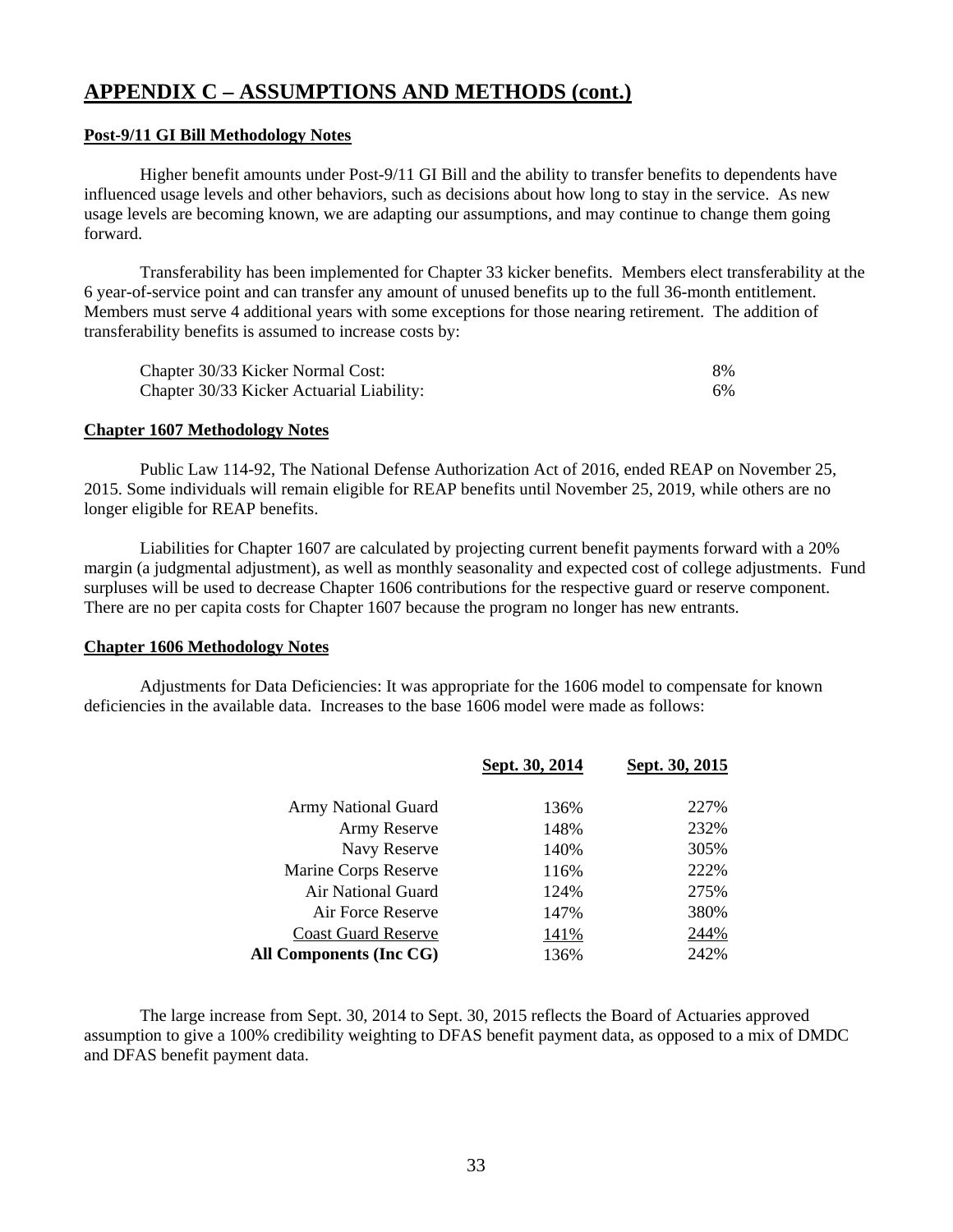#### **Post-9/11 GI Bill Methodology Notes**

 Higher benefit amounts under Post-9/11 GI Bill and the ability to transfer benefits to dependents have influenced usage levels and other behaviors, such as decisions about how long to stay in the service. As new usage levels are becoming known, we are adapting our assumptions, and may continue to change them going forward.

 Transferability has been implemented for Chapter 33 kicker benefits. Members elect transferability at the 6 year-of-service point and can transfer any amount of unused benefits up to the full 36-month entitlement. Members must serve 4 additional years with some exceptions for those nearing retirement. The addition of transferability benefits is assumed to increase costs by:

| Chapter 30/33 Kicker Normal Cost:         | 8% |
|-------------------------------------------|----|
| Chapter 30/33 Kicker Actuarial Liability: | 6% |

#### **Chapter 1607 Methodology Notes**

 Public Law 114-92, The National Defense Authorization Act of 2016, ended REAP on November 25, 2015. Some individuals will remain eligible for REAP benefits until November 25, 2019, while others are no longer eligible for REAP benefits.

 Liabilities for Chapter 1607 are calculated by projecting current benefit payments forward with a 20% margin (a judgmental adjustment), as well as monthly seasonality and expected cost of college adjustments. Fund surpluses will be used to decrease Chapter 1606 contributions for the respective guard or reserve component. There are no per capita costs for Chapter 1607 because the program no longer has new entrants.

#### **Chapter 1606 Methodology Notes**

 Adjustments for Data Deficiencies: It was appropriate for the 1606 model to compensate for known deficiencies in the available data. Increases to the base 1606 model were made as follows:

|                            | Sept. 30, 2014 | Sept. 30, 2015 |
|----------------------------|----------------|----------------|
| Army National Guard        | 136%           | 227%           |
| Army Reserve               | 148%           | 232%           |
| Navy Reserve               | 140%           | 305%           |
| Marine Corps Reserve       | 116%           | 222%           |
| Air National Guard         | 124%           | 275%           |
| Air Force Reserve          | 147%           | 380%           |
| <b>Coast Guard Reserve</b> | 141%           | 244%           |
| All Components (Inc CG)    | 136%           | 242%           |

 The large increase from Sept. 30, 2014 to Sept. 30, 2015 reflects the Board of Actuaries approved assumption to give a 100% credibility weighting to DFAS benefit payment data, as opposed to a mix of DMDC and DFAS benefit payment data.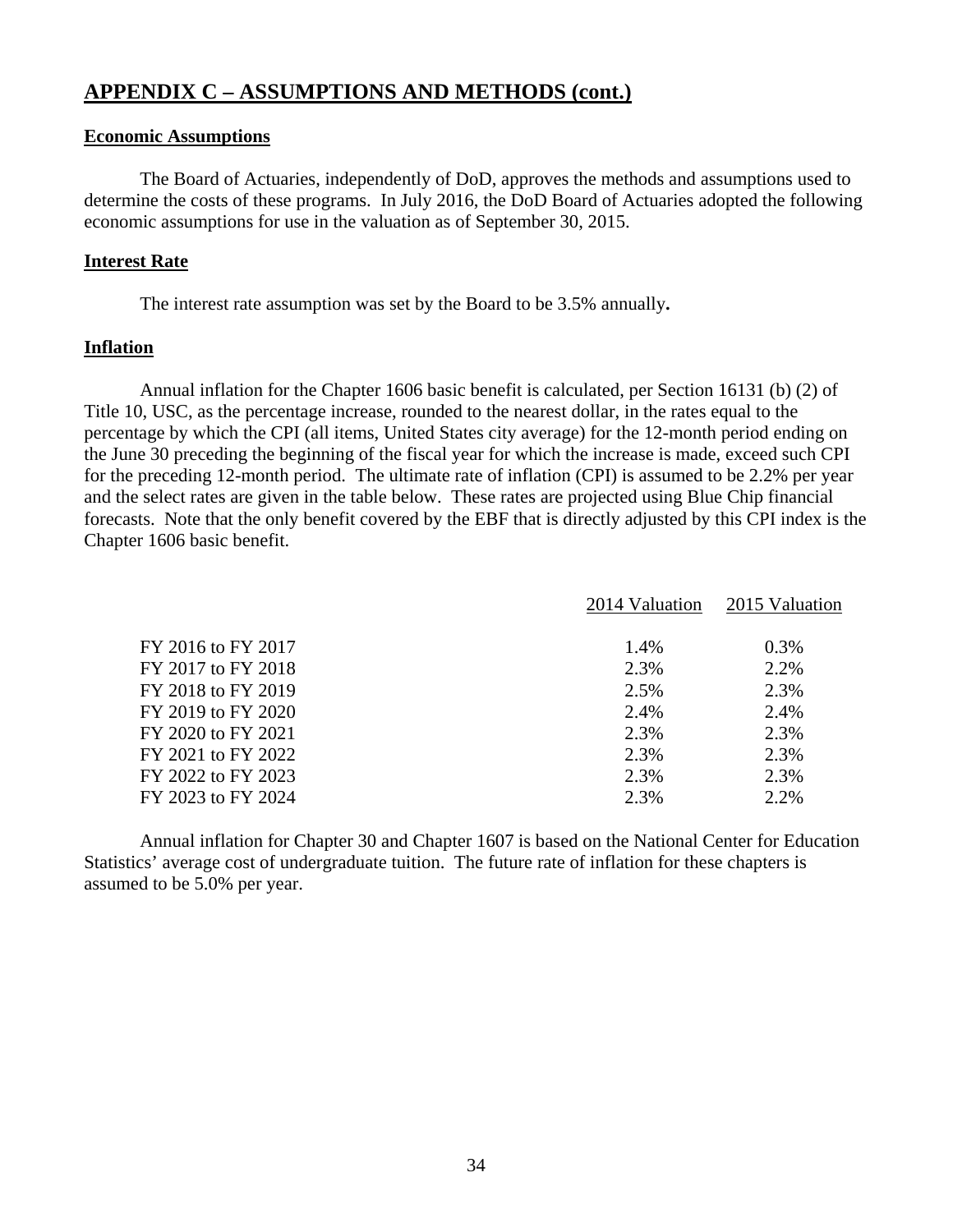#### **Economic Assumptions**

 The Board of Actuaries, independently of DoD, approves the methods and assumptions used to determine the costs of these programs. In July 2016, the DoD Board of Actuaries adopted the following economic assumptions for use in the valuation as of September 30, 2015.

#### **Interest Rate**

The interest rate assumption was set by the Board to be 3.5% annually**.**

#### **Inflation**

 Annual inflation for the Chapter 1606 basic benefit is calculated, per Section 16131 (b) (2) of Title 10, USC, as the percentage increase, rounded to the nearest dollar, in the rates equal to the percentage by which the CPI (all items, United States city average) for the 12-month period ending on the June 30 preceding the beginning of the fiscal year for which the increase is made, exceed such CPI for the preceding 12-month period. The ultimate rate of inflation (CPI) is assumed to be 2.2% per year and the select rates are given in the table below. These rates are projected using Blue Chip financial forecasts. Note that the only benefit covered by the EBF that is directly adjusted by this CPI index is the Chapter 1606 basic benefit.

|                    | 2014 Valuation | 2015 Valuation |
|--------------------|----------------|----------------|
| FY 2016 to FY 2017 | 1.4%           | 0.3%           |
| FY 2017 to FY 2018 | 2.3%           | 2.2%           |
| FY 2018 to FY 2019 | 2.5%           | 2.3%           |
| FY 2019 to FY 2020 | 2.4%           | 2.4%           |
| FY 2020 to FY 2021 | 2.3%           | 2.3%           |
| FY 2021 to FY 2022 | 2.3%           | 2.3%           |
| FY 2022 to FY 2023 | 2.3%           | 2.3%           |
| FY 2023 to FY 2024 | 2.3%           | 2.2%           |
|                    |                |                |

 Annual inflation for Chapter 30 and Chapter 1607 is based on the National Center for Education Statistics' average cost of undergraduate tuition. The future rate of inflation for these chapters is assumed to be 5.0% per year.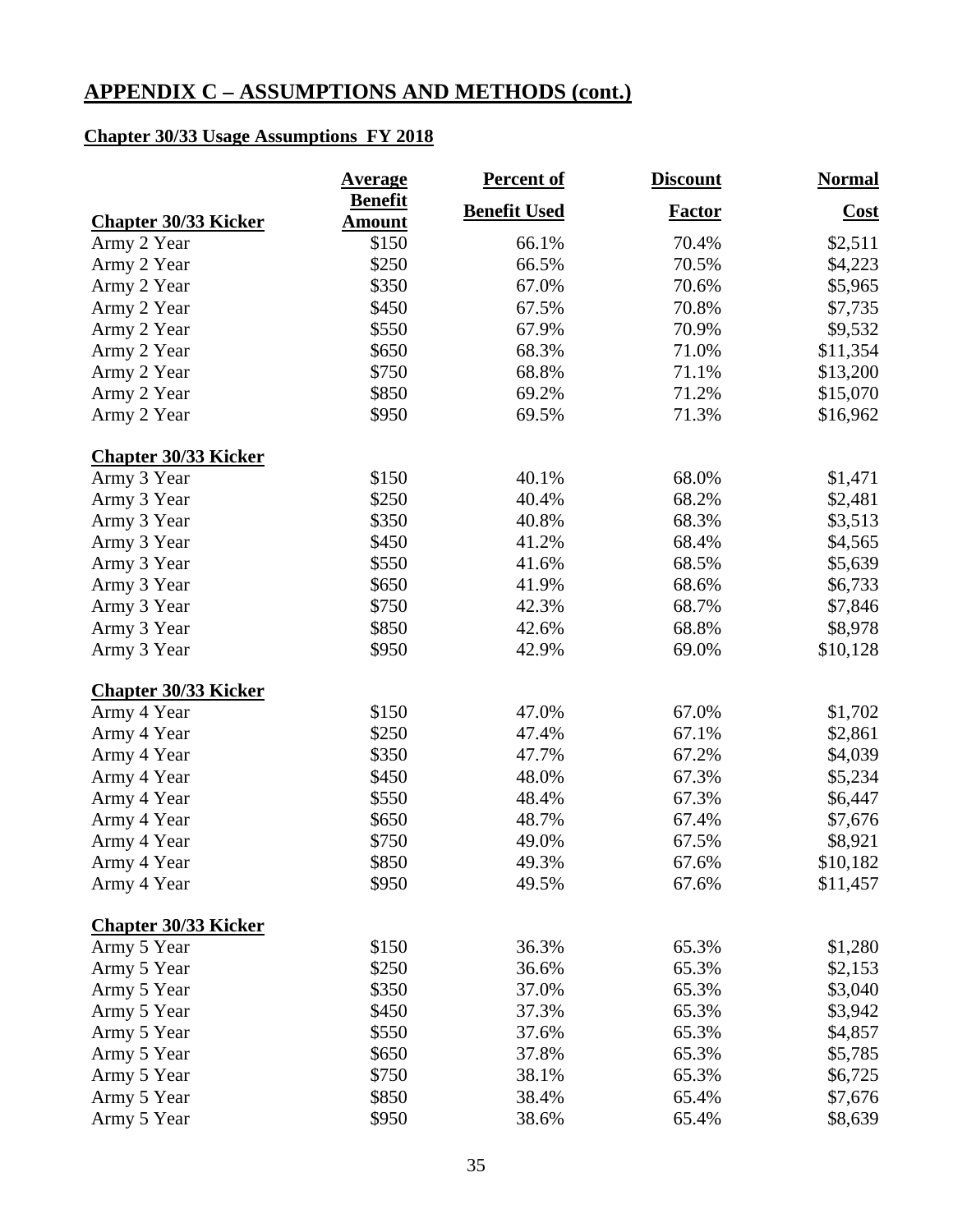## **Chapter 30/33 Usage Assumptions FY 2018**

|                                            | <b>Average</b>         | <b>Percent of</b>   | <b>Discount</b> | <b>Normal</b> |
|--------------------------------------------|------------------------|---------------------|-----------------|---------------|
|                                            | <b>Benefit</b>         | <b>Benefit Used</b> | <b>Factor</b>   | Cost          |
| <b>Chapter 30/33 Kicker</b><br>Army 2 Year | <b>Amount</b><br>\$150 | 66.1%               | 70.4%           | \$2,511       |
| Army 2 Year                                | \$250                  | 66.5%               | 70.5%           | \$4,223       |
| Army 2 Year                                | \$350                  | 67.0%               | 70.6%           | \$5,965       |
| Army 2 Year                                | \$450                  | 67.5%               | 70.8%           | \$7,735       |
| Army 2 Year                                | \$550                  | 67.9%               | 70.9%           | \$9,532       |
| Army 2 Year                                | \$650                  | 68.3%               | 71.0%           | \$11,354      |
| Army 2 Year                                | \$750                  | 68.8%               | 71.1%           | \$13,200      |
| Army 2 Year                                | \$850                  | 69.2%               | 71.2%           | \$15,070      |
| Army 2 Year                                | \$950                  | 69.5%               | 71.3%           | \$16,962      |
|                                            |                        |                     |                 |               |
| <b>Chapter 30/33 Kicker</b>                |                        |                     |                 |               |
| Army 3 Year                                | \$150                  | 40.1%               | 68.0%           | \$1,471       |
| Army 3 Year                                | \$250                  | 40.4%               | 68.2%           | \$2,481       |
| Army 3 Year                                | \$350                  | 40.8%               | 68.3%           | \$3,513       |
| Army 3 Year                                | \$450                  | 41.2%               | 68.4%           | \$4,565       |
| Army 3 Year                                | \$550                  | 41.6%               | 68.5%           | \$5,639       |
| Army 3 Year                                | \$650                  | 41.9%               | 68.6%           | \$6,733       |
| Army 3 Year                                | \$750                  | 42.3%               | 68.7%           | \$7,846       |
| Army 3 Year                                | \$850                  | 42.6%               | 68.8%           | \$8,978       |
| Army 3 Year                                | \$950                  | 42.9%               | 69.0%           | \$10,128      |
| <b>Chapter 30/33 Kicker</b>                |                        |                     |                 |               |
| Army 4 Year                                | \$150                  | 47.0%               | 67.0%           | \$1,702       |
| Army 4 Year                                | \$250                  | 47.4%               | 67.1%           | \$2,861       |
| Army 4 Year                                | \$350                  | 47.7%               | 67.2%           | \$4,039       |
| Army 4 Year                                | \$450                  | 48.0%               | 67.3%           | \$5,234       |
| Army 4 Year                                | \$550                  | 48.4%               | 67.3%           | \$6,447       |
| Army 4 Year                                | \$650                  | 48.7%               | 67.4%           | \$7,676       |
| Army 4 Year                                | \$750                  | 49.0%               | 67.5%           | \$8,921       |
| Army 4 Year                                | \$850                  | 49.3%               | 67.6%           | \$10,182      |
| Army 4 Year                                | \$950                  | 49.5%               | 67.6%           | \$11,457      |
| <b>Chapter 30/33 Kicker</b>                |                        |                     |                 |               |
| Army 5 Year                                | \$150                  | 36.3%               | 65.3%           | \$1,280       |
| Army 5 Year                                | \$250                  | 36.6%               | 65.3%           |               |
|                                            | \$350                  | 37.0%               |                 | \$2,153       |
| Army 5 Year                                |                        |                     | 65.3%           | \$3,040       |
| Army 5 Year                                | \$450                  | 37.3%               | 65.3%           | \$3,942       |
| Army 5 Year                                | \$550                  | 37.6%               | 65.3%           | \$4,857       |
| Army 5 Year                                | \$650                  | 37.8%               | 65.3%           | \$5,785       |
| Army 5 Year                                | \$750                  | 38.1%               | 65.3%           | \$6,725       |
| Army 5 Year                                | \$850                  | 38.4%               | 65.4%           | \$7,676       |
| Army 5 Year                                | \$950                  | 38.6%               | 65.4%           | \$8,639       |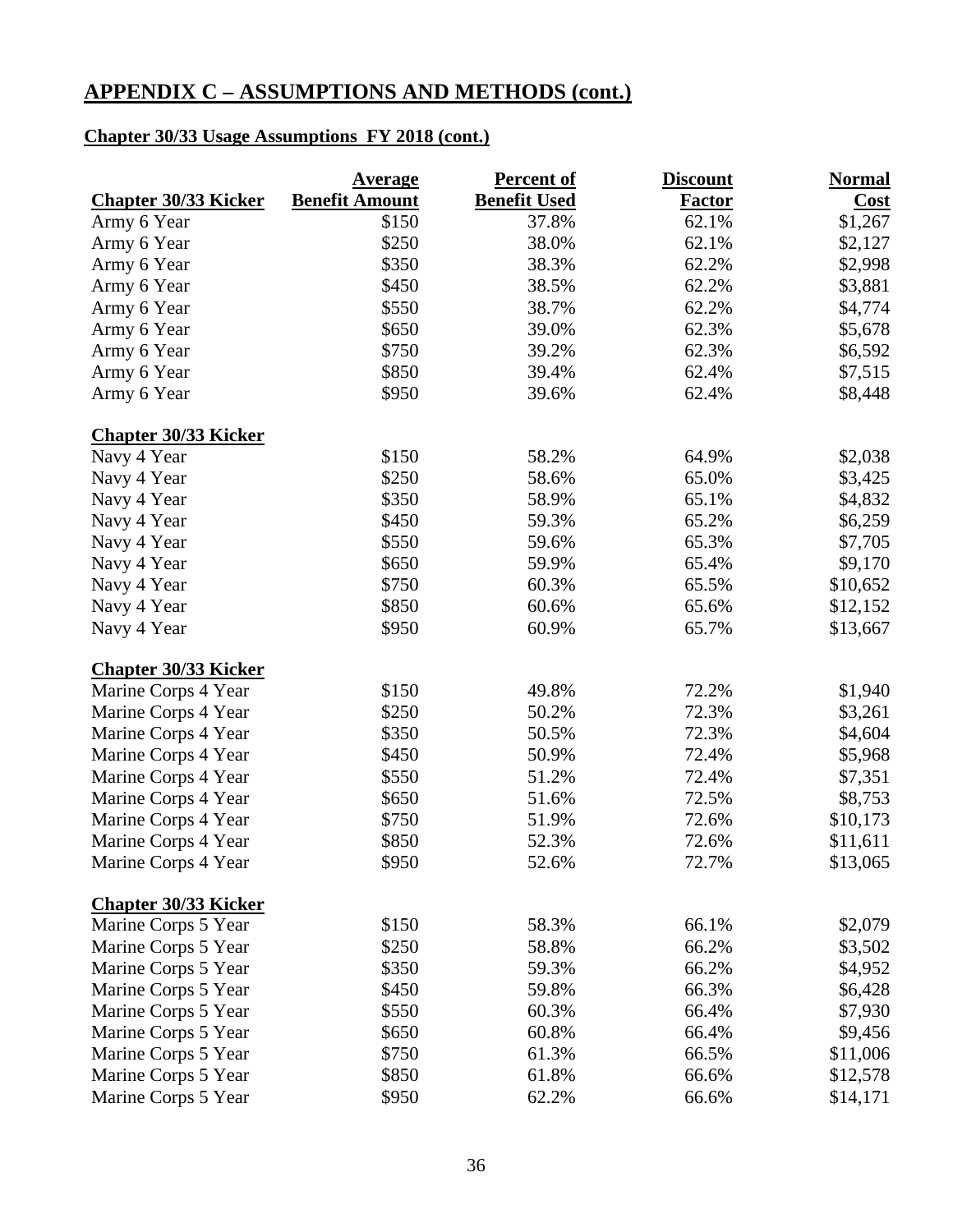## **Chapter 30/33 Usage Assumptions FY 2018 (cont.)**

|                             | <u>Average</u>        | <b>Percent of</b>   | <b>Discount</b> | <b>Normal</b> |
|-----------------------------|-----------------------|---------------------|-----------------|---------------|
| <b>Chapter 30/33 Kicker</b> | <b>Benefit Amount</b> | <b>Benefit Used</b> | <b>Factor</b>   | Cost          |
| Army 6 Year                 | \$150                 | 37.8%               | 62.1%           | \$1,267       |
| Army 6 Year                 | \$250                 | 38.0%               | 62.1%           | \$2,127       |
| Army 6 Year                 | \$350                 | 38.3%               | 62.2%           | \$2,998       |
| Army 6 Year                 | \$450                 | 38.5%               | 62.2%           | \$3,881       |
| Army 6 Year                 | \$550                 | 38.7%               | 62.2%           | \$4,774       |
| Army 6 Year                 | \$650                 | 39.0%               | 62.3%           | \$5,678       |
| Army 6 Year                 | \$750                 | 39.2%               | 62.3%           | \$6,592       |
| Army 6 Year                 | \$850                 | 39.4%               | 62.4%           | \$7,515       |
| Army 6 Year                 | \$950                 | 39.6%               | 62.4%           | \$8,448       |
| <b>Chapter 30/33 Kicker</b> |                       |                     |                 |               |
| Navy 4 Year                 | \$150                 | 58.2%               | 64.9%           | \$2,038       |
| Navy 4 Year                 | \$250                 | 58.6%               | 65.0%           | \$3,425       |
| Navy 4 Year                 | \$350                 | 58.9%               | 65.1%           | \$4,832       |
| Navy 4 Year                 | \$450                 | 59.3%               | 65.2%           | \$6,259       |
| Navy 4 Year                 | \$550                 | 59.6%               | 65.3%           | \$7,705       |
| Navy 4 Year                 | \$650                 | 59.9%               | 65.4%           | \$9,170       |
| Navy 4 Year                 | \$750                 | 60.3%               | 65.5%           | \$10,652      |
| Navy 4 Year                 | \$850                 | 60.6%               | 65.6%           | \$12,152      |
| Navy 4 Year                 | \$950                 | 60.9%               | 65.7%           | \$13,667      |
| <b>Chapter 30/33 Kicker</b> |                       |                     |                 |               |
| Marine Corps 4 Year         | \$150                 | 49.8%               | 72.2%           | \$1,940       |
| Marine Corps 4 Year         | \$250                 | 50.2%               | 72.3%           | \$3,261       |
| Marine Corps 4 Year         | \$350                 | 50.5%               | 72.3%           | \$4,604       |
| Marine Corps 4 Year         | \$450                 | 50.9%               | 72.4%           | \$5,968       |
| Marine Corps 4 Year         | \$550                 | 51.2%               | 72.4%           | \$7,351       |
| Marine Corps 4 Year         | \$650                 | 51.6%               | 72.5%           | \$8,753       |
| Marine Corps 4 Year         | \$750                 | 51.9%               | 72.6%           | \$10,173      |
| Marine Corps 4 Year         | \$850                 | 52.3%               | 72.6%           | \$11,611      |
| Marine Corps 4 Year         | \$950                 | 52.6%               | 72.7%           | \$13,065      |
| <b>Chapter 30/33 Kicker</b> |                       |                     |                 |               |
| Marine Corps 5 Year         | \$150                 | 58.3%               | 66.1%           | \$2,079       |
| Marine Corps 5 Year         | \$250                 | 58.8%               | 66.2%           | \$3,502       |
| Marine Corps 5 Year         | \$350                 | 59.3%               | 66.2%           | \$4,952       |
| Marine Corps 5 Year         | \$450                 | 59.8%               | 66.3%           | \$6,428       |
| Marine Corps 5 Year         | \$550                 | 60.3%               | 66.4%           | \$7,930       |
| Marine Corps 5 Year         | \$650                 | 60.8%               | 66.4%           | \$9,456       |
| Marine Corps 5 Year         | \$750                 | 61.3%               | 66.5%           | \$11,006      |
| Marine Corps 5 Year         | \$850                 | 61.8%               | 66.6%           | \$12,578      |
| Marine Corps 5 Year         | \$950                 | 62.2%               | 66.6%           | \$14,171      |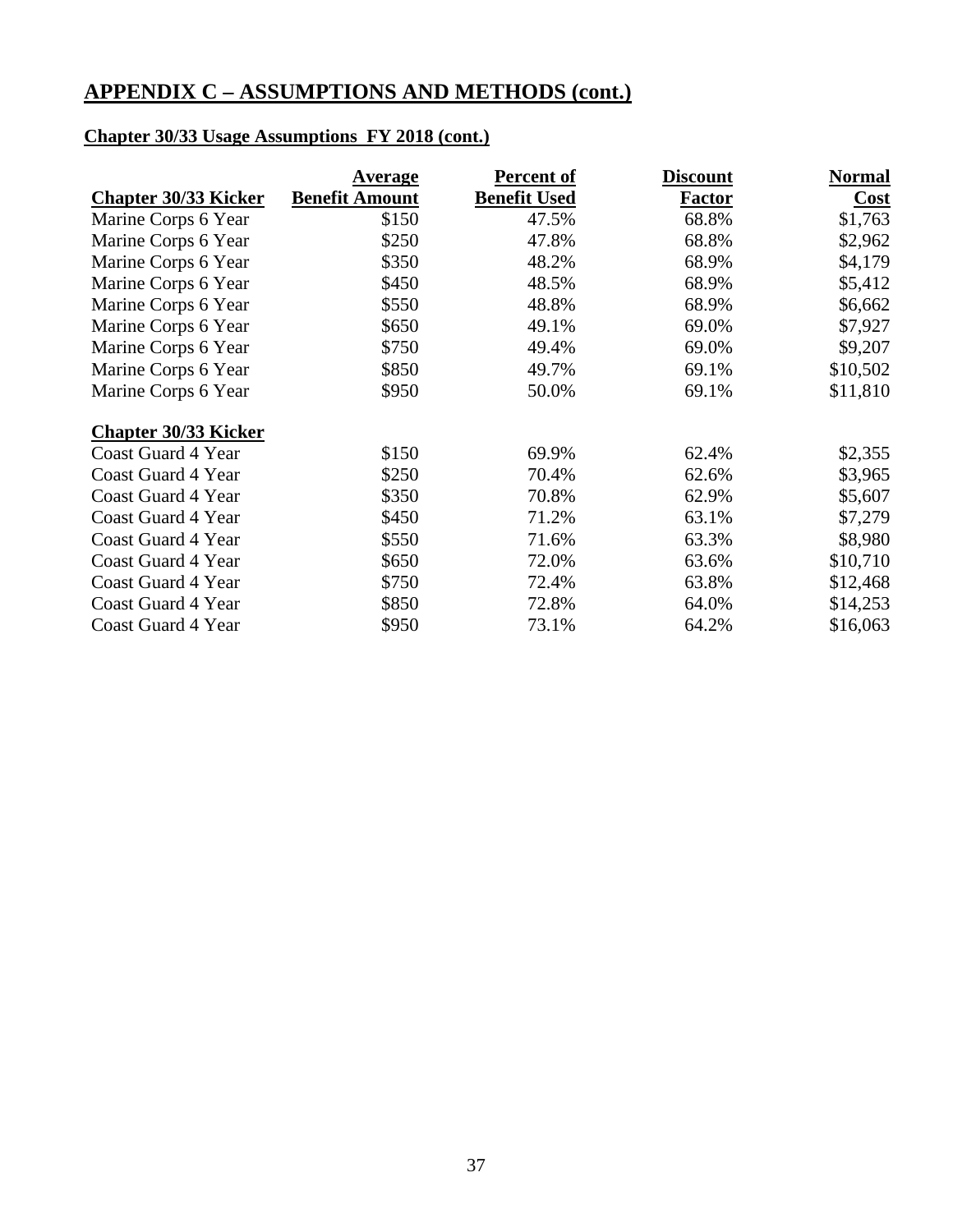## **Chapter 30/33 Usage Assumptions FY 2018 (cont.)**

|                             | <u>Average</u>        | <b>Percent of</b>   | <b>Discount</b> | <b>Normal</b> |
|-----------------------------|-----------------------|---------------------|-----------------|---------------|
| <b>Chapter 30/33 Kicker</b> | <b>Benefit Amount</b> | <b>Benefit Used</b> | <b>Factor</b>   | Cost          |
| Marine Corps 6 Year         | \$150                 | 47.5%               | 68.8%           | \$1,763       |
| Marine Corps 6 Year         | \$250                 | 47.8%               | 68.8%           | \$2,962       |
| Marine Corps 6 Year         | \$350                 | 48.2%               | 68.9%           | \$4,179       |
| Marine Corps 6 Year         | \$450                 | 48.5%               | 68.9%           | \$5,412       |
| Marine Corps 6 Year         | \$550                 | 48.8%               | 68.9%           | \$6,662       |
| Marine Corps 6 Year         | \$650                 | 49.1%               | 69.0%           | \$7,927       |
| Marine Corps 6 Year         | \$750                 | 49.4%               | 69.0%           | \$9,207       |
| Marine Corps 6 Year         | \$850                 | 49.7%               | 69.1%           | \$10,502      |
| Marine Corps 6 Year         | \$950                 | 50.0%               | 69.1%           | \$11,810      |
| <b>Chapter 30/33 Kicker</b> |                       |                     |                 |               |
| Coast Guard 4 Year          | \$150                 | 69.9%               | 62.4%           | \$2,355       |
| <b>Coast Guard 4 Year</b>   | \$250                 | 70.4%               | 62.6%           | \$3,965       |
| Coast Guard 4 Year          | \$350                 | 70.8%               | 62.9%           | \$5,607       |
| Coast Guard 4 Year          | \$450                 | 71.2%               | 63.1%           | \$7,279       |
| Coast Guard 4 Year          | \$550                 | 71.6%               | 63.3%           | \$8,980       |
| Coast Guard 4 Year          | \$650                 | 72.0%               | 63.6%           | \$10,710      |
| Coast Guard 4 Year          | \$750                 | 72.4%               | 63.8%           | \$12,468      |
| Coast Guard 4 Year          | \$850                 | 72.8%               | 64.0%           | \$14,253      |
| Coast Guard 4 Year          | \$950                 | 73.1%               | 64.2%           | \$16,063      |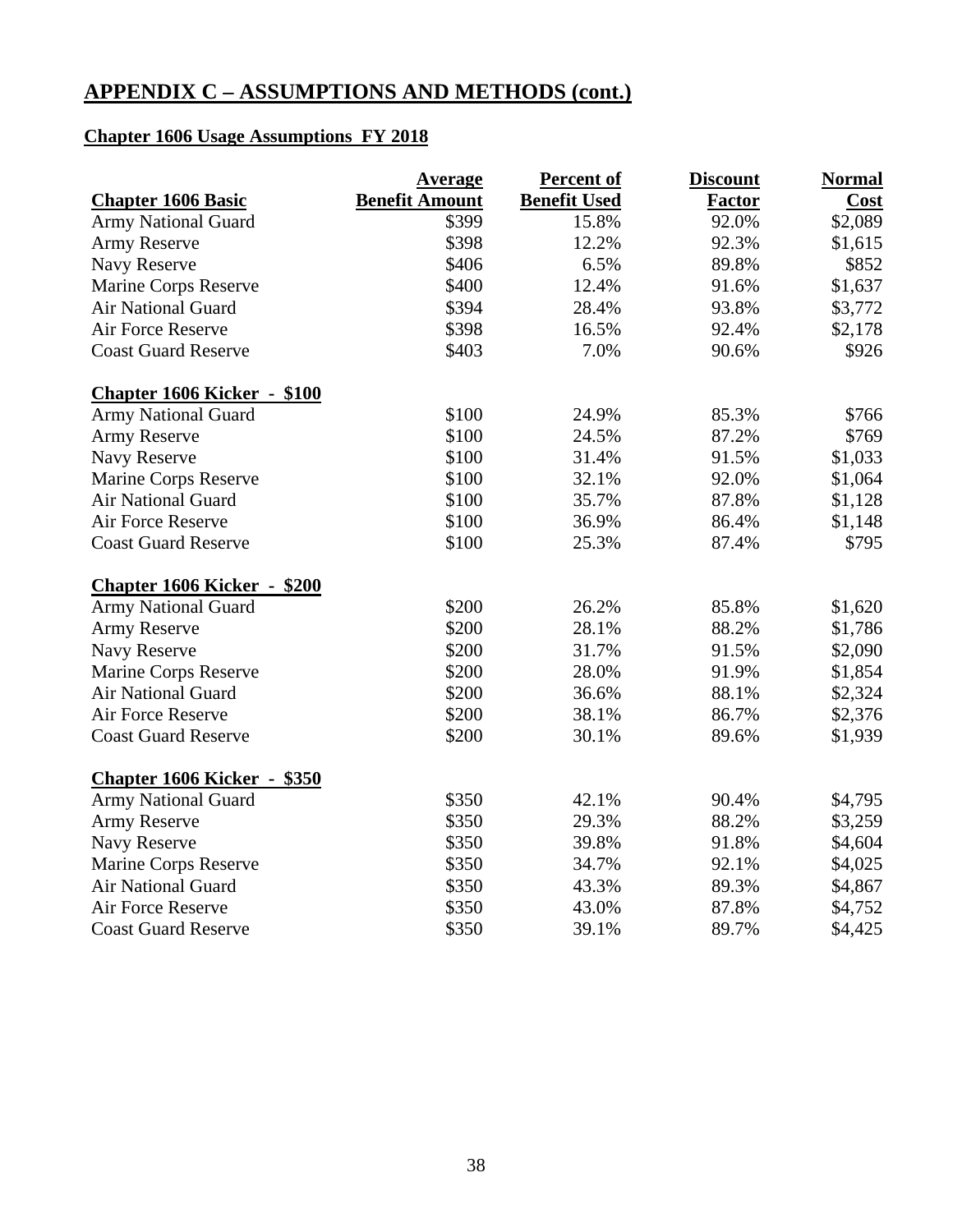## **Chapter 1606 Usage Assumptions FY 2018**

|                                    | <b>Average</b>        | <b>Percent of</b>   | <b>Discount</b> | <b>Normal</b> |
|------------------------------------|-----------------------|---------------------|-----------------|---------------|
| <b>Chapter 1606 Basic</b>          | <b>Benefit Amount</b> | <b>Benefit Used</b> | <b>Factor</b>   | <b>Cost</b>   |
| <b>Army National Guard</b>         | \$399                 | 15.8%               | 92.0%           | \$2,089       |
| <b>Army Reserve</b>                | \$398                 | 12.2%               | 92.3%           | \$1,615       |
| Navy Reserve                       | \$406                 | 6.5%                | 89.8%           | \$852         |
| Marine Corps Reserve               | \$400                 | 12.4%               | 91.6%           | \$1,637       |
| <b>Air National Guard</b>          | \$394                 | 28.4%               | 93.8%           | \$3,772       |
| Air Force Reserve                  | \$398                 | 16.5%               | 92.4%           | \$2,178       |
| <b>Coast Guard Reserve</b>         | \$403                 | 7.0%                | 90.6%           | \$926         |
| <b>Chapter 1606 Kicker - \$100</b> |                       |                     |                 |               |
| Army National Guard                | \$100                 | 24.9%               | 85.3%           | \$766         |
| <b>Army Reserve</b>                | \$100                 | 24.5%               | 87.2%           | \$769         |
| Navy Reserve                       | \$100                 | 31.4%               | 91.5%           | \$1,033       |
| Marine Corps Reserve               | \$100                 | 32.1%               | 92.0%           | \$1,064       |
| <b>Air National Guard</b>          | \$100                 | 35.7%               | 87.8%           | \$1,128       |
| Air Force Reserve                  | \$100                 | 36.9%               | 86.4%           | \$1,148       |
| <b>Coast Guard Reserve</b>         | \$100                 | 25.3%               | 87.4%           | \$795         |
| <b>Chapter 1606 Kicker - \$200</b> |                       |                     |                 |               |
| <b>Army National Guard</b>         | \$200                 | 26.2%               | 85.8%           | \$1,620       |
| Army Reserve                       | \$200                 | 28.1%               | 88.2%           | \$1,786       |
| Navy Reserve                       | \$200                 | 31.7%               | 91.5%           | \$2,090       |
| Marine Corps Reserve               | \$200                 | 28.0%               | 91.9%           | \$1,854       |
| <b>Air National Guard</b>          | \$200                 | 36.6%               | 88.1%           | \$2,324       |
| Air Force Reserve                  | \$200                 | 38.1%               | 86.7%           | \$2,376       |
| <b>Coast Guard Reserve</b>         | \$200                 | 30.1%               | 89.6%           | \$1,939       |
| <b>Chapter 1606 Kicker - \$350</b> |                       |                     |                 |               |
| <b>Army National Guard</b>         | \$350                 | 42.1%               | 90.4%           | \$4,795       |
| <b>Army Reserve</b>                | \$350                 | 29.3%               | 88.2%           | \$3,259       |
| Navy Reserve                       | \$350                 | 39.8%               | 91.8%           | \$4,604       |
| Marine Corps Reserve               | \$350                 | 34.7%               | 92.1%           | \$4,025       |
| Air National Guard                 | \$350                 | 43.3%               | 89.3%           | \$4,867       |
| Air Force Reserve                  | \$350                 | 43.0%               | 87.8%           | \$4,752       |
| <b>Coast Guard Reserve</b>         | \$350                 | 39.1%               | 89.7%           | \$4,425       |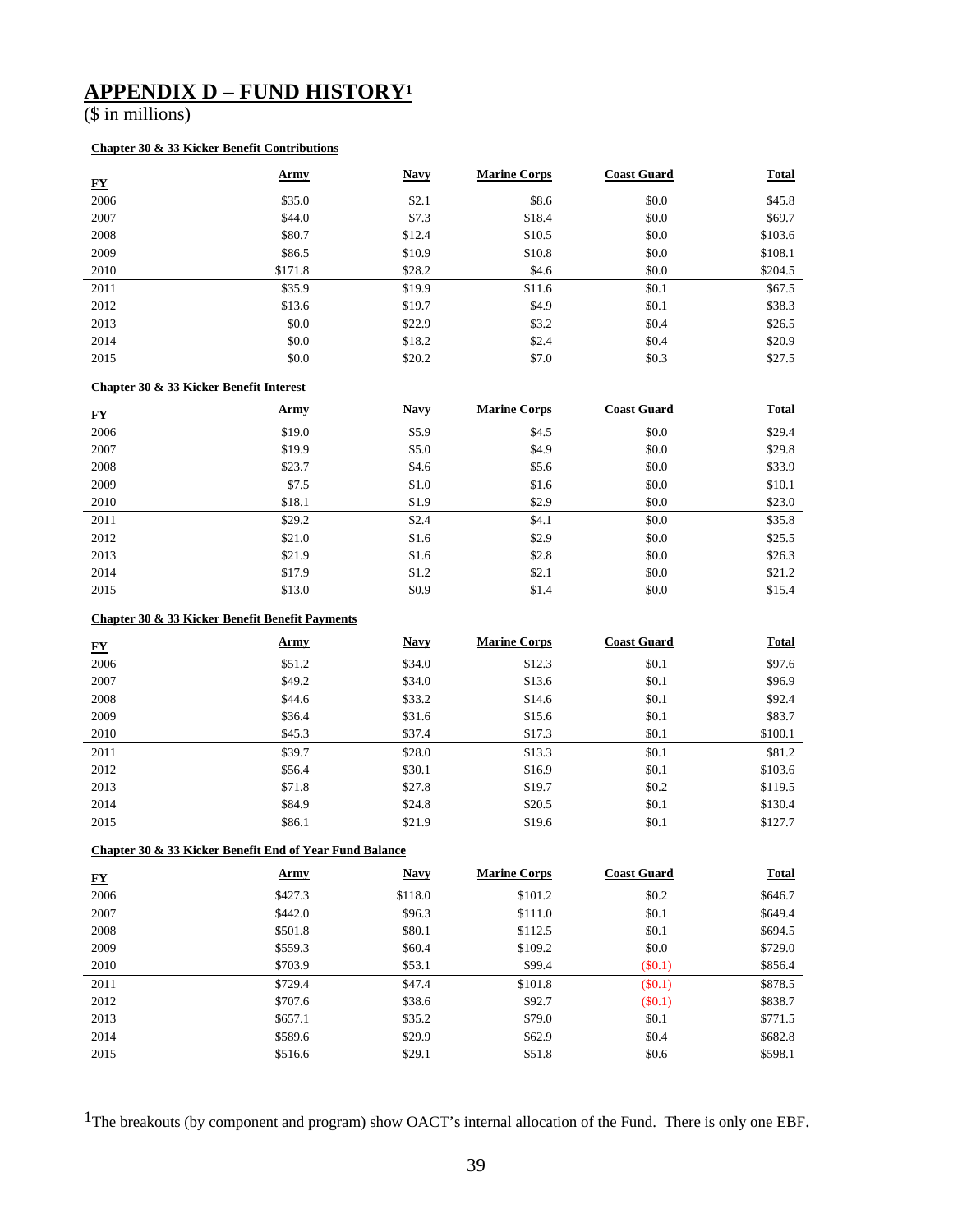## **APPENDIX D – FUND HISTORY1**

(\$ in millions)

#### **Chapter 30 & 33 Kicker Benefit Contributions**

| <u>FY</u> | <u>Army</u> | <b>Navy</b> | <b>Marine Corps</b> | <b>Coast Guard</b> | <b>Total</b> |
|-----------|-------------|-------------|---------------------|--------------------|--------------|
| 2006      | \$35.0      | \$2.1       | \$8.6               | \$0.0              | \$45.8       |
| 2007      | \$44.0      | \$7.3       | \$18.4              | \$0.0              | \$69.7       |
| 2008      | \$80.7      | \$12.4      | \$10.5              | \$0.0              | \$103.6      |
| 2009      | \$86.5      | \$10.9      | \$10.8              | \$0.0              | \$108.1      |
| 2010      | \$171.8     | \$28.2      | \$4.6               | \$0.0              | \$204.5      |
| 2011      | \$35.9      | \$19.9      | \$11.6              | \$0.1              | \$67.5       |
| 2012      | \$13.6      | \$19.7      | \$4.9               | \$0.1              | \$38.3       |
| 2013      | \$0.0       | \$22.9      | \$3.2               | \$0.4              | \$26.5       |
| 2014      | \$0.0       | \$18.2      | \$2.4               | \$0.4              | \$20.9       |
| 2015      | \$0.0       | \$20.2      | \$7.0               | \$0.3              | \$27.5       |

#### **Chapter 30 & 33 Kicker Benefit Interest**

| ${\bf F}{\bf Y}$ | <u>Army</u> | <b>Navy</b> | <b>Marine Corps</b> | <b>Coast Guard</b> | <b>Total</b> |
|------------------|-------------|-------------|---------------------|--------------------|--------------|
| 2006             | \$19.0      | \$5.9       | \$4.5               | \$0.0              | \$29.4       |
| 2007             | \$19.9      | \$5.0       | \$4.9               | \$0.0              | \$29.8       |
| 2008             | \$23.7      | \$4.6       | \$5.6               | \$0.0              | \$33.9       |
| 2009             | \$7.5       | \$1.0       | \$1.6               | \$0.0              | \$10.1       |
| 2010             | \$18.1      | \$1.9       | \$2.9               | \$0.0              | \$23.0       |
| 2011             | \$29.2      | \$2.4       | \$4.1               | \$0.0              | \$35.8       |
| 2012             | \$21.0      | \$1.6       | \$2.9               | \$0.0              | \$25.5       |
| 2013             | \$21.9      | \$1.6       | \$2.8               | \$0.0              | \$26.3       |
| 2014             | \$17.9      | \$1.2       | \$2.1               | \$0.0              | \$21.2       |
| 2015             | \$13.0      | \$0.9       | \$1.4               | \$0.0              | \$15.4       |

#### **Chapter 30 & 33 Kicker Benefit Benefit Payments**

| <b>FY</b> | <u>Army</u> | <b>Navy</b> | <b>Marine Corps</b> | <b>Coast Guard</b> | <b>Total</b> |
|-----------|-------------|-------------|---------------------|--------------------|--------------|
| 2006      | \$51.2      | \$34.0      | \$12.3              | \$0.1              | \$97.6       |
| 2007      | \$49.2      | \$34.0      | \$13.6              | \$0.1              | \$96.9       |
| 2008      | \$44.6      | \$33.2      | \$14.6              | \$0.1              | \$92.4       |
| 2009      | \$36.4      | \$31.6      | \$15.6              | \$0.1              | \$83.7       |
| 2010      | \$45.3\$    | \$37.4      | \$17.3              | \$0.1              | \$100.1      |
| 2011      | \$39.7      | \$28.0      | \$13.3              | \$0.1              | \$81.2       |
| 2012      | \$56.4      | \$30.1      | \$16.9              | \$0.1              | \$103.6      |
| 2013      | \$71.8      | \$27.8      | \$19.7              | \$0.2              | \$119.5      |
| 2014      | \$84.9      | \$24.8      | \$20.5              | \$0.1              | \$130.4      |
| 2015      | \$86.1      | \$21.9      | \$19.6              | \$0.1              | \$127.7      |

#### **Chapter 30 & 33 Kicker Benefit End of Year Fund Balance**

| <u>FY</u> | <u>Army</u> | <b>Navy</b> | <b>Marine Corps</b> | <b>Coast Guard</b> | <b>Total</b> |
|-----------|-------------|-------------|---------------------|--------------------|--------------|
| 2006      | \$427.3     | \$118.0     | \$101.2             | \$0.2\$            | \$646.7      |
| 2007      | \$442.0     | \$96.3      | \$111.0             | \$0.1              | \$649.4      |
| 2008      | \$501.8     | \$80.1      | \$112.5             | \$0.1              | \$694.5      |
| 2009      | \$559.3     | \$60.4      | \$109.2             | \$0.0              | \$729.0      |
| 2010      | \$703.9     | \$53.1      | \$99.4              | (S0.1)             | \$856.4      |
| 2011      | \$729.4     | \$47.4      | \$101.8             | $(\$0.1)$          | \$878.5      |
| 2012      | \$707.6     | \$38.6      | \$92.7              | (S0.1)             | \$838.7      |
| 2013      | \$657.1     | \$35.2      | \$79.0              | \$0.1              | \$771.5      |
| 2014      | \$589.6     | \$29.9      | \$62.9              | \$0.4              | \$682.8      |
| 2015      | \$516.6     | \$29.1      | \$51.8              | \$0.6              | \$598.1      |

1The breakouts (by component and program) show OACT's internal allocation of the Fund. There is only one EBF.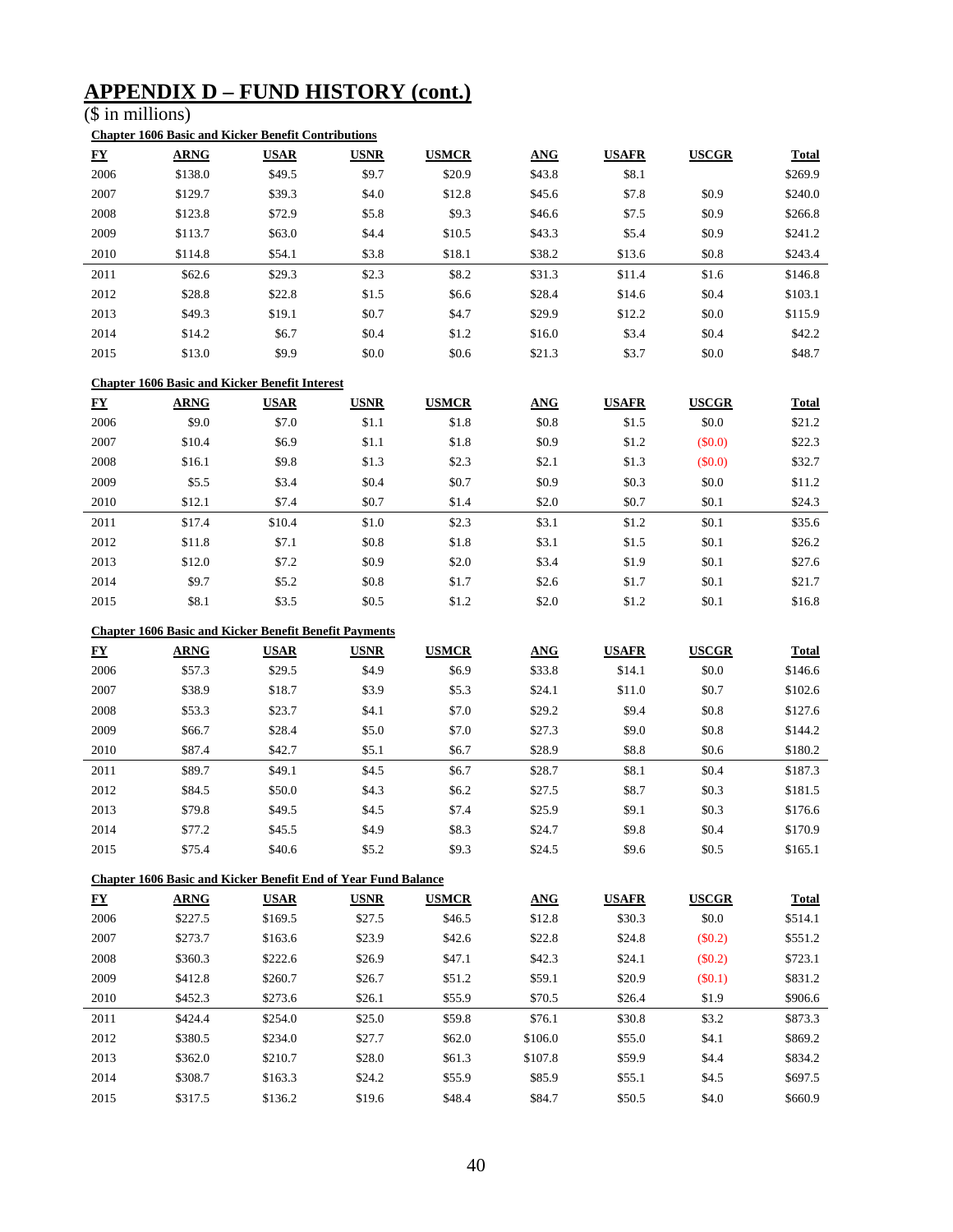## **APPENDIX D – FUND HISTORY (cont.)**

 $(s$  in millions)

#### **Chapter 1606 Basic and Kicker Benefit Contributions**

| ${\bf F}{\bf Y}$ | <b>ARNG</b> | <b>USAR</b> | <b>USNR</b> | <b>USMCR</b> | <b>ANG</b> | <b>USAFR</b> | <b>USCGR</b> | <b>Total</b> |
|------------------|-------------|-------------|-------------|--------------|------------|--------------|--------------|--------------|
| 2006             | \$138.0     | \$49.5      | \$9.7       | \$20.9       | \$43.8     | \$8.1        |              | \$269.9      |
| 2007             | \$129.7     | \$39.3      | \$4.0       | \$12.8       | \$45.6     | \$7.8        | \$0.9        | \$240.0      |
| 2008             | \$123.8     | \$72.9      | \$5.8       | \$9.3        | \$46.6     | \$7.5        | \$0.9        | \$266.8      |
| 2009             | \$113.7     | \$63.0      | \$4.4       | \$10.5       | \$43.3     | \$5.4        | \$0.9        | \$241.2      |
| 2010             | \$114.8     | \$54.1      | \$3.8       | \$18.1       | \$38.2     | \$13.6       | \$0.8        | \$243.4      |
| 2011             | \$62.6      | \$29.3      | \$2.3       | \$8.2        | \$31.3     | \$11.4       | \$1.6        | \$146.8      |
| 2012             | \$28.8      | \$22.8      | \$1.5       | \$6.6        | \$28.4     | \$14.6       | \$0.4        | \$103.1      |
| 2013             | \$49.3      | \$19.1      | \$0.7       | \$4.7        | \$29.9     | \$12.2       | \$0.0        | \$115.9      |
| 2014             | \$14.2      | \$6.7       | \$0.4       | \$1.2        | \$16.0     | \$3.4        | \$0.4        | \$42.2       |
| 2015             | \$13.0      | \$9.9       | \$0.0       | \$0.6        | \$21.3     | \$3.7        | \$0.0        | \$48.7       |

#### **Chapter 1606 Basic and Kicker Benefit Interest**

| ${\bf \underline{F}}{\bf \underline{Y}}$ | <b>ARNG</b> | <b>USAR</b> | <b>USNR</b> | <b>USMCR</b> | <b>ANG</b> | <b>USAFR</b> | <b>USCGR</b> | <b>Total</b> |
|------------------------------------------|-------------|-------------|-------------|--------------|------------|--------------|--------------|--------------|
| 2006                                     | \$9.0       | \$7.0       | \$1.1       | \$1.8        | \$0.8      | \$1.5        | \$0.0        | \$21.2       |
| 2007                                     | \$10.4      | \$6.9       | \$1.1       | \$1.8        | \$0.9      | \$1.2        | (\$0.0)      | \$22.3       |
| 2008                                     | \$16.1      | \$9.8       | \$1.3       | \$2.3        | \$2.1      | \$1.3        | (\$0.0)      | \$32.7       |
| 2009                                     | \$5.5       | \$3.4       | \$0.4       | \$0.7        | \$0.9      | \$0.3        | \$0.0        | \$11.2       |
| 2010                                     | \$12.1      | \$7.4       | \$0.7       | \$1.4        | \$2.0      | \$0.7        | \$0.1        | \$24.3       |
| 2011                                     | \$17.4      | \$10.4      | \$1.0       | \$2.3        | \$3.1      | \$1.2        | \$0.1        | \$35.6       |
| 2012                                     | \$11.8      | \$7.1       | \$0.8       | \$1.8        | \$3.1      | \$1.5        | \$0.1        | \$26.2       |
| 2013                                     | \$12.0      | \$7.2       | \$0.9       | \$2.0        | \$3.4      | \$1.9        | \$0.1        | \$27.6       |
| 2014                                     | \$9.7       | \$5.2       | \$0.8       | \$1.7        | \$2.6      | \$1.7        | \$0.1        | \$21.7       |
| 2015                                     | \$8.1       | \$3.5       | \$0.5       | \$1.2        | \$2.0      | \$1.2        | \$0.1        | \$16.8       |

#### **Chapter 1606 Basic and Kicker Benefit Benefit Payments**

| ${\bf \underline{F}}{\bf \underline{Y}}$ | <b>ARNG</b> | <b>USAR</b> | <b>USNR</b> | <b>USMCR</b> | <b>ANG</b> | <b>USAFR</b> | <b>USCGR</b> | <b>Total</b> |
|------------------------------------------|-------------|-------------|-------------|--------------|------------|--------------|--------------|--------------|
| 2006                                     | \$57.3      | \$29.5      | \$4.9       | \$6.9        | \$33.8     | \$14.1       | \$0.0        | \$146.6      |
| 2007                                     | \$38.9      | \$18.7      | \$3.9       | \$5.3        | \$24.1     | \$11.0       | \$0.7        | \$102.6      |
| 2008                                     | \$53.3      | \$23.7      | \$4.1       | \$7.0        | \$29.2     | \$9.4        | \$0.8        | \$127.6      |
| 2009                                     | \$66.7      | \$28.4      | \$5.0       | \$7.0        | \$27.3     | \$9.0        | \$0.8        | \$144.2      |
| 2010                                     | \$87.4      | \$42.7      | \$5.1       | \$6.7        | \$28.9     | \$8.8        | \$0.6        | \$180.2      |
| 2011                                     | \$89.7      | \$49.1      | \$4.5       | \$6.7        | \$28.7     | \$8.1        | \$0.4        | \$187.3      |
| 2012                                     | \$84.5      | \$50.0      | \$4.3       | \$6.2        | \$27.5     | \$8.7        | \$0.3        | \$181.5      |
| 2013                                     | \$79.8      | \$49.5      | \$4.5       | \$7.4        | \$25.9     | \$9.1        | \$0.3        | \$176.6      |
| 2014                                     | \$77.2      | \$45.5      | \$4.9       | \$8.3        | \$24.7     | \$9.8        | \$0.4        | \$170.9      |
| 2015                                     | \$75.4      | \$40.6      | \$5.2       | \$9.3        | \$24.5     | \$9.6        | \$0.5        | \$165.1      |

#### **Chapter 1606 Basic and Kicker Benefit End of Year Fund Balance**

| ${\bf F}{\bf Y}$ | <b>ARNG</b> | <b>USAR</b> | <b>USNR</b> | <b>USMCR</b> | <b>ANG</b> | <b>USAFR</b> | <b>USCGR</b> | <b>Total</b> |
|------------------|-------------|-------------|-------------|--------------|------------|--------------|--------------|--------------|
| 2006             | \$227.5     | \$169.5     | \$27.5      | \$46.5       | \$12.8     | \$30.3       | \$0.0        | \$514.1      |
| 2007             | \$273.7     | \$163.6     | \$23.9      | \$42.6       | \$22.8     | \$24.8       | (\$0.2)      | \$551.2      |
| 2008             | \$360.3     | \$222.6     | \$26.9      | \$47.1       | \$42.3     | \$24.1       | (\$0.2)      | \$723.1      |
| 2009             | \$412.8     | \$260.7     | \$26.7      | \$51.2       | \$59.1     | \$20.9       | (S0.1)       | \$831.2      |
| 2010             | \$452.3     | \$273.6     | \$26.1      | \$55.9       | \$70.5     | \$26.4       | \$1.9        | \$906.6      |
| 2011             | \$424.4     | \$254.0     | \$25.0      | \$59.8       | \$76.1     | \$30.8       | \$3.2        | \$873.3      |
| 2012             | \$380.5     | \$234.0     | \$27.7      | \$62.0       | \$106.0    | \$55.0       | \$4.1        | \$869.2      |
| 2013             | \$362.0     | \$210.7     | \$28.0      | \$61.3       | \$107.8    | \$59.9       | \$4.4        | \$834.2      |
| 2014             | \$308.7     | \$163.3     | \$24.2      | \$55.9       | \$85.9     | \$55.1       | \$4.5        | \$697.5      |
| 2015             | \$317.5     | \$136.2     | \$19.6      | \$48.4       | \$84.7     | \$50.5       | \$4.0        | \$660.9      |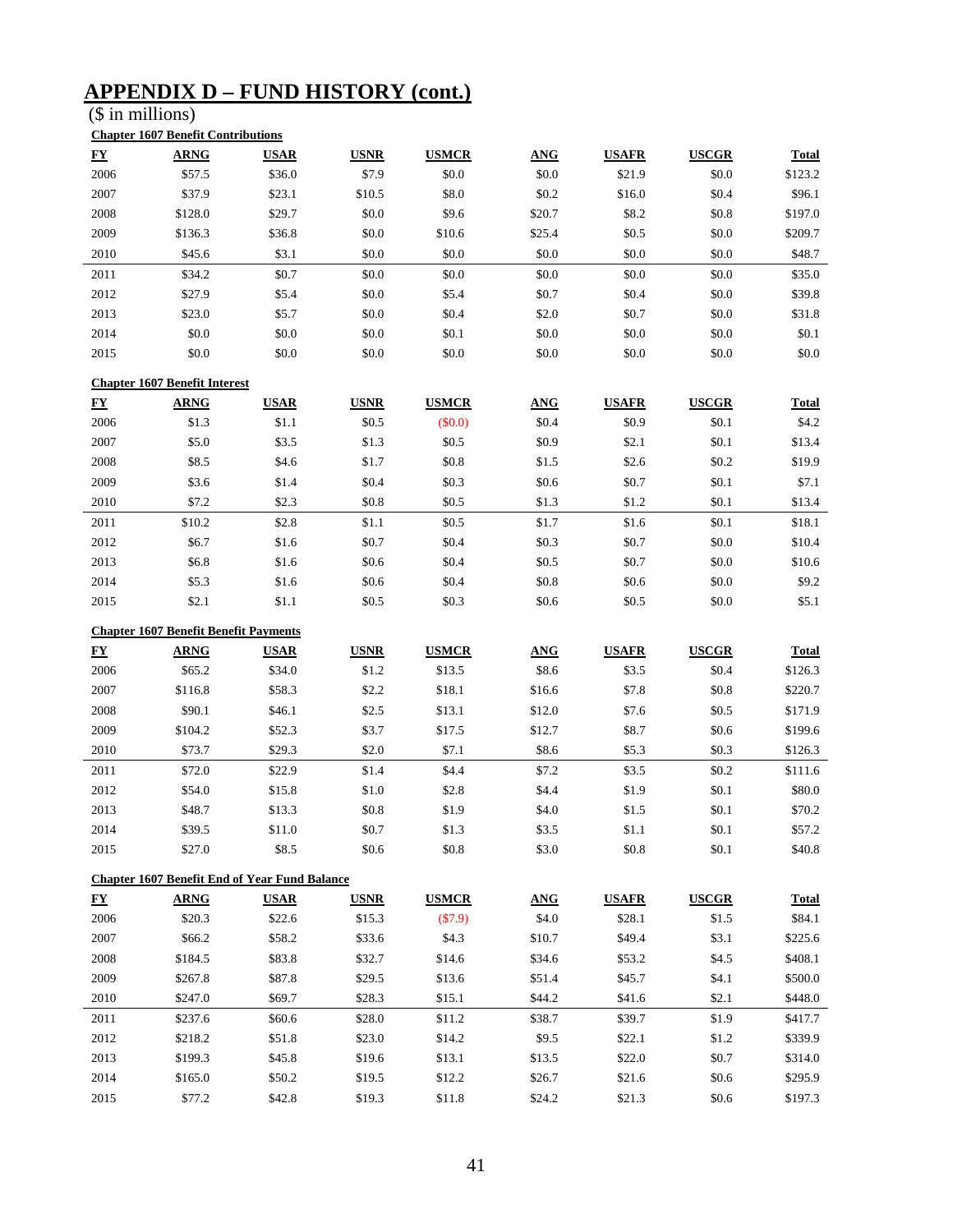## **APPENDIX D – FUND HISTORY (cont.)**

(\$ in millions)

| <u>FY</u>        | <b>ARNG</b>                          | <b>USAR</b> | <b>USNR</b> | <b>USMCR</b> | <b>ANG</b> | <b>USAFR</b> | <b>USCGR</b> | <b>Total</b> |
|------------------|--------------------------------------|-------------|-------------|--------------|------------|--------------|--------------|--------------|
| 2006             | \$57.5                               | \$36.0      | \$7.9       | \$0.0        | \$0.0      | \$21.9       | \$0.0        | \$123.2      |
| 2007             | \$37.9                               | \$23.1      | \$10.5      | \$8.0        | \$0.2      | \$16.0       | \$0.4        | \$96.1       |
| 2008             | \$128.0                              | \$29.7      | \$0.0       | \$9.6        | \$20.7     | \$8.2        | \$0.8        | \$197.0      |
| 2009             | \$136.3                              | \$36.8      | \$0.0       | \$10.6       | \$25.4     | \$0.5        | \$0.0        | \$209.7      |
| 2010             | \$45.6                               | \$3.1       | \$0.0       | \$0.0        | \$0.0      | \$0.0        | \$0.0        | \$48.7       |
| 2011             | \$34.2                               | \$0.7       | \$0.0       | \$0.0        | \$0.0      | \$0.0        | \$0.0        | \$35.0       |
| 2012             | \$27.9                               | \$5.4       | \$0.0       | \$5.4        | \$0.7      | \$0.4        | \$0.0        | \$39.8       |
| 2013             | \$23.0                               | \$5.7       | \$0.0       | \$0.4        | \$2.0      | \$0.7        | \$0.0        | \$31.8       |
| 2014             | \$0.0                                | \$0.0       | \$0.0       | \$0.1        | \$0.0      | \$0.0        | \$0.0        | \$0.1        |
| 2015             | \$0.0                                | \$0.0       | \$0.0       | \$0.0        | \$0.0      | \$0.0        | \$0.0        | \$0.0        |
|                  | <b>Chapter 1607 Benefit Interest</b> |             |             |              |            |              |              |              |
| ${\bf F}{\bf Y}$ | <b>ARNG</b>                          | <b>USAR</b> | <b>USNR</b> | <b>USMCR</b> | <b>ANG</b> | <b>USAFR</b> | <b>USCGR</b> | <b>Total</b> |
| 2006             | \$1.3                                | \$1.1       | \$0.5       | $(\$0.0)$    | \$0.4      | \$0.9        | \$0.1        | \$4.2        |
| 2007             | \$5.0                                | \$3.5       | \$1.3       | \$0.5        | \$0.9      | \$2.1        | \$0.1        | \$13.4       |
| 2008             | \$8.5                                | \$4.6       | \$1.7       | \$0.8        | \$1.5      | \$2.6        | \$0.2        | \$19.9       |
| 2009             | \$3.6                                | \$1.4       | \$0.4       | \$0.3        | \$0.6      | \$0.7        | \$0.1        | \$7.1        |
| 2010             | \$7.2                                | \$2.3       | \$0.8       | \$0.5        | \$1.3      | \$1.2        | \$0.1        | \$13.4       |
| 2011             | \$10.2                               | \$2.8       | \$1.1       | \$0.5        | \$1.7      | \$1.6        | \$0.1        | \$18.1       |
| 2012             | \$6.7                                | \$1.6       | \$0.7       | \$0.4        | \$0.3      | \$0.7        | \$0.0        | \$10.4       |
| 2013             | \$6.8                                | \$1.6       | \$0.6       | \$0.4        | \$0.5      | \$0.7        | \$0.0        | \$10.6       |
|                  |                                      |             |             |              |            | \$0.6        | \$0.0        | \$9.2        |
| 2014             | \$5.3                                | \$1.6       | \$0.6       | \$0.4        | \$0.8      |              |              |              |

|                                          | <b>Chapter 1607 Benefit Benefit Payments</b> |             |             |              |            |              |              |              |  |  |  |
|------------------------------------------|----------------------------------------------|-------------|-------------|--------------|------------|--------------|--------------|--------------|--|--|--|
| ${\bf \underline{F}}{\bf \underline{Y}}$ | <b>ARNG</b>                                  | <b>USAR</b> | <b>USNR</b> | <b>USMCR</b> | <b>ANG</b> | <b>USAFR</b> | <b>USCGR</b> | <b>Total</b> |  |  |  |
| 2006                                     | \$65.2                                       | \$34.0      | \$1.2       | \$13.5       | \$8.6      | \$3.5        | \$0.4        | \$126.3      |  |  |  |
| 2007                                     | \$116.8                                      | \$58.3      | \$2.2       | \$18.1       | \$16.6     | \$7.8        | \$0.8        | \$220.7      |  |  |  |
| 2008                                     | \$90.1                                       | \$46.1      | \$2.5       | \$13.1       | \$12.0     | \$7.6        | \$0.5        | \$171.9      |  |  |  |
| 2009                                     | \$104.2                                      | \$52.3      | \$3.7       | \$17.5       | \$12.7     | \$8.7        | \$0.6        | \$199.6      |  |  |  |
| 2010                                     | \$73.7                                       | \$29.3      | \$2.0       | \$7.1        | \$8.6      | \$5.3\$      | \$0.3        | \$126.3      |  |  |  |
| 2011                                     | \$72.0                                       | \$22.9      | \$1.4       | \$4.4        | \$7.2      | \$3.5        | \$0.2        | \$111.6      |  |  |  |
| 2012                                     | \$54.0                                       | \$15.8      | \$1.0       | \$2.8        | \$4.4      | \$1.9        | \$0.1        | \$80.0       |  |  |  |
| 2013                                     | \$48.7                                       | \$13.3      | \$0.8       | \$1.9        | \$4.0      | \$1.5        | \$0.1        | \$70.2       |  |  |  |
| 2014                                     | \$39.5                                       | \$11.0      | \$0.7       | \$1.3        | \$3.5      | \$1.1        | \$0.1        | \$57.2       |  |  |  |
| 2015                                     | \$27.0                                       | \$8.5       | \$0.6       | \$0.8        | \$3.0      | \$0.8        | \$0.1        | \$40.8       |  |  |  |

| <b>Chapter 1607 Benefit End of Year Fund Balance</b> |             |             |             |              |            |              |              |              |  |  |
|------------------------------------------------------|-------------|-------------|-------------|--------------|------------|--------------|--------------|--------------|--|--|
| ${\bf F}{\bf Y}$                                     | <b>ARNG</b> | <b>USAR</b> | <b>USNR</b> | <b>USMCR</b> | <b>ANG</b> | <b>USAFR</b> | <b>USCGR</b> | <b>Total</b> |  |  |
| 2006                                                 | \$20.3      | \$22.6      | \$15.3      | (\$7.9)      | \$4.0      | \$28.1       | \$1.5        | \$84.1       |  |  |
| 2007                                                 | \$66.2      | \$58.2      | \$33.6      | \$4.3        | \$10.7     | \$49.4       | \$3.1        | \$225.6      |  |  |
| 2008                                                 | \$184.5     | \$83.8      | \$32.7      | \$14.6       | \$34.6     | \$53.2       | \$4.5        | \$408.1      |  |  |
| 2009                                                 | \$267.8     | \$87.8      | \$29.5      | \$13.6       | \$51.4     | \$45.7       | \$4.1        | \$500.0      |  |  |
| 2010                                                 | \$247.0     | \$69.7      | \$28.3      | \$15.1       | \$44.2     | \$41.6       | \$2.1        | \$448.0      |  |  |
| 2011                                                 | \$237.6     | \$60.6      | \$28.0      | \$11.2       | \$38.7     | \$39.7       | \$1.9        | \$417.7      |  |  |
| 2012                                                 | \$218.2     | \$51.8      | \$23.0      | \$14.2       | \$9.5      | \$22.1       | \$1.2        | \$339.9      |  |  |
| 2013                                                 | \$199.3     | \$45.8      | \$19.6      | \$13.1       | \$13.5     | \$22.0       | \$0.7        | \$314.0      |  |  |
| 2014                                                 | \$165.0     | \$50.2      | \$19.5      | \$12.2       | \$26.7     | \$21.6       | \$0.6        | \$295.9      |  |  |
| 2015                                                 | \$77.2      | \$42.8      | \$19.3      | \$11.8       | \$24.2     | \$21.3       | \$0.6        | \$197.3      |  |  |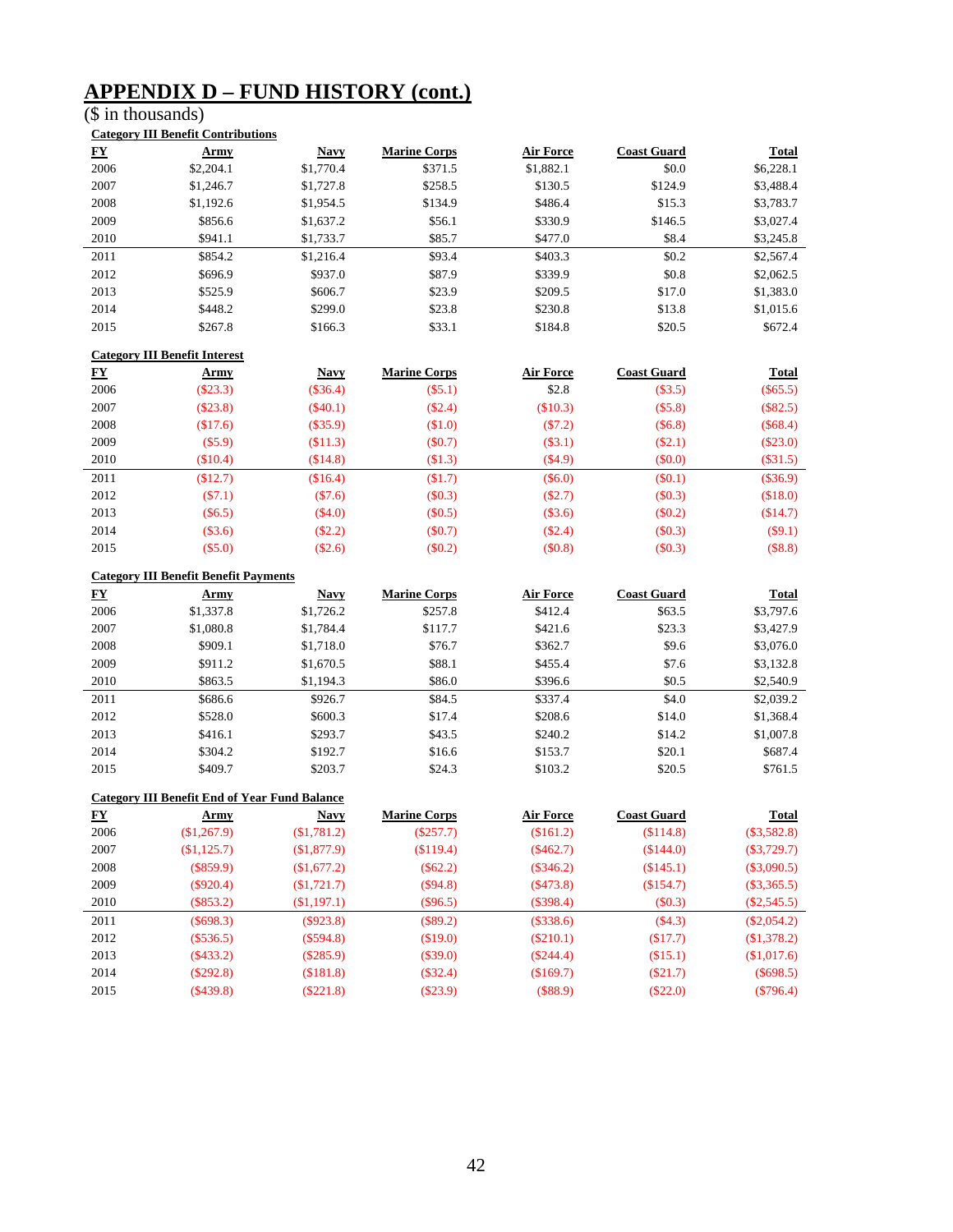## **APPENDIX D – FUND HISTORY (cont.)**

## (\$ in thousands)

|  | <b>Category III Benefit Contributions</b> |
|--|-------------------------------------------|
|  |                                           |

| ${\bf F}{\bf Y}$ | Army      | <b>Navy</b> | <b>Marine Corps</b> | <b>Air Force</b> | <b>Coast Guard</b> | <b>Total</b> |
|------------------|-----------|-------------|---------------------|------------------|--------------------|--------------|
| 2006             | \$2,204.1 | \$1,770.4   | \$371.5             | \$1,882.1        | \$0.0              | \$6,228.1    |
| 2007             | \$1,246.7 | \$1,727.8   | \$258.5             | \$130.5          | \$124.9            | \$3,488.4    |
| 2008             | \$1,192.6 | \$1,954.5   | \$134.9             | \$486.4          | \$15.3             | \$3,783.7    |
| 2009             | \$856.6   | \$1,637.2   | \$56.1              | \$330.9          | \$146.5            | \$3,027.4    |
| 2010             | \$941.1   | \$1,733.7   | \$85.7              | \$477.0          | \$8.4              | \$3,245.8    |
| 2011             | \$854.2   | \$1,216.4   | \$93.4              | \$403.3          | \$0.2\$            | \$2,567.4    |
| 2012             | \$696.9   | \$937.0     | \$87.9              | \$339.9          | \$0.8              | \$2,062.5    |
| 2013             | \$525.9   | \$606.7     | \$23.9              | \$209.5          | \$17.0             | \$1,383.0    |
| 2014             | \$448.2   | \$299.0     | \$23.8              | \$230.8          | \$13.8             | \$1,015.6    |
| 2015             | \$267.8   | \$166.3     | \$33.1              | \$184.8          | \$20.5             | \$672.4      |

#### **Category III Benefit Interest**

| <u>FY</u> | <u>Army</u> | <b>Navy</b> | <b>Marine Corps</b> | <b>Air Force</b> | <b>Coast Guard</b> | <b>Total</b> |
|-----------|-------------|-------------|---------------------|------------------|--------------------|--------------|
| 2006      | $(\$23.3)$  | $(\$36.4)$  | $(\$5.1)$           | \$2.8            | (\$3.5)            | $(\$65.5)$   |
| 2007      | (\$23.8)    | $(\$40.1)$  | $(\$2.4)$           | (\$10.3)         | (\$5.8)            | $(\$82.5)$   |
| 2008      | \$17.6      | $(\$35.9)$  | (\$1.0)             | $(\$7.2)$        | (\$6.8)            | (\$68.4)     |
| 2009      | (S5.9)      | \$11.3)     | $(\$0.7)$           | $(\$3.1)$        | $(\$2.1)$          | $(\$23.0)$   |
| 2010      | (\$10.4)    | (\$14.8)    | (\$1.3)             | $(\$4.9)$        | $(\$0.0)$          | $(\$31.5)$   |
| 2011      | (\$12.7)    | (\$16.4)    | \$1.7               | $(\$6.0)$        | $(\$0.1)$          | $(\$36.9)$   |
| 2012      | (S7.1)      | (S7.6)      | (S0.3)              | $(\$2.7)$        | (\$0.3)            | (\$18.0)     |
| 2013      | $(\$6.5)$   | $(\$4.0)$   | $(\$0.5)$           | $(\$3.6)$        | $(\$0.2)$          | (\$14.7)     |
| 2014      | $(\$3.6)$   | $(\$2.2)$   | $(\$0.7)$           | $(\$2.4)$        | (\$0.3)            | $(\$9.1)$    |
| 2015      | $(\$5.0)$   | (\$2.6)     | $(\$0.2)$           | (\$0.8)          | (\$0.3)            | (\$8.8)      |

#### **Category III Benefit Benefit Payments**

| $\underline{\mathbf{F}}\underline{\mathbf{Y}}$ | Army      | <b>Navy</b> | <b>Marine Corps</b> | <b>Air Force</b> | <b>Coast Guard</b> | <b>Total</b> |
|------------------------------------------------|-----------|-------------|---------------------|------------------|--------------------|--------------|
| 2006                                           | \$1,337.8 | \$1,726.2   | \$257.8             | \$412.4          | \$63.5             | \$3,797.6    |
| 2007                                           | \$1,080.8 | \$1,784.4   | \$117.7             | \$421.6          | \$23.3             | \$3,427.9    |
| 2008                                           | \$909.1   | \$1,718.0   | \$76.7              | \$362.7          | \$9.6              | \$3,076.0    |
| 2009                                           | \$911.2   | \$1,670.5   | \$88.1              | \$455.4          | \$7.6              | \$3,132.8    |
| 2010                                           | \$863.5   | \$1,194.3   | \$86.0              | \$396.6          | \$0.5              | \$2,540.9    |
| 2011                                           | \$686.6   | \$926.7     | \$84.5              | \$337.4          | \$4.0              | \$2,039.2    |
| 2012                                           | \$528.0   | \$600.3     | \$17.4              | \$208.6          | \$14.0             | \$1,368.4    |
| 2013                                           | \$416.1   | \$293.7     | \$43.5              | \$240.2          | \$14.2             | \$1,007.8    |
| 2014                                           | \$304.2   | \$192.7     | \$16.6              | \$153.7          | \$20.1             | \$687.4      |
| 2015                                           | \$409.7   | \$203.7     | \$24.3              | \$103.2          | \$20.5             | \$761.5      |

|                        | <b>Category III Benefit End of Year Fund Balance</b> |             |                     |                  |                    |               |  |  |  |  |
|------------------------|------------------------------------------------------|-------------|---------------------|------------------|--------------------|---------------|--|--|--|--|
| $\mathbf{F}\mathbf{Y}$ | <u>Army</u>                                          | <b>Navy</b> | <b>Marine Corps</b> | <b>Air Force</b> | <b>Coast Guard</b> | <b>Total</b>  |  |  |  |  |
| 2006                   | \$1,267.9                                            | (\$1,781.2) | $(\$257.7)$         | \$161.2)         | (\$114.8)          | $(\$3,582.8)$ |  |  |  |  |
| 2007                   | \$1,125.7                                            | \$1,877.9   | \$119.4             | $(\$462.7)$      | (S144.0)           | $(\$3,729.7)$ |  |  |  |  |
| 2008                   | $(\$859.9)$                                          | \$1,677.2   | $(\$62.2)$          | $(\$346.2)$      | (\$145.1)          | $(\$3,090.5)$ |  |  |  |  |
| 2009                   | $(\$920.4)$                                          | \$1,721.7   | $(\$94.8)$          | $(\$473.8)$      | (\$154.7)          | $(\$3,365.5)$ |  |  |  |  |
| 2010                   | $(\$853.2)$                                          | \$1,197.1)  | $(\$96.5)$          | $(\$398.4)$      | (\$0.3)            | $(\$2,545.5)$ |  |  |  |  |
| 2011                   | $(\$698.3)$                                          | (S923.8)    | $(\$89.2)$          | (\$338.6)        | (\$4.3)            | $(\$2,054.2)$ |  |  |  |  |
| 2012                   | $(\$536.5)$                                          | (S594.8)    | (\$19.0)            | $(\$210.1)$      | (\$17.7)           | (\$1,378.2)   |  |  |  |  |
| 2013                   | (S433.2)                                             | $(\$285.9)$ | $(\$39.0)$          | (S244.4)         | (\$15.1)           | (\$1,017.6)   |  |  |  |  |
| 2014                   | (S292.8)                                             | (S181.8)    | $(\$32.4)$          | (S169.7)         | (S21.7)            | $(\$698.5)$   |  |  |  |  |
| 2015                   | (\$439.8)                                            | $(\$221.8)$ | $(\$23.9)$          | (\$88.9)         | $(\$22.0)$         | $(\$796.4)$   |  |  |  |  |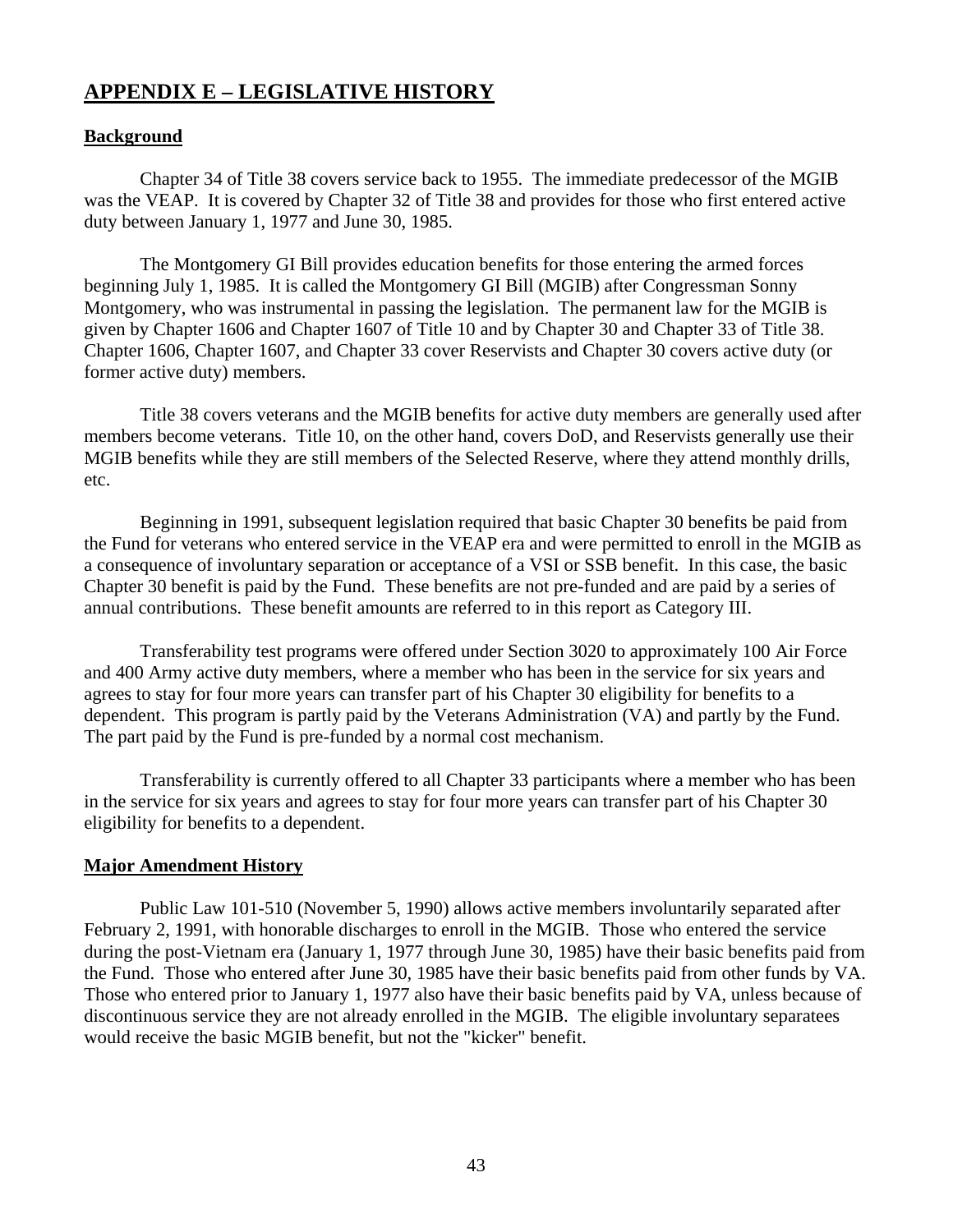## **APPENDIX E – LEGISLATIVE HISTORY**

## **Background**

 Chapter 34 of Title 38 covers service back to 1955. The immediate predecessor of the MGIB was the VEAP. It is covered by Chapter 32 of Title 38 and provides for those who first entered active duty between January 1, 1977 and June 30, 1985.

 The Montgomery GI Bill provides education benefits for those entering the armed forces beginning July 1, 1985. It is called the Montgomery GI Bill (MGIB) after Congressman Sonny Montgomery, who was instrumental in passing the legislation. The permanent law for the MGIB is given by Chapter 1606 and Chapter 1607 of Title 10 and by Chapter 30 and Chapter 33 of Title 38. Chapter 1606, Chapter 1607, and Chapter 33 cover Reservists and Chapter 30 covers active duty (or former active duty) members.

 Title 38 covers veterans and the MGIB benefits for active duty members are generally used after members become veterans. Title 10, on the other hand, covers DoD, and Reservists generally use their MGIB benefits while they are still members of the Selected Reserve, where they attend monthly drills, etc.

 Beginning in 1991, subsequent legislation required that basic Chapter 30 benefits be paid from the Fund for veterans who entered service in the VEAP era and were permitted to enroll in the MGIB as a consequence of involuntary separation or acceptance of a VSI or SSB benefit. In this case, the basic Chapter 30 benefit is paid by the Fund. These benefits are not pre-funded and are paid by a series of annual contributions. These benefit amounts are referred to in this report as Category III.

 Transferability test programs were offered under Section 3020 to approximately 100 Air Force and 400 Army active duty members, where a member who has been in the service for six years and agrees to stay for four more years can transfer part of his Chapter 30 eligibility for benefits to a dependent. This program is partly paid by the Veterans Administration (VA) and partly by the Fund. The part paid by the Fund is pre-funded by a normal cost mechanism.

 Transferability is currently offered to all Chapter 33 participants where a member who has been in the service for six years and agrees to stay for four more years can transfer part of his Chapter 30 eligibility for benefits to a dependent.

## **Major Amendment History**

 Public Law 101-510 (November 5, 1990) allows active members involuntarily separated after February 2, 1991, with honorable discharges to enroll in the MGIB. Those who entered the service during the post-Vietnam era (January 1, 1977 through June 30, 1985) have their basic benefits paid from the Fund. Those who entered after June 30, 1985 have their basic benefits paid from other funds by VA. Those who entered prior to January 1, 1977 also have their basic benefits paid by VA, unless because of discontinuous service they are not already enrolled in the MGIB. The eligible involuntary separatees would receive the basic MGIB benefit, but not the "kicker" benefit.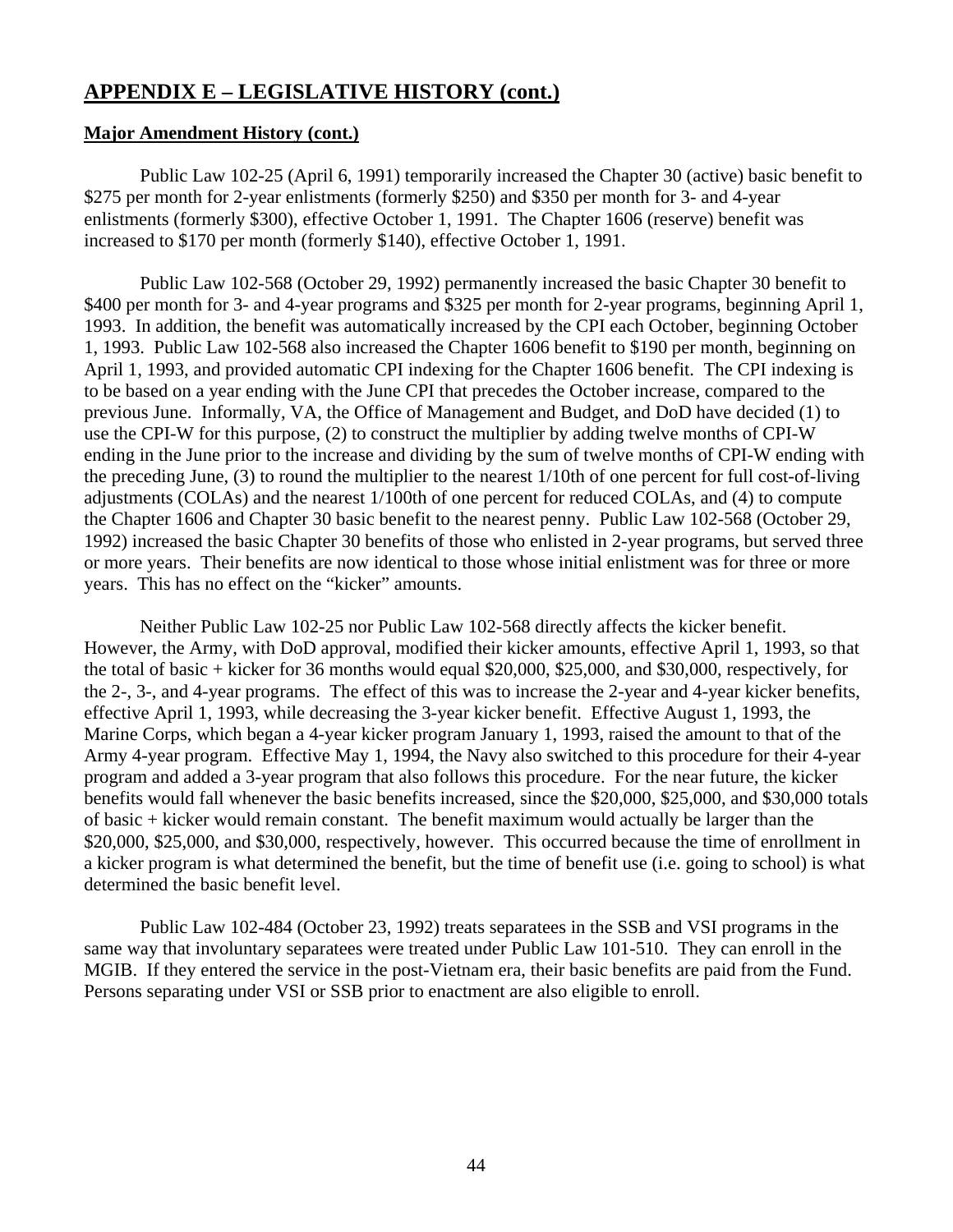### **Major Amendment History (cont.)**

 Public Law 102-25 (April 6, 1991) temporarily increased the Chapter 30 (active) basic benefit to \$275 per month for 2-year enlistments (formerly \$250) and \$350 per month for 3- and 4-year enlistments (formerly \$300), effective October 1, 1991. The Chapter 1606 (reserve) benefit was increased to \$170 per month (formerly \$140), effective October 1, 1991.

 Public Law 102-568 (October 29, 1992) permanently increased the basic Chapter 30 benefit to \$400 per month for 3- and 4-year programs and \$325 per month for 2-year programs, beginning April 1, 1993. In addition, the benefit was automatically increased by the CPI each October, beginning October 1, 1993. Public Law 102-568 also increased the Chapter 1606 benefit to \$190 per month, beginning on April 1, 1993, and provided automatic CPI indexing for the Chapter 1606 benefit. The CPI indexing is to be based on a year ending with the June CPI that precedes the October increase, compared to the previous June. Informally, VA, the Office of Management and Budget, and DoD have decided (1) to use the CPI-W for this purpose, (2) to construct the multiplier by adding twelve months of CPI-W ending in the June prior to the increase and dividing by the sum of twelve months of CPI-W ending with the preceding June, (3) to round the multiplier to the nearest 1/10th of one percent for full cost-of-living adjustments (COLAs) and the nearest 1/100th of one percent for reduced COLAs, and (4) to compute the Chapter 1606 and Chapter 30 basic benefit to the nearest penny. Public Law 102-568 (October 29, 1992) increased the basic Chapter 30 benefits of those who enlisted in 2-year programs, but served three or more years. Their benefits are now identical to those whose initial enlistment was for three or more years. This has no effect on the "kicker" amounts.

 Neither Public Law 102-25 nor Public Law 102-568 directly affects the kicker benefit. However, the Army, with DoD approval, modified their kicker amounts, effective April 1, 1993, so that the total of basic + kicker for 36 months would equal \$20,000, \$25,000, and \$30,000, respectively, for the 2-, 3-, and 4-year programs. The effect of this was to increase the 2-year and 4-year kicker benefits, effective April 1, 1993, while decreasing the 3-year kicker benefit. Effective August 1, 1993, the Marine Corps, which began a 4-year kicker program January 1, 1993, raised the amount to that of the Army 4-year program. Effective May 1, 1994, the Navy also switched to this procedure for their 4-year program and added a 3-year program that also follows this procedure. For the near future, the kicker benefits would fall whenever the basic benefits increased, since the \$20,000, \$25,000, and \$30,000 totals of basic + kicker would remain constant. The benefit maximum would actually be larger than the \$20,000, \$25,000, and \$30,000, respectively, however. This occurred because the time of enrollment in a kicker program is what determined the benefit, but the time of benefit use (i.e. going to school) is what determined the basic benefit level.

 Public Law 102-484 (October 23, 1992) treats separatees in the SSB and VSI programs in the same way that involuntary separatees were treated under Public Law 101-510. They can enroll in the MGIB. If they entered the service in the post-Vietnam era, their basic benefits are paid from the Fund. Persons separating under VSI or SSB prior to enactment are also eligible to enroll.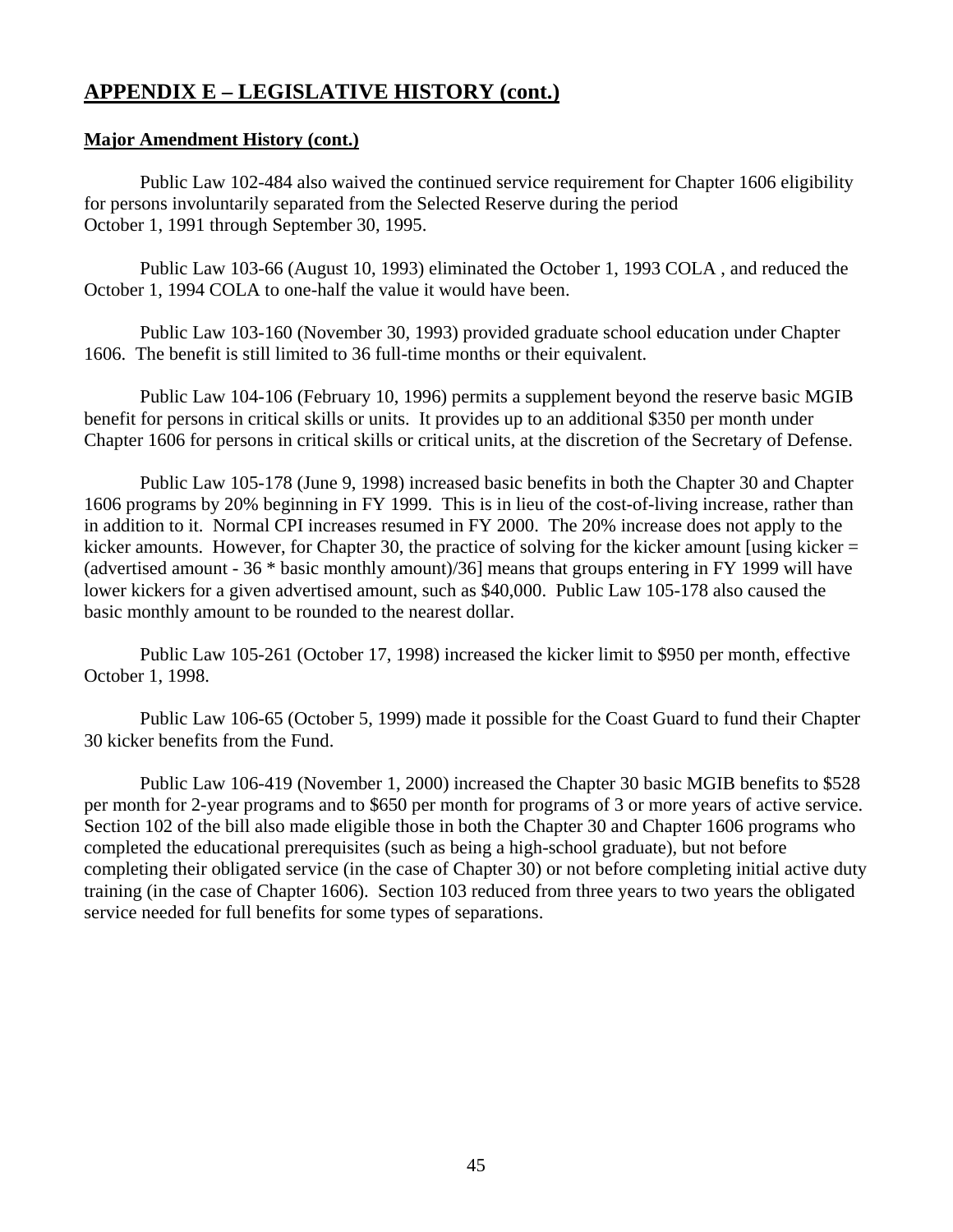## **Major Amendment History (cont.)**

 Public Law 102-484 also waived the continued service requirement for Chapter 1606 eligibility for persons involuntarily separated from the Selected Reserve during the period October 1, 1991 through September 30, 1995.

 Public Law 103-66 (August 10, 1993) eliminated the October 1, 1993 COLA , and reduced the October 1, 1994 COLA to one-half the value it would have been.

 Public Law 103-160 (November 30, 1993) provided graduate school education under Chapter 1606. The benefit is still limited to 36 full-time months or their equivalent.

 Public Law 104-106 (February 10, 1996) permits a supplement beyond the reserve basic MGIB benefit for persons in critical skills or units. It provides up to an additional \$350 per month under Chapter 1606 for persons in critical skills or critical units, at the discretion of the Secretary of Defense.

 Public Law 105-178 (June 9, 1998) increased basic benefits in both the Chapter 30 and Chapter 1606 programs by 20% beginning in FY 1999. This is in lieu of the cost-of-living increase, rather than in addition to it. Normal CPI increases resumed in FY 2000. The 20% increase does not apply to the kicker amounts. However, for Chapter 30, the practice of solving for the kicker amount [using kicker = (advertised amount - 36 \* basic monthly amount)/36] means that groups entering in FY 1999 will have lower kickers for a given advertised amount, such as \$40,000. Public Law 105-178 also caused the basic monthly amount to be rounded to the nearest dollar.

 Public Law 105-261 (October 17, 1998) increased the kicker limit to \$950 per month, effective October 1, 1998.

 Public Law 106-65 (October 5, 1999) made it possible for the Coast Guard to fund their Chapter 30 kicker benefits from the Fund.

 Public Law 106-419 (November 1, 2000) increased the Chapter 30 basic MGIB benefits to \$528 per month for 2-year programs and to \$650 per month for programs of 3 or more years of active service. Section 102 of the bill also made eligible those in both the Chapter 30 and Chapter 1606 programs who completed the educational prerequisites (such as being a high-school graduate), but not before completing their obligated service (in the case of Chapter 30) or not before completing initial active duty training (in the case of Chapter 1606). Section 103 reduced from three years to two years the obligated service needed for full benefits for some types of separations.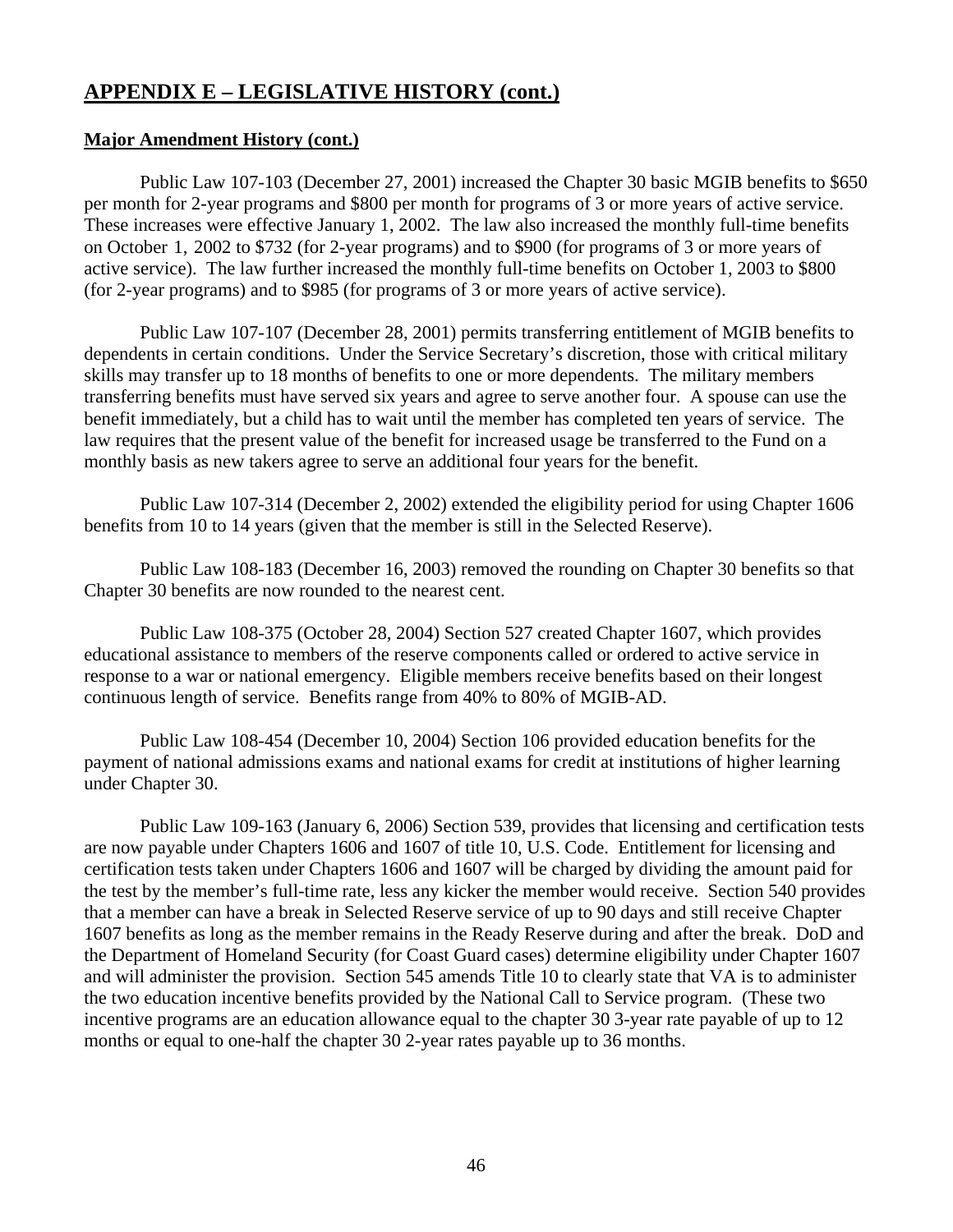## **Major Amendment History (cont.)**

 Public Law 107-103 (December 27, 2001) increased the Chapter 30 basic MGIB benefits to \$650 per month for 2-year programs and \$800 per month for programs of 3 or more years of active service. These increases were effective January 1, 2002. The law also increased the monthly full-time benefits on October-1,-2002 to \$732 (for 2-year programs) and to \$900 (for programs of 3 or more years of active service). The law further increased the monthly full-time benefits on October 1, 2003 to \$800 (for 2-year programs) and to \$985 (for programs of 3 or more years of active service).

 Public Law 107-107 (December 28, 2001) permits transferring entitlement of MGIB benefits to dependents in certain conditions. Under the Service Secretary's discretion, those with critical military skills may transfer up to 18 months of benefits to one or more dependents. The military members transferring benefits must have served six years and agree to serve another four. A spouse can use the benefit immediately, but a child has to wait until the member has completed ten years of service. The law requires that the present value of the benefit for increased usage be transferred to the Fund on a monthly basis as new takers agree to serve an additional four years for the benefit.

 Public Law 107-314 (December 2, 2002) extended the eligibility period for using Chapter 1606 benefits from 10 to 14 years (given that the member is still in the Selected Reserve).

Public Law 108-183 (December 16, 2003) removed the rounding on Chapter 30 benefits so that Chapter 30 benefits are now rounded to the nearest cent.

 Public Law 108-375 (October 28, 2004) Section 527 created Chapter 1607, which provides educational assistance to members of the reserve components called or ordered to active service in response to a war or national emergency. Eligible members receive benefits based on their longest continuous length of service. Benefits range from 40% to 80% of MGIB-AD.

 Public Law 108-454 (December 10, 2004) Section 106 provided education benefits for the payment of national admissions exams and national exams for credit at institutions of higher learning under Chapter 30.

 Public Law 109-163 (January 6, 2006) Section 539, provides that licensing and certification tests are now payable under Chapters 1606 and 1607 of title 10, U.S. Code. Entitlement for licensing and certification tests taken under Chapters 1606 and 1607 will be charged by dividing the amount paid for the test by the member's full-time rate, less any kicker the member would receive. Section 540 provides that a member can have a break in Selected Reserve service of up to 90 days and still receive Chapter 1607 benefits as long as the member remains in the Ready Reserve during and after the break. DoD and the Department of Homeland Security (for Coast Guard cases) determine eligibility under Chapter 1607 and will administer the provision. Section 545 amends Title 10 to clearly state that VA is to administer the two education incentive benefits provided by the National Call to Service program. (These two incentive programs are an education allowance equal to the chapter 30 3-year rate payable of up to 12 months or equal to one-half the chapter 30 2-year rates payable up to 36 months.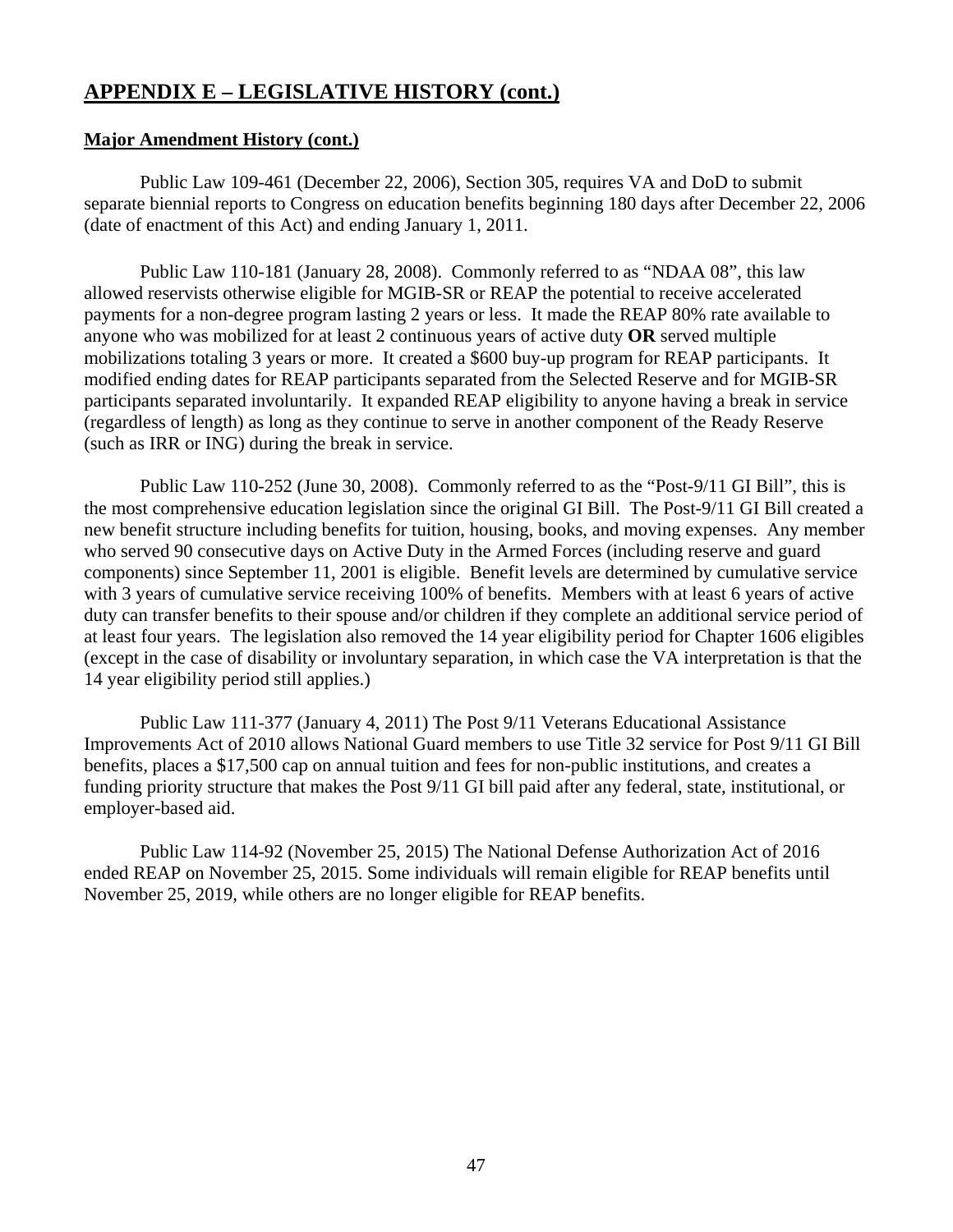## **Major Amendment History (cont.)**

 Public Law 109-461 (December 22, 2006), Section 305, requires VA and DoD to submit separate biennial reports to Congress on education benefits beginning 180 days after December 22, 2006 (date of enactment of this Act) and ending January 1, 2011.

 Public Law 110-181 (January 28, 2008). Commonly referred to as "NDAA 08", this law allowed reservists otherwise eligible for MGIB-SR or REAP the potential to receive accelerated payments for a non-degree program lasting 2 years or less. It made the REAP 80% rate available to anyone who was mobilized for at least 2 continuous years of active duty **OR** served multiple mobilizations totaling 3 years or more. It created a \$600 buy-up program for REAP participants. It modified ending dates for REAP participants separated from the Selected Reserve and for MGIB-SR participants separated involuntarily. It expanded REAP eligibility to anyone having a break in service (regardless of length) as long as they continue to serve in another component of the Ready Reserve (such as IRR or ING) during the break in service.

 Public Law 110-252 (June 30, 2008). Commonly referred to as the "Post-9/11 GI Bill", this is the most comprehensive education legislation since the original GI Bill. The Post-9/11 GI Bill created a new benefit structure including benefits for tuition, housing, books, and moving expenses. Any member who served 90 consecutive days on Active Duty in the Armed Forces (including reserve and guard components) since September 11, 2001 is eligible. Benefit levels are determined by cumulative service with 3 years of cumulative service receiving 100% of benefits. Members with at least 6 years of active duty can transfer benefits to their spouse and/or children if they complete an additional service period of at least four years. The legislation also removed the 14 year eligibility period for Chapter 1606 eligibles (except in the case of disability or involuntary separation, in which case the VA interpretation is that the 14 year eligibility period still applies.)

 Public Law 111-377 (January 4, 2011) The Post 9/11 Veterans Educational Assistance Improvements Act of 2010 allows National Guard members to use Title 32 service for Post 9/11 GI Bill benefits, places a \$17,500 cap on annual tuition and fees for non-public institutions, and creates a funding priority structure that makes the Post 9/11 GI bill paid after any federal, state, institutional, or employer-based aid.

 Public Law 114-92 (November 25, 2015) The National Defense Authorization Act of 2016 ended REAP on November 25, 2015. Some individuals will remain eligible for REAP benefits until November 25, 2019, while others are no longer eligible for REAP benefits.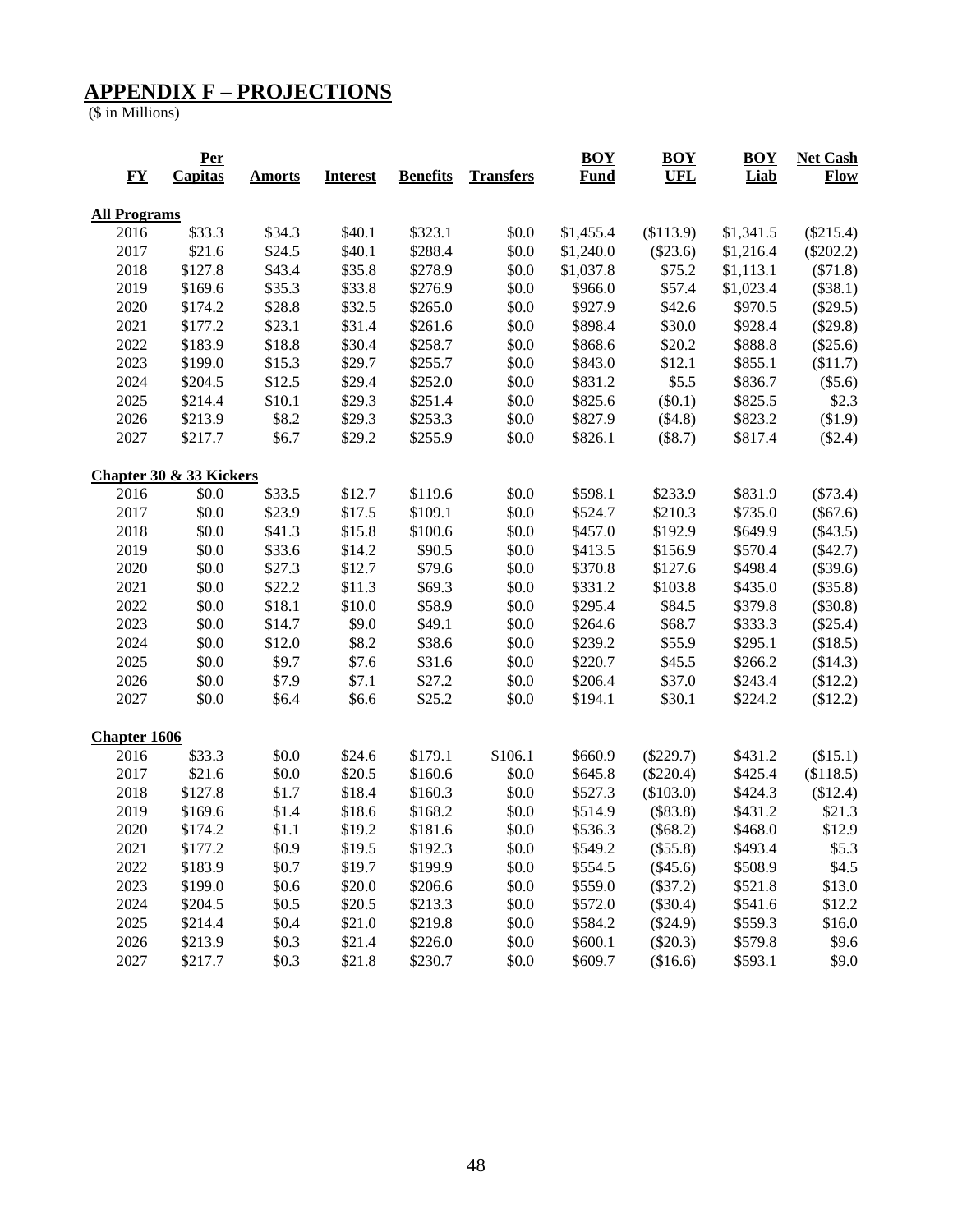## **APPENDIX F – PROJECTIONS**

(\$ in Millions)

|                                                | <b>Per</b>              |               |                 |                 |                  | <b>BOY</b>  | <b>BOY</b>  | <b>BOY</b> | <b>Net Cash</b> |
|------------------------------------------------|-------------------------|---------------|-----------------|-----------------|------------------|-------------|-------------|------------|-----------------|
| $\underline{\mathbf{F}}\underline{\mathbf{Y}}$ | Capitas                 | <b>Amorts</b> | <b>Interest</b> | <b>Benefits</b> | <b>Transfers</b> | <b>Fund</b> | <b>UFL</b>  | Liab       | <b>Flow</b>     |
| <b>All Programs</b>                            |                         |               |                 |                 |                  |             |             |            |                 |
| 2016                                           | \$33.3                  | \$34.3        | \$40.1          | \$323.1         | \$0.0            | \$1,455.4   | (\$113.9)   | \$1,341.5  | $(\$215.4)$     |
| 2017                                           | \$21.6                  | \$24.5        | \$40.1          | \$288.4         | \$0.0            | \$1,240.0   | $(\$23.6)$  | \$1,216.4  | $(\$202.2)$     |
| 2018                                           | \$127.8                 | \$43.4        | \$35.8          | \$278.9         | \$0.0            | \$1,037.8   | \$75.2      | \$1,113.1  | $(\$71.8)$      |
| 2019                                           | \$169.6                 | \$35.3        | \$33.8          | \$276.9         | \$0.0            | \$966.0     | \$57.4      | \$1,023.4  | (\$38.1)        |
| 2020                                           | \$174.2                 | \$28.8        | \$32.5          | \$265.0         | \$0.0            | \$927.9     | \$42.6      | \$970.5    | $(\$29.5)$      |
| 2021                                           | \$177.2                 | \$23.1        | \$31.4          | \$261.6         | \$0.0            | \$898.4     | \$30.0      | \$928.4    | $(\$29.8)$      |
| 2022                                           | \$183.9                 | \$18.8        | \$30.4          | \$258.7         | \$0.0            | \$868.6     | \$20.2      | \$888.8    | $(\$25.6)$      |
| 2023                                           | \$199.0                 | \$15.3        | \$29.7          | \$255.7         | \$0.0            | \$843.0     | \$12.1      | \$855.1    | \$11.7)         |
| 2024                                           | \$204.5                 | \$12.5        | \$29.4          | \$252.0         | \$0.0            | \$831.2     | \$5.5       | \$836.7    | (\$5.6)         |
| 2025                                           | \$214.4                 | \$10.1        | \$29.3          | \$251.4         | \$0.0            | \$825.6     | $(\$0.1)$   | \$825.5    | \$2.3           |
| 2026                                           | \$213.9                 | \$8.2         | \$29.3          | \$253.3         | \$0.0            | \$827.9     | (\$4.8)     | \$823.2    | \$1.9           |
| 2027                                           | \$217.7                 | \$6.7         | \$29.2          | \$255.9         | \$0.0            | \$826.1     | (\$8.7)     | \$817.4    | $(\$2.4)$       |
|                                                | Chapter 30 & 33 Kickers |               |                 |                 |                  |             |             |            |                 |
| 2016                                           | \$0.0                   | \$33.5        | \$12.7          | \$119.6         | \$0.0            | \$598.1     | \$233.9     | \$831.9    | $(\$73.4)$      |
| 2017                                           | \$0.0                   | \$23.9        | \$17.5          | \$109.1         | \$0.0            | \$524.7     | \$210.3     | \$735.0    | $(\$67.6)$      |
| 2018                                           | \$0.0                   | \$41.3        | \$15.8          | \$100.6         | \$0.0            | \$457.0     | \$192.9     | \$649.9    | $(\$43.5)$      |
| 2019                                           | \$0.0                   | \$33.6        | \$14.2          | \$90.5          | \$0.0            | \$413.5     | \$156.9     | \$570.4    | $(\$42.7)$      |
| 2020                                           | \$0.0                   | \$27.3        | \$12.7          | \$79.6          | \$0.0            | \$370.8     | \$127.6     | \$498.4    | $(\$39.6)$      |
| 2021                                           | \$0.0                   | \$22.2        | \$11.3          | \$69.3          | \$0.0            | \$331.2     | \$103.8     | \$435.0    | $(\$35.8)$      |
| 2022                                           | \$0.0                   | \$18.1        | \$10.0          | \$58.9          | \$0.0            | \$295.4     | \$84.5      | \$379.8    | $(\$30.8)$      |
| 2023                                           | \$0.0                   | \$14.7        | \$9.0           | \$49.1          | \$0.0            | \$264.6     | \$68.7      | \$333.3    | $(\$25.4)$      |
| 2024                                           | \$0.0                   | \$12.0        | \$8.2           | \$38.6          | \$0.0            | \$239.2     | \$55.9      | \$295.1    | \$18.5)         |
| 2025                                           | \$0.0                   | \$9.7         | \$7.6           | \$31.6          | \$0.0            | \$220.7     | \$45.5      | \$266.2    | \$14.3)         |
| 2026                                           | \$0.0                   | \$7.9         | \$7.1           | \$27.2          | \$0.0            | \$206.4     | \$37.0      | \$243.4    | \$12.2)         |
| 2027                                           | \$0.0                   | \$6.4         | \$6.6           | \$25.2          | \$0.0            | \$194.1     | \$30.1      | \$224.2    | \$12.2)         |
| <b>Chapter 1606</b>                            |                         |               |                 |                 |                  |             |             |            |                 |
| 2016                                           | \$33.3                  | \$0.0         | \$24.6          | \$179.1         | \$106.1          | \$660.9     | $(\$229.7)$ | \$431.2    | (\$15.1)        |
| 2017                                           | \$21.6                  | \$0.0         | \$20.5          | \$160.6         | \$0.0            | \$645.8     | $(\$220.4)$ | \$425.4    | \$118.5)        |
| 2018                                           | \$127.8                 | \$1.7         | \$18.4          | \$160.3         | \$0.0            | \$527.3     | (\$103.0)   | \$424.3    | \$12.4)         |
| 2019                                           | \$169.6                 | \$1.4         | \$18.6          | \$168.2         | \$0.0            | \$514.9     | (\$83.8)    | \$431.2    | \$21.3          |
| 2020                                           | \$174.2                 | \$1.1         | \$19.2          | \$181.6         | $$0.0$           | \$536.3     | (\$68.2)    | \$468.0    | \$12.9          |
| 2021                                           | \$177.2                 | \$0.9         | \$19.5          | \$192.3         | \$0.0            | \$549.2     | (\$55.8)    | \$493.4    | \$5.3\$         |
| 2022                                           | \$183.9                 | \$0.7         | \$19.7          | \$199.9         | \$0.0            | \$554.5     | (\$45.6)    | \$508.9    | \$4.5           |
| 2023                                           | \$199.0                 | \$0.6         | \$20.0          | \$206.6         | $\$0.0$          | \$559.0     | (\$37.2)    | \$521.8    | \$13.0          |
| 2024                                           | \$204.5                 | \$0.5         | \$20.5          | \$213.3         | $\$0.0$          | \$572.0     | $(\$30.4)$  | \$541.6    | \$12.2          |
| 2025                                           | \$214.4                 | \$0.4         | \$21.0          | \$219.8         | \$0.0            | \$584.2     | (\$24.9)    | \$559.3    | \$16.0          |
| 2026                                           | \$213.9                 | \$0.3\$       | \$21.4          | \$226.0         | \$0.0            | \$600.1     | $(\$20.3)$  | \$579.8    | \$9.6           |
| 2027                                           | \$217.7                 | \$0.3\$       | \$21.8          | \$230.7         | \$0.0            | \$609.7     | (\$16.6)    | \$593.1    | \$9.0           |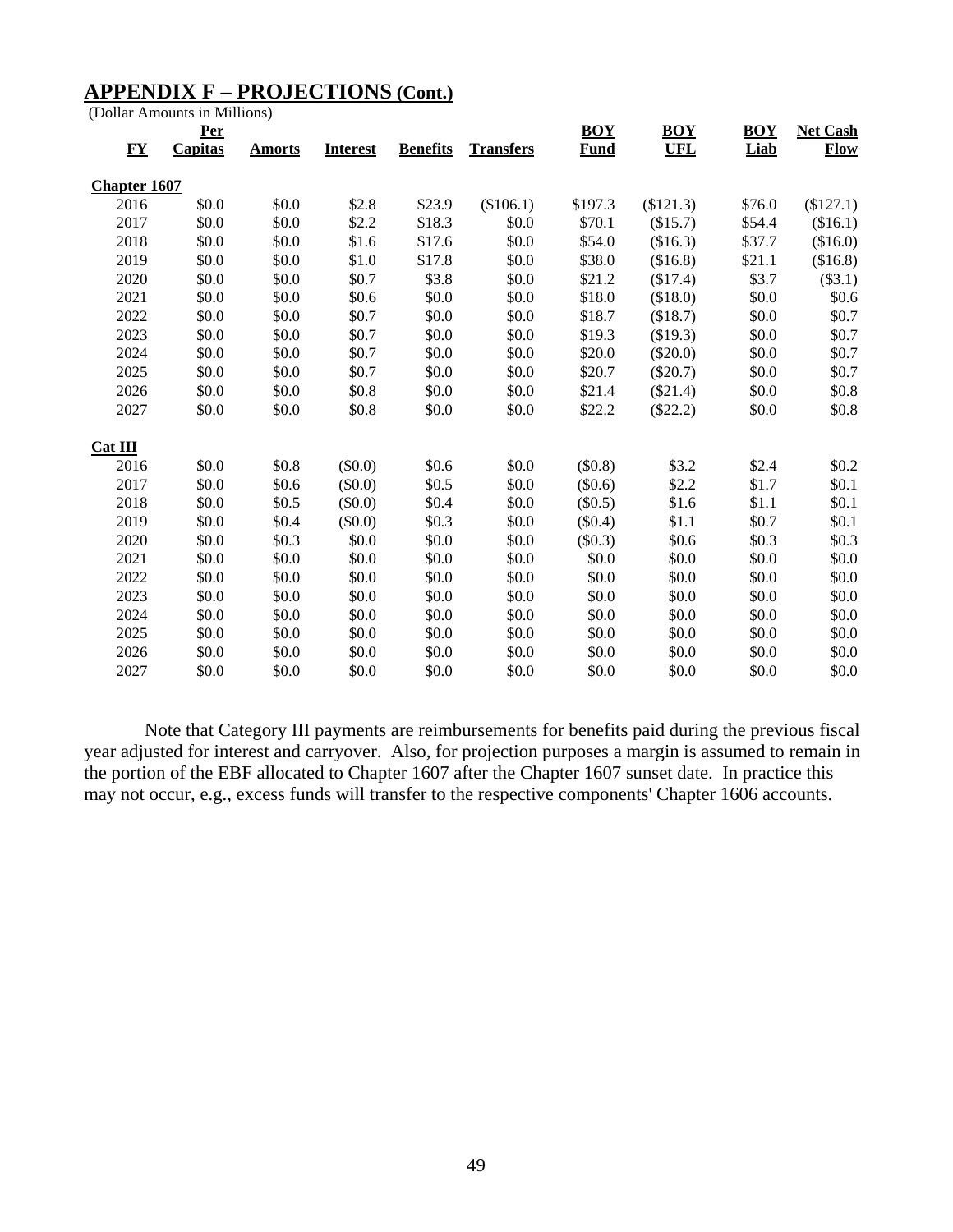## **APPENDIX F – PROJECTIONS (Cont.)**

(Dollar Amounts in Millions)

|                     | <b>Per</b>     |               |                 |                 |                  | <b>BOY</b>  | <b>BOY</b> | <b>BOY</b> | <b>Net Cash</b> |
|---------------------|----------------|---------------|-----------------|-----------------|------------------|-------------|------------|------------|-----------------|
| <b>FY</b>           | <b>Capitas</b> | <b>Amorts</b> | <b>Interest</b> | <b>Benefits</b> | <b>Transfers</b> | <b>Fund</b> | <b>UFL</b> | Liab       | <b>Flow</b>     |
| <b>Chapter 1607</b> |                |               |                 |                 |                  |             |            |            |                 |
| 2016                | \$0.0          | \$0.0         | \$2.8           | \$23.9          | (\$106.1)        | \$197.3     | (\$121.3)  | \$76.0     | (\$127.1)       |
| 2017                | \$0.0          | \$0.0         | \$2.2           | \$18.3          | \$0.0            | \$70.1      | (\$15.7)   | \$54.4     | (\$16.1)        |
| 2018                | \$0.0          | \$0.0         | \$1.6           | \$17.6          | \$0.0            | \$54.0      | (\$16.3)   | \$37.7     | (\$16.0)        |
| 2019                | \$0.0          | \$0.0         | \$1.0           | \$17.8          | \$0.0            | \$38.0      | (\$16.8)   | \$21.1     | (\$16.8)        |
| 2020                | \$0.0          | \$0.0         | \$0.7           | \$3.8           | \$0.0            | \$21.2      | (\$17.4)   | \$3.7      | (\$3.1)         |
| 2021                | \$0.0          | \$0.0         | \$0.6           | \$0.0           | \$0.0            | \$18.0      | (\$18.0)   | \$0.0      | \$0.6           |
| 2022                | \$0.0          | \$0.0         | \$0.7           | \$0.0           | \$0.0            | \$18.7      | (\$18.7)   | \$0.0      | \$0.7           |
| 2023                | \$0.0          | \$0.0         | \$0.7           | \$0.0           | \$0.0            | \$19.3      | (\$19.3)   | \$0.0      | \$0.7           |
| 2024                | \$0.0          | \$0.0         | \$0.7           | \$0.0           | \$0.0            | \$20.0      | $(\$20.0)$ | \$0.0      | \$0.7           |
| 2025                | \$0.0          | \$0.0         | \$0.7           | \$0.0           | \$0.0            | \$20.7      | $(\$20.7)$ | \$0.0      | \$0.7           |
| 2026                | \$0.0          | \$0.0         | \$0.8           | \$0.0           | \$0.0            | \$21.4      | (\$21.4)   | \$0.0      | \$0.8           |
| 2027                | \$0.0          | \$0.0         | \$0.8           | \$0.0           | \$0.0            | \$22.2      | $(\$22.2)$ | \$0.0      | \$0.8           |
| Cat III             |                |               |                 |                 |                  |             |            |            |                 |
| 2016                | \$0.0          | \$0.8         | (\$0.0)         | \$0.6           | \$0.0            | (\$0.8)     | \$3.2      | \$2.4      | \$0.2           |
| 2017                | \$0.0          | \$0.6         | (\$0.0)         | \$0.5           | \$0.0            | (\$0.6)     | \$2.2\$    | \$1.7      | \$0.1           |
| 2018                | \$0.0          | \$0.5         | $(\$0.0)$       | \$0.4           | \$0.0            | (\$0.5)     | \$1.6      | \$1.1      | \$0.1           |
| 2019                | \$0.0          | \$0.4         | (\$0.0)         | \$0.3           | \$0.0            | $(\$0.4)$   | \$1.1      | \$0.7      | \$0.1           |
| 2020                | \$0.0          | \$0.3\$       | \$0.0           | \$0.0           | \$0.0            | $(\$0.3)$   | \$0.6      | \$0.3\$    | \$0.3\$         |
| 2021                | \$0.0          | \$0.0         | \$0.0           | \$0.0           | \$0.0            | \$0.0       | \$0.0      | \$0.0      | \$0.0           |
| 2022                | \$0.0          | \$0.0         | \$0.0           | \$0.0           | \$0.0            | \$0.0       | \$0.0      | \$0.0      | \$0.0           |
| 2023                | \$0.0          | \$0.0         | \$0.0           | \$0.0           | \$0.0            | \$0.0       | \$0.0      | \$0.0      | \$0.0           |
| 2024                | \$0.0          | \$0.0         | \$0.0           | \$0.0           | \$0.0            | \$0.0       | \$0.0      | \$0.0      | \$0.0           |
| 2025                | \$0.0          | \$0.0         | \$0.0           | \$0.0           | \$0.0            | \$0.0       | \$0.0      | \$0.0      | \$0.0           |
| 2026                | \$0.0          | \$0.0         | \$0.0           | \$0.0           | \$0.0            | \$0.0       | \$0.0      | \$0.0      | \$0.0           |
| 2027                | \$0.0          | \$0.0         | \$0.0           | \$0.0           | \$0.0            | \$0.0       | \$0.0      | \$0.0      | \$0.0           |

 Note that Category III payments are reimbursements for benefits paid during the previous fiscal year adjusted for interest and carryover. Also, for projection purposes a margin is assumed to remain in the portion of the EBF allocated to Chapter 1607 after the Chapter 1607 sunset date. In practice this may not occur, e.g., excess funds will transfer to the respective components' Chapter 1606 accounts.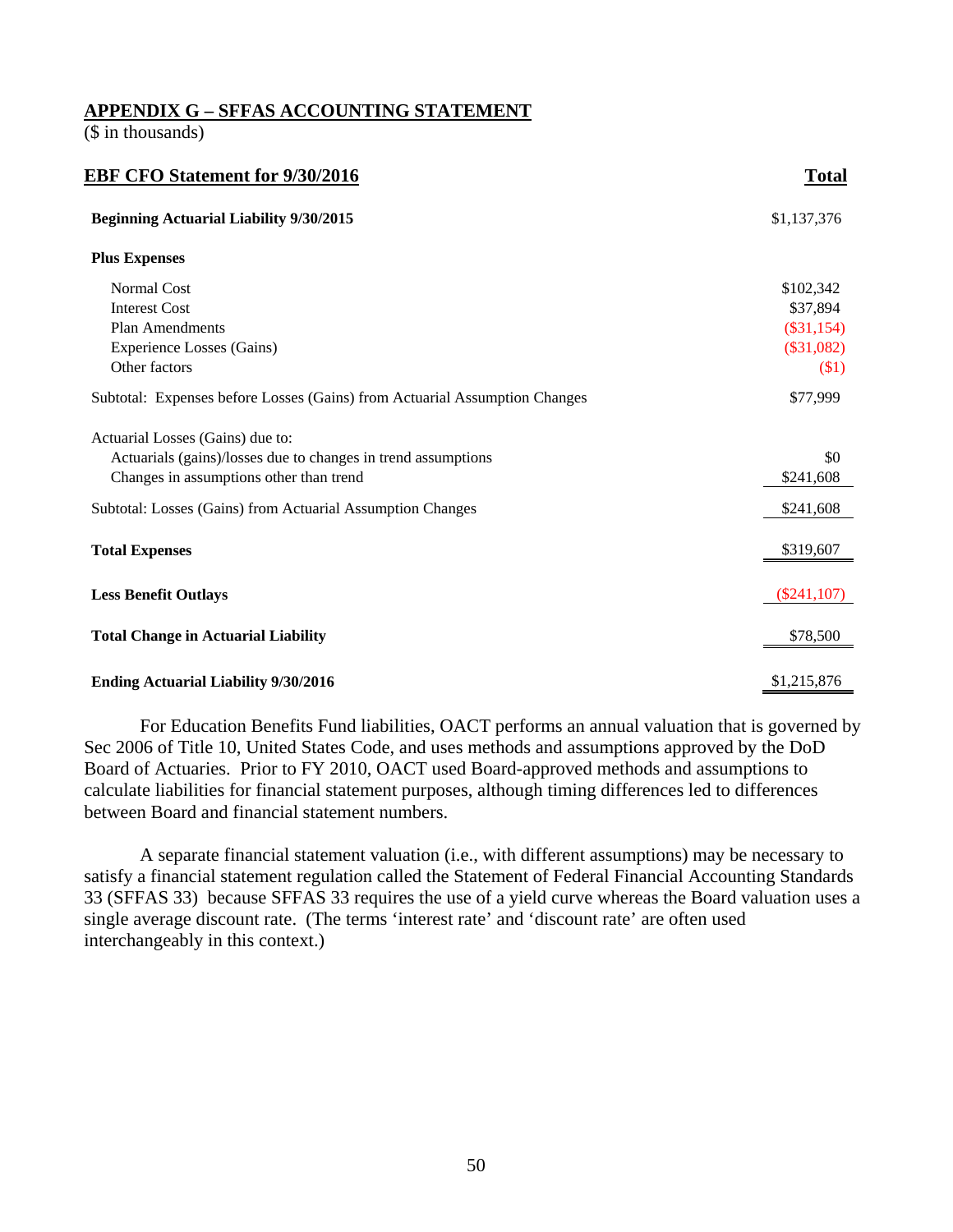## **APPENDIX G – SFFAS ACCOUNTING STATEMENT**

(\$ in thousands)

| <b>EBF CFO Statement for 9/30/2016</b>                                     | <b>Total</b>   |
|----------------------------------------------------------------------------|----------------|
| <b>Beginning Actuarial Liability 9/30/2015</b>                             | \$1,137,376    |
| <b>Plus Expenses</b>                                                       |                |
| Normal Cost                                                                | \$102,342      |
| <b>Interest Cost</b>                                                       | \$37,894       |
| <b>Plan Amendments</b>                                                     | $(\$31,154)$   |
| Experience Losses (Gains)                                                  | $(\$31,082)$   |
| Other factors                                                              | \$1)           |
| Subtotal: Expenses before Losses (Gains) from Actuarial Assumption Changes | \$77,999       |
| Actuarial Losses (Gains) due to:                                           |                |
| Actuarials (gains)/losses due to changes in trend assumptions              | \$0            |
| Changes in assumptions other than trend                                    | \$241,608      |
| Subtotal: Losses (Gains) from Actuarial Assumption Changes                 | \$241,608      |
| <b>Total Expenses</b>                                                      | \$319,607      |
| <b>Less Benefit Outlays</b>                                                | $(\$241, 107)$ |
| <b>Total Change in Actuarial Liability</b>                                 | \$78,500       |
|                                                                            |                |
| <b>Ending Actuarial Liability 9/30/2016</b>                                | \$1,215,876    |

 For Education Benefits Fund liabilities, OACT performs an annual valuation that is governed by Sec 2006 of Title 10, United States Code, and uses methods and assumptions approved by the DoD Board of Actuaries. Prior to FY 2010, OACT used Board-approved methods and assumptions to calculate liabilities for financial statement purposes, although timing differences led to differences between Board and financial statement numbers.

 A separate financial statement valuation (i.e., with different assumptions) may be necessary to satisfy a financial statement regulation called the Statement of Federal Financial Accounting Standards 33 (SFFAS 33) because SFFAS 33 requires the use of a yield curve whereas the Board valuation uses a single average discount rate. (The terms 'interest rate' and 'discount rate' are often used interchangeably in this context.)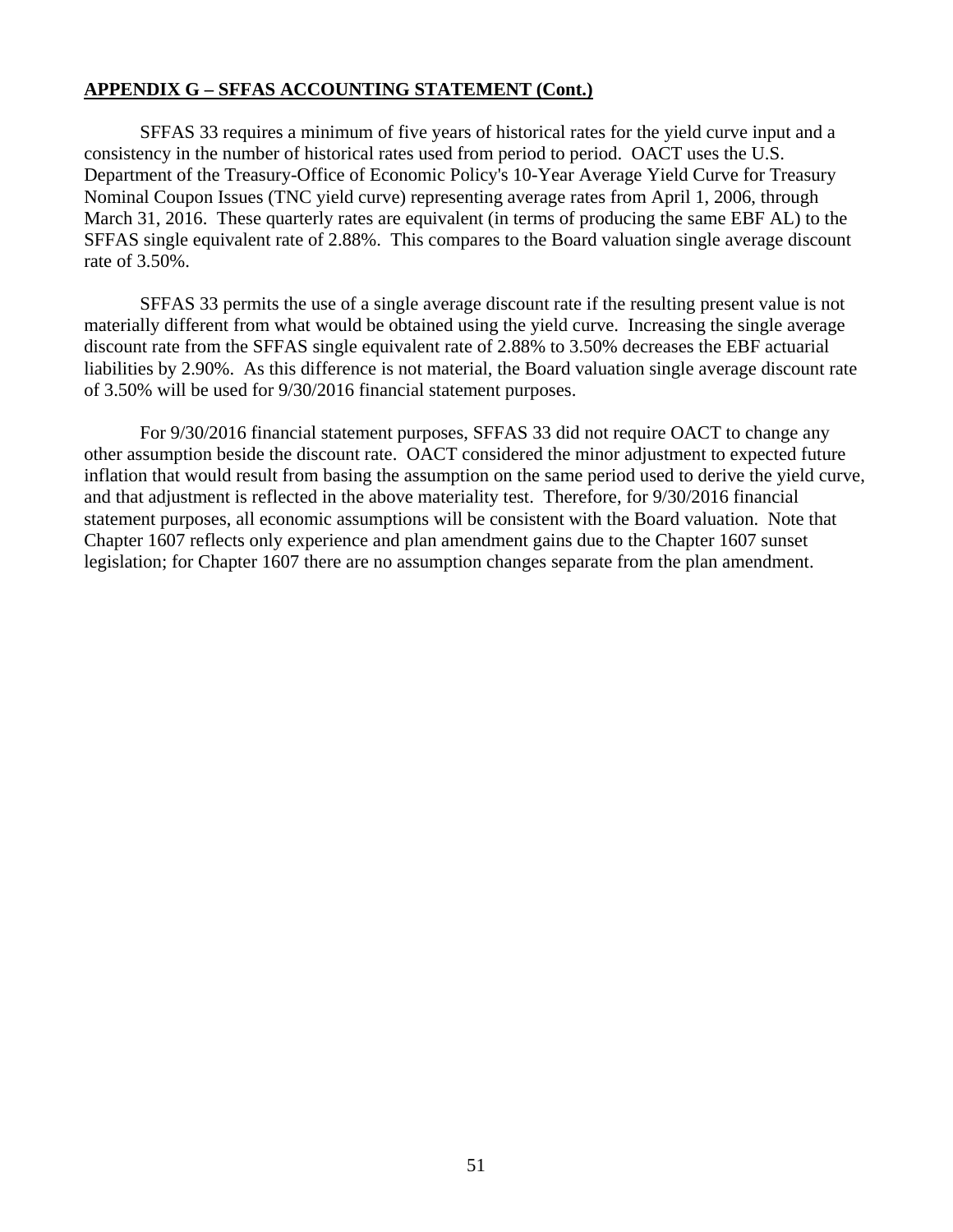## **APPENDIX G – SFFAS ACCOUNTING STATEMENT (Cont.)**

 SFFAS 33 requires a minimum of five years of historical rates for the yield curve input and a consistency in the number of historical rates used from period to period. OACT uses the U.S. Department of the Treasury-Office of Economic Policy's 10-Year Average Yield Curve for Treasury Nominal Coupon Issues (TNC yield curve) representing average rates from April 1, 2006, through March 31, 2016. These quarterly rates are equivalent (in terms of producing the same EBF AL) to the SFFAS single equivalent rate of 2.88%. This compares to the Board valuation single average discount rate of 3.50%.

 SFFAS 33 permits the use of a single average discount rate if the resulting present value is not materially different from what would be obtained using the yield curve. Increasing the single average discount rate from the SFFAS single equivalent rate of 2.88% to 3.50% decreases the EBF actuarial liabilities by 2.90%. As this difference is not material, the Board valuation single average discount rate of 3.50% will be used for 9/30/2016 financial statement purposes.

 For 9/30/2016 financial statement purposes, SFFAS 33 did not require OACT to change any other assumption beside the discount rate. OACT considered the minor adjustment to expected future inflation that would result from basing the assumption on the same period used to derive the yield curve, and that adjustment is reflected in the above materiality test. Therefore, for 9/30/2016 financial statement purposes, all economic assumptions will be consistent with the Board valuation. Note that Chapter 1607 reflects only experience and plan amendment gains due to the Chapter 1607 sunset legislation; for Chapter 1607 there are no assumption changes separate from the plan amendment.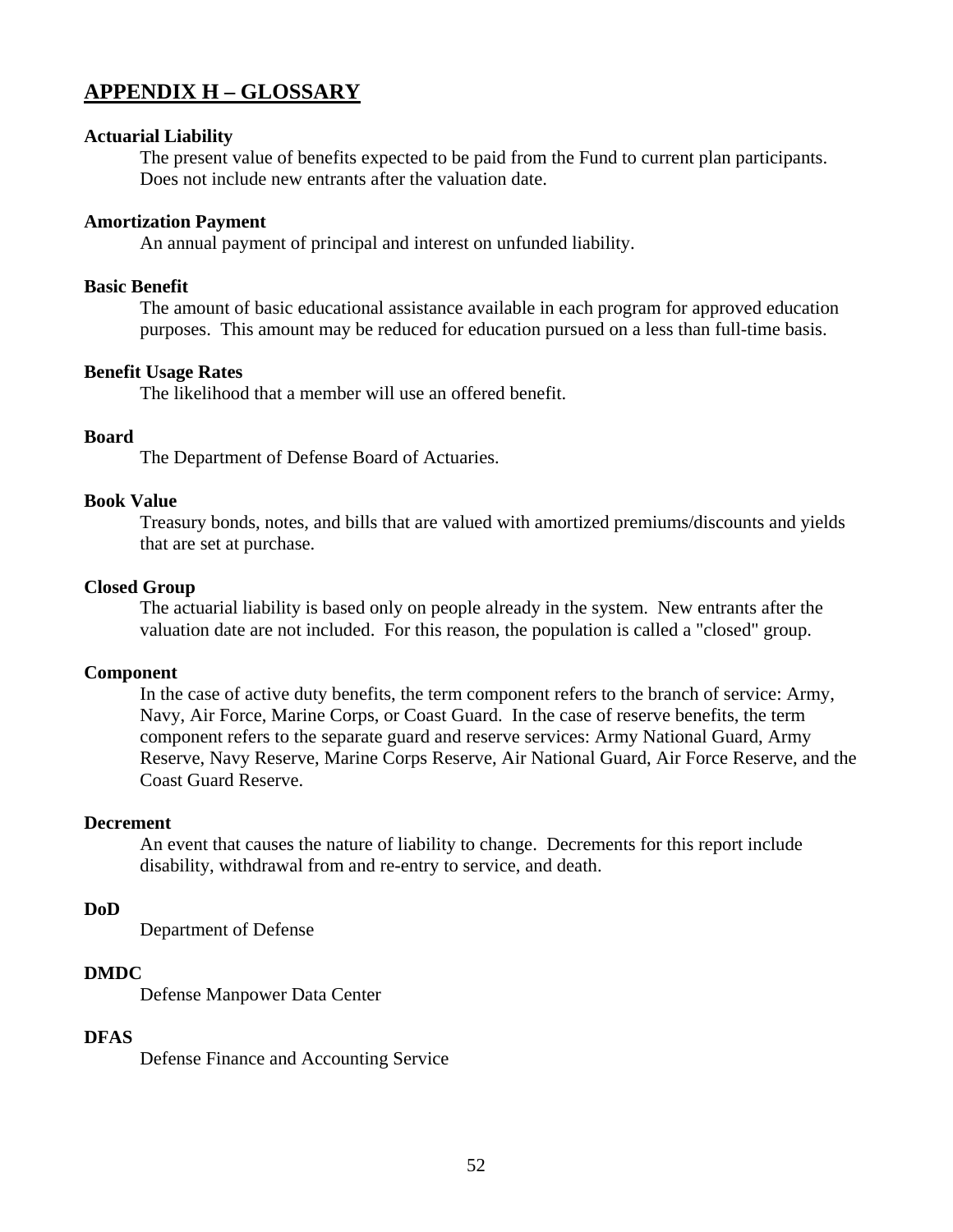## **APPENDIX H – GLOSSARY**

#### **Actuarial Liability**

The present value of benefits expected to be paid from the Fund to current plan participants. Does not include new entrants after the valuation date.

#### **Amortization Payment**

An annual payment of principal and interest on unfunded liability.

#### **Basic Benefit**

The amount of basic educational assistance available in each program for approved education purposes. This amount may be reduced for education pursued on a less than full-time basis.

#### **Benefit Usage Rates**

The likelihood that a member will use an offered benefit.

#### **Board**

The Department of Defense Board of Actuaries.

#### **Book Value**

Treasury bonds, notes, and bills that are valued with amortized premiums/discounts and yields that are set at purchase.

#### **Closed Group**

The actuarial liability is based only on people already in the system. New entrants after the valuation date are not included. For this reason, the population is called a "closed" group.

#### **Component**

In the case of active duty benefits, the term component refers to the branch of service: Army, Navy, Air Force, Marine Corps, or Coast Guard. In the case of reserve benefits, the term component refers to the separate guard and reserve services: Army National Guard, Army Reserve, Navy Reserve, Marine Corps Reserve, Air National Guard, Air Force Reserve, and the Coast Guard Reserve.

#### **Decrement**

An event that causes the nature of liability to change. Decrements for this report include disability, withdrawal from and re-entry to service, and death.

#### **DoD**

Department of Defense

#### **DMDC**

Defense Manpower Data Center

#### **DFAS**

Defense Finance and Accounting Service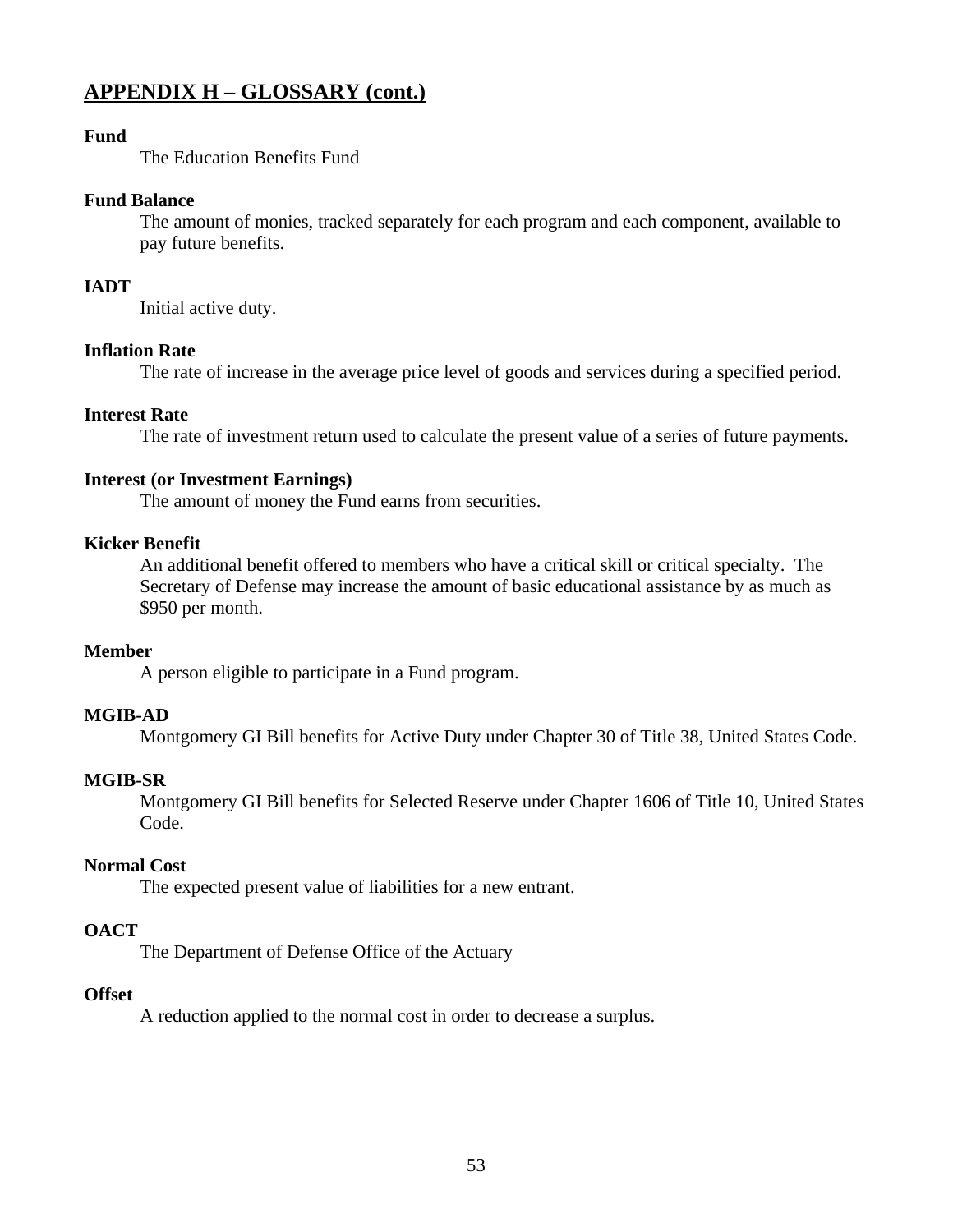## **APPENDIX H – GLOSSARY (cont.)**

## **Fund**

The Education Benefits Fund

## **Fund Balance**

The amount of monies, tracked separately for each program and each component, available to pay future benefits.

## **IADT**

Initial active duty.

## **Inflation Rate**

The rate of increase in the average price level of goods and services during a specified period.

## **Interest Rate**

The rate of investment return used to calculate the present value of a series of future payments.

## **Interest (or Investment Earnings)**

The amount of money the Fund earns from securities.

## **Kicker Benefit**

An additional benefit offered to members who have a critical skill or critical specialty. The Secretary of Defense may increase the amount of basic educational assistance by as much as \$950 per month.

## **Member**

A person eligible to participate in a Fund program.

## **MGIB-AD**

Montgomery GI Bill benefits for Active Duty under Chapter 30 of Title 38, United States Code.

## **MGIB-SR**

Montgomery GI Bill benefits for Selected Reserve under Chapter 1606 of Title 10, United States Code.

## **Normal Cost**

The expected present value of liabilities for a new entrant.

## **OACT**

The Department of Defense Office of the Actuary

## **Offset**

A reduction applied to the normal cost in order to decrease a surplus.